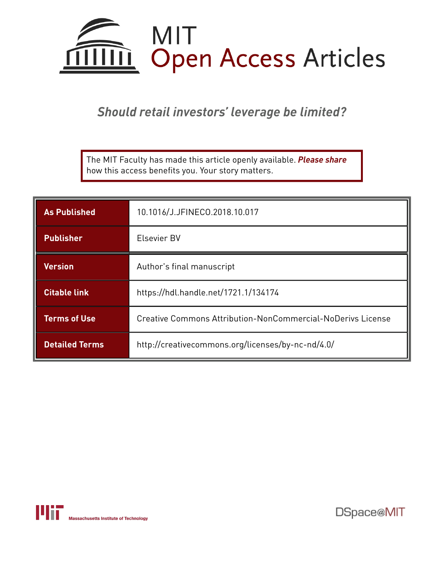

*Should retail investors' leverage be limited?*

The MIT Faculty has made this article openly available. *[Please](https://libraries.mit.edu/forms/dspace-oa-articles.html) share* how this access benefits you. Your story matters.

| <b>As Published</b>   | 10.1016/J.JFINECO.2018.10.017                               |
|-----------------------|-------------------------------------------------------------|
| <b>Publisher</b>      | Elsevier BV                                                 |
| <b>Version</b>        | Author's final manuscript                                   |
| <b>Citable link</b>   | https://hdl.handle.net/1721.1/134174                        |
| <b>Terms of Use</b>   | Creative Commons Attribution-NonCommercial-NoDerivs License |
| <b>Detailed Terms</b> | http://creativecommons.org/licenses/by-nc-nd/4.0/           |



DSpace@MIT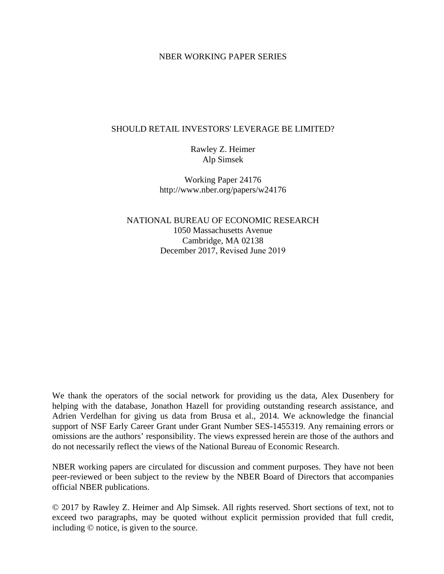# NBER WORKING PAPER SERIES

# SHOULD RETAIL INVESTORS' LEVERAGE BE LIMITED?

Rawley Z. Heimer Alp Simsek

Working Paper 24176 http://www.nber.org/papers/w24176

NATIONAL BUREAU OF ECONOMIC RESEARCH 1050 Massachusetts Avenue Cambridge, MA 02138 December 2017, Revised June 2019

We thank the operators of the social network for providing us the data, Alex Dusenbery for helping with the database, Jonathon Hazell for providing outstanding research assistance, and Adrien Verdelhan for giving us data from Brusa et al., 2014. We acknowledge the financial support of NSF Early Career Grant under Grant Number SES-1455319. Any remaining errors or omissions are the authors' responsibility. The views expressed herein are those of the authors and do not necessarily reflect the views of the National Bureau of Economic Research.

NBER working papers are circulated for discussion and comment purposes. They have not been peer-reviewed or been subject to the review by the NBER Board of Directors that accompanies official NBER publications.

© 2017 by Rawley Z. Heimer and Alp Simsek. All rights reserved. Short sections of text, not to exceed two paragraphs, may be quoted without explicit permission provided that full credit, including © notice, is given to the source.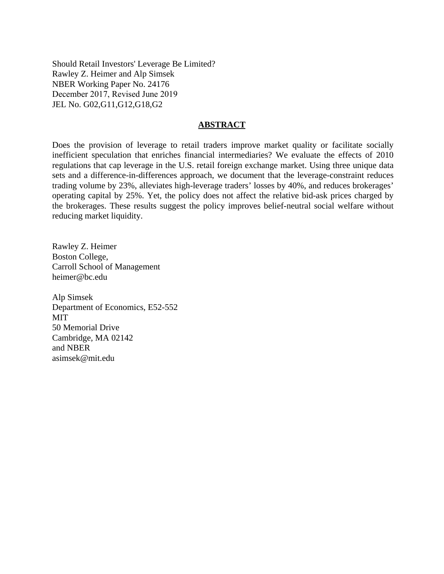Should Retail Investors' Leverage Be Limited? Rawley Z. Heimer and Alp Simsek NBER Working Paper No. 24176 December 2017, Revised June 2019 JEL No. G02,G11,G12,G18,G2

# **ABSTRACT**

Does the provision of leverage to retail traders improve market quality or facilitate socially inefficient speculation that enriches financial intermediaries? We evaluate the effects of 2010 regulations that cap leverage in the U.S. retail foreign exchange market. Using three unique data sets and a difference-in-differences approach, we document that the leverage-constraint reduces trading volume by 23%, alleviates high-leverage traders' losses by 40%, and reduces brokerages' operating capital by 25%. Yet, the policy does not affect the relative bid-ask prices charged by the brokerages. These results suggest the policy improves belief-neutral social welfare without reducing market liquidity.

Rawley Z. Heimer Boston College, Carroll School of Management heimer@bc.edu

Alp Simsek Department of Economics, E52-552 **MIT** 50 Memorial Drive Cambridge, MA 02142 and NBER asimsek@mit.edu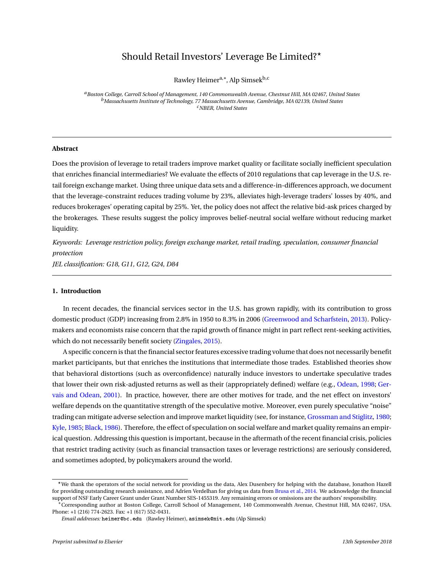# Should Retail Investors' Leverage Be Limited?\*

Rawley Heimer<sup>a,∗</sup>, Alp Simsek<sup>b,c</sup>

*<sup>a</sup>Boston College, Carroll School of Management, 140 Commonwealth Avenue, Chestnut Hill, MA 02467, United States <sup>b</sup>Massachusetts Institute of Technology, 77 Massachusetts Avenue, Cambridge, MA 02139, United States <sup>c</sup>NBER, United States*

# **Abstract**

Does the provision of leverage to retail traders improve market quality or facilitate socially inefficient speculation that enriches financial intermediaries? We evaluate the effects of 2010 regulations that cap leverage in the U.S. retail foreign exchange market. Using three unique data sets and a difference-in-differences approach, we document that the leverage-constraint reduces trading volume by 23%, alleviates high-leverage traders' losses by 40%, and reduces brokerages' operating capital by 25%. Yet, the policy does not affect the relative bid-ask prices charged by the brokerages. These results suggest the policy improves belief-neutral social welfare without reducing market liquidity.

*Keywords: Leverage restriction policy, foreign exchange market, retail trading, speculation, consumer financial protection JEL classification: G18, G11, G12, G24, D84*

## **1. Introduction**

In recent decades, the financial services sector in the U.S. has grown rapidly, with its contribution to gross domestic product (GDP) increasing from 2.8% in 1950 to 8.3% in 2006 [\(Greenwood and Scharfstein,](#page-24-0) [2013\)](#page-24-0). Policymakers and economists raise concern that the rapid growth of finance might in part reflect rent-seeking activities, which do not necessarily benefit society [\(Zingales,](#page-25-0) [2015\)](#page-25-0).

A specific concern is that the financial sector features excessive trading volume that does not necessarily benefit market participants, but that enriches the institutions that intermediate those trades. Established theories show that behavioral distortions (such as overconfidence) naturally induce investors to undertake speculative trades that lower their own risk-adjusted returns as well as their (appropriately defined) welfare (e.g., [Odean,](#page-25-1) [1998;](#page-25-1) [Ger](#page-24-1)[vais and Odean,](#page-24-1) [2001\)](#page-24-1). In practice, however, there are other motives for trade, and the net effect on investors' welfare depends on the quantitative strength of the speculative motive. Moreover, even purely speculative "noise" trading can mitigate adverse selection and improve market liquidity (see, for instance, [Grossman and Stiglitz,](#page-24-2) [1980;](#page-24-2) [Kyle,](#page-24-3) [1985;](#page-24-3) [Black,](#page-23-0) [1986\)](#page-23-0). Therefore, the effect of speculation on social welfare and market quality remains an empirical question. Addressing this question is important, because in the aftermath of the recent financial crisis, policies that restrict trading activity (such as financial transaction taxes or leverage restrictions) are seriously considered, and sometimes adopted, by policymakers around the world.

<sup>?</sup>We thank the operators of the social network for providing us the data, Alex Dusenbery for helping with the database, Jonathon Hazell for providing outstanding research assistance, and Adrien Verdelhan for giving us data from [Brusa et al.,](#page-23-1) [2014.](#page-23-1) We acknowledge the financial support of NSF Early Career Grant under Grant Number SES-1455319. Any remaining errors or omissions are the authors' responsibility.

<sup>∗</sup>Corresponding author at Boston College, Carroll School of Management, 140 Commonwealth Avenue, Chestnut Hill, MA 02467, USA. Phone: +1 (216) 774-2623. Fax: +1 (617) 552-0431.

*Email addresses:* heimer@bc.edu (Rawley Heimer), asimsek@mit.edu (Alp Simsek)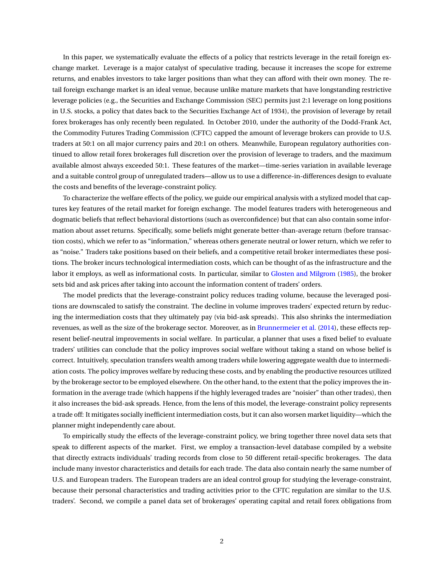In this paper, we systematically evaluate the effects of a policy that restricts leverage in the retail foreign exchange market. Leverage is a major catalyst of speculative trading, because it increases the scope for extreme returns, and enables investors to take larger positions than what they can afford with their own money. The retail foreign exchange market is an ideal venue, because unlike mature markets that have longstanding restrictive leverage policies (e.g., the Securities and Exchange Commission (SEC) permits just 2:1 leverage on long positions in U.S. stocks, a policy that dates back to the Securities Exchange Act of 1934), the provision of leverage by retail forex brokerages has only recently been regulated. In October 2010, under the authority of the Dodd-Frank Act, the Commodity Futures Trading Commission (CFTC) capped the amount of leverage brokers can provide to U.S. traders at 50:1 on all major currency pairs and 20:1 on others. Meanwhile, European regulatory authorities continued to allow retail forex brokerages full discretion over the provision of leverage to traders, and the maximum available almost always exceeded 50:1. These features of the market—time-series variation in available leverage and a suitable control group of unregulated traders—allow us to use a difference-in-differences design to evaluate the costs and benefits of the leverage-constraint policy.

To characterize the welfare effects of the policy, we guide our empirical analysis with a stylized model that captures key features of the retail market for foreign exchange. The model features traders with heterogeneous and dogmatic beliefs that reflect behavioral distortions (such as overconfidence) but that can also contain some information about asset returns. Specifically, some beliefs might generate better-than-average return (before transaction costs), which we refer to as "information," whereas others generate neutral or lower return, which we refer to as "noise." Traders take positions based on their beliefs, and a competitive retail broker intermediates these positions. The broker incurs technological intermediation costs, which can be thought of as the infrastructure and the labor it employs, as well as informational costs. In particular, similar to [Glosten and Milgrom](#page-24-4) [\(1985\)](#page-24-4), the broker sets bid and ask prices after taking into account the information content of traders' orders.

The model predicts that the leverage-constraint policy reduces trading volume, because the leveraged positions are downscaled to satisfy the constraint. The decline in volume improves traders' expected return by reducing the intermediation costs that they ultimately pay (via bid-ask spreads). This also shrinks the intermediation revenues, as well as the size of the brokerage sector. Moreover, as in [Brunnermeier et al.](#page-23-2) [\(2014\)](#page-23-2), these effects represent belief-neutral improvements in social welfare. In particular, a planner that uses a fixed belief to evaluate traders' utilities can conclude that the policy improves social welfare without taking a stand on whose belief is correct. Intuitively, speculation transfers wealth among traders while lowering aggregate wealth due to intermediation costs. The policy improves welfare by reducing these costs, and by enabling the productive resources utilized by the brokerage sector to be employed elsewhere. On the other hand, to the extent that the policy improves the information in the average trade (which happens if the highly leveraged trades are "noisier" than other trades), then it also increases the bid-ask spreads. Hence, from the lens of this model, the leverage-constraint policy represents a trade off: It mitigates socially inefficient intermediation costs, but it can also worsen market liquidity—which the planner might independently care about.

To empirically study the effects of the leverage-constraint policy, we bring together three novel data sets that speak to different aspects of the market. First, we employ a transaction-level database compiled by a website that directly extracts individuals' trading records from close to 50 different retail-specific brokerages. The data include many investor characteristics and details for each trade. The data also contain nearly the same number of U.S. and European traders. The European traders are an ideal control group for studying the leverage-constraint, because their personal characteristics and trading activities prior to the CFTC regulation are similar to the U.S. traders'. Second, we compile a panel data set of brokerages' operating capital and retail forex obligations from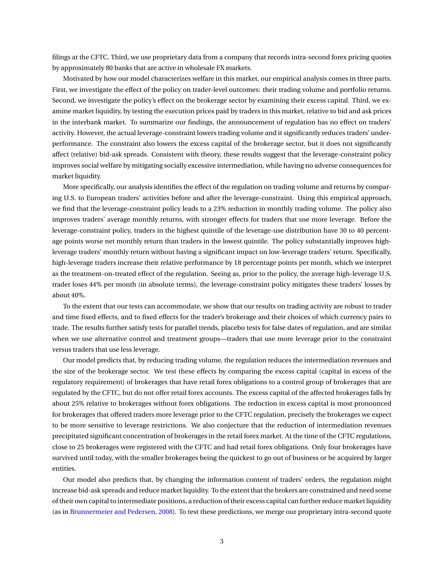filings at the CFTC. Third, we use proprietary data from a company that records intra-second forex pricing quotes by approximately 80 banks that are active in wholesale FX markets.

Motivated by how our model characterizes welfare in this market, our empirical analysis comes in three parts. First, we investigate the effect of the policy on trader-level outcomes: their trading volume and portfolio returns. Second, we investigate the policy's effect on the brokerage sector by examining their excess capital. Third, we examine market liquidity, by testing the execution prices paid by traders in this market, relative to bid and ask prices in the interbank market. To summarize our findings, the announcement of regulation has no effect on traders' activity. However, the actual leverage-constraint lowers trading volume and it significantly reduces traders' underperformance. The constraint also lowers the excess capital of the brokerage sector, but it does not significantly affect (relative) bid-ask spreads. Consistent with theory, these results suggest that the leverage-constraint policy improves social welfare by mitigating socially excessive intermediation, while having no adverse consequences for market liquidity.

More specifically, our analysis identifies the effect of the regulation on trading volume and returns by comparing U.S. to European traders' activities before and after the leverage-constraint. Using this empirical approach, we find that the leverage-constraint policy leads to a 23% reduction in monthly trading volume. The policy also improves traders' average monthly returns, with stronger effects for traders that use more leverage. Before the leverage-constraint policy, traders in the highest quintile of the leverage-use distribution have 30 to 40 percentage points worse net monthly return than traders in the lowest quintile. The policy substantially improves highleverage traders' monthly return without having a significant impact on low-leverage traders' return. Specifically, high-leverage traders increase their relative performance by 18 percentage points per month, which we interpret as the treatment-on-treated effect of the regulation. Seeing as, prior to the policy, the average high-leverage U.S. trader loses 44% per month (in absolute terms), the leverage-constraint policy mitigates these traders' losses by about 40%.

To the extent that our tests can accommodate, we show that our results on trading activity are robust to trader and time fixed effects, and to fixed effects for the trader's brokerage and their choices of which currency pairs to trade. The results further satisfy tests for parallel trends, placebo tests for false dates of regulation, and are similar when we use alternative control and treatment groups—traders that use more leverage prior to the constraint versus traders that use less leverage.

Our model predicts that, by reducing trading volume, the regulation reduces the intermediation revenues and the size of the brokerage sector. We test these effects by comparing the excess capital (capital in excess of the regulatory requirement) of brokerages that have retail forex obligations to a control group of brokerages that are regulated by the CFTC, but do not offer retail forex accounts. The excess capital of the affected brokerages falls by about 25% relative to brokerages without forex obligations. The reduction in excess capital is most pronounced for brokerages that offered traders more leverage prior to the CFTC regulation, precisely the brokerages we expect to be more sensitive to leverage restrictions. We also conjecture that the reduction of intermediation revenues precipitated significant concentration of brokerages in the retail forex market. At the time of the CFTC regulations, close to 25 brokerages were registered with the CFTC and had retail forex obligations. Only four brokerages have survived until today, with the smaller brokerages being the quickest to go out of business or be acquired by larger entities.

Our model also predicts that, by changing the information content of traders' orders, the regulation might increase bid-ask spreads and reduce market liquidity. To the extent that the brokers are constrained and need some of their own capital to intermediate positions, a reduction of their excess capital can further reduce market liquidity (as in [Brunnermeier and Pedersen,](#page-23-3) [2008\)](#page-23-3). To test these predictions, we merge our proprietary intra-second quote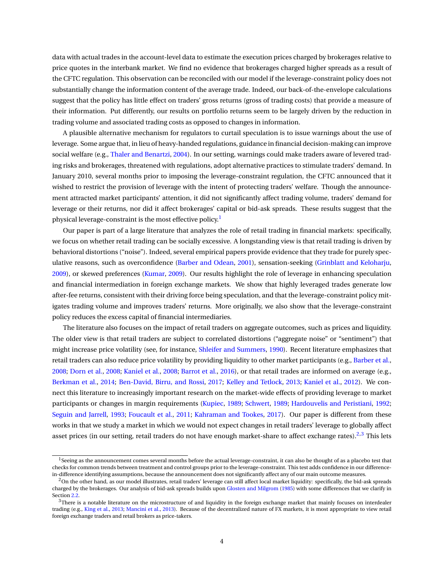data with actual trades in the account-level data to estimate the execution prices charged by brokerages relative to price quotes in the interbank market. We find no evidence that brokerages charged higher spreads as a result of the CFTC regulation. This observation can be reconciled with our model if the leverage-constraint policy does not substantially change the information content of the average trade. Indeed, our back-of-the-envelope calculations suggest that the policy has little effect on traders' gross returns (gross of trading costs) that provide a measure of their information. Put differently, our results on portfolio returns seem to be largely driven by the reduction in trading volume and associated trading costs as opposed to changes in information.

A plausible alternative mechanism for regulators to curtail speculation is to issue warnings about the use of leverage. Some argue that, in lieu of heavy-handed regulations, guidance in financial decision-making can improve social welfare (e.g., [Thaler and Benartzi,](#page-25-2) [2004\)](#page-25-2). In our setting, warnings could make traders aware of levered trading risks and brokerages, threatened with regulations, adopt alternative practices to stimulate traders' demand. In January 2010, several months prior to imposing the leverage-constraint regulation, the CFTC announced that it wished to restrict the provision of leverage with the intent of protecting traders' welfare. Though the announcement attracted market participants' attention, it did not significantly affect trading volume, traders' demand for leverage or their returns, nor did it affect brokerages' capital or bid-ask spreads. These results suggest that the physical leverage-constraint is the most effective policy.<sup>[1](#page-6-0)</sup>

Our paper is part of a large literature that analyzes the role of retail trading in financial markets: specifically, we focus on whether retail trading can be socially excessive. A longstanding view is that retail trading is driven by behavioral distortions ("noise"). Indeed, several empirical papers provide evidence that they trade for purely speculative reasons, such as overconfidence [\(Barber and Odean,](#page-23-4) [2001\)](#page-23-4), sensation-seeking [\(Grinblatt and Keloharju,](#page-24-5) [2009\)](#page-24-5), or skewed preferences [\(Kumar,](#page-24-6) [2009\)](#page-24-6). Our results highlight the role of leverage in enhancing speculation and financial intermediation in foreign exchange markets. We show that highly leveraged trades generate low after-fee returns, consistent with their driving force being speculation, and that the leverage-constraint policy mitigates trading volume and improves traders' returns. More originally, we also show that the leverage-constraint policy reduces the excess capital of financial intermediaries.

The literature also focuses on the impact of retail traders on aggregate outcomes, such as prices and liquidity. The older view is that retail traders are subject to correlated distortions ("aggregate noise" or "sentiment") that might increase price volatility (see, for instance, [Shleifer and Summers,](#page-25-3) [1990\)](#page-25-3). Recent literature emphasizes that retail traders can also reduce price volatility by providing liquidity to other market participants (e.g., [Barber et al.,](#page-23-5) [2008;](#page-23-5) [Dorn et al.,](#page-23-6) [2008;](#page-23-6) [Kaniel et al.,](#page-24-7) [2008;](#page-24-7) [Barrot et al.,](#page-23-7) [2016\)](#page-23-7), or that retail trades are informed on average (e.g., [Berkman et al.,](#page-23-8) [2014;](#page-23-8) [Ben-David, Birru, and Rossi,](#page-23-9) [2017;](#page-23-9) [Kelley and Tetlock,](#page-24-8) [2013;](#page-24-8) [Kaniel et al.,](#page-24-9) [2012\)](#page-24-9). We connect this literature to increasingly important research on the market-wide effects of providing leverage to market participants or changes in margin requirements [\(Kupiec,](#page-24-10) [1989;](#page-24-10) [Schwert,](#page-25-4) [1989;](#page-25-4) [Hardouvelis and Peristiani,](#page-24-11) [1992;](#page-24-11) [Seguin and Jarrell,](#page-25-5) [1993;](#page-25-5) [Foucault et al.,](#page-23-10) [2011;](#page-23-10) [Kahraman and Tookes,](#page-24-12) [2017\)](#page-24-12). Our paper is different from these works in that we study a market in which we would not expect changes in retail traders' leverage to globally affect asset prices (in our setting, retail traders do not have enough market-share to affect exchange rates). $^{2,3}$  $^{2,3}$  $^{2,3}$  $^{2,3}$  This lets

<span id="page-6-0"></span><sup>&</sup>lt;sup>1</sup> Seeing as the announcement comes several months before the actual leverage-constraint, it can also be thought of as a placebo test that checks for common trends between treatment and control groups prior to the leverage-constraint. This test adds confidence in our differencein-difference identifying assumptions, because the announcement does not significantly affect any of our main outcome measures.

<span id="page-6-1"></span><sup>&</sup>lt;sup>2</sup>On the other hand, as our model illustrates, retail traders' leverage can still affect local market liquidity: specifically, the bid-ask spreads charged by the brokerages. Our analysis of bid-ask spreads builds upon [Glosten and Milgrom](#page-24-4) [\(1985\)](#page-24-4) with some differences that we clarify in Section [2.2.](#page-9-0)

<span id="page-6-2"></span> $^3$ There is a notable literature on the microstructure of and liquidity in the foreign exchange market that mainly focuses on interdealer trading (e.g., [King et al.,](#page-24-13) [2013;](#page-24-13) [Mancini et al.,](#page-25-6) [2013\)](#page-25-6). Because of the decentralized nature of FX markets, it is most appropriate to view retail foreign exchange traders and retail brokers as price-takers.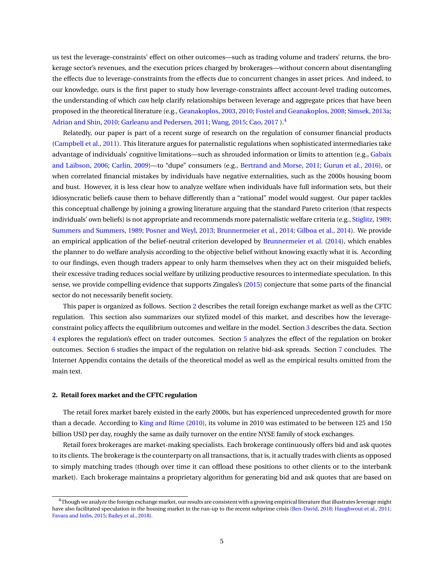us test the leverage-constraints' effect on other outcomes—such as trading volume and traders' returns, the brokerage sector's revenues, and the execution prices charged by brokerages—without concern about disentangling the effects due to leverage-constraints from the effects due to concurrent changes in asset prices. And indeed, to our knowledge, ours is the first paper to study how leverage-constraints affect account-level trading outcomes, the understanding of which *can* help clarify relationships between leverage and aggregate prices that have been proposed in the theoretical literature (e.g., [Geanakoplos,](#page-24-14) [2003,](#page-24-14) [2010;](#page-24-15) [Fostel and Geanakoplos,](#page-23-11) [2008;](#page-23-11) [Simsek,](#page-25-7) [2013a;](#page-25-7) [Adrian and Shin,](#page-23-12) [2010;](#page-23-12) [Garleanu and Pedersen,](#page-24-16) [2011;](#page-24-16) [Wang,](#page-25-8) [2015;](#page-25-8) [Cao,](#page-23-13) [2017](#page-23-13)).<sup>[4](#page-7-0)</sup>

Relatedly, our paper is part of a recent surge of research on the regulation of consumer financial products [\(Campbell et al.,](#page-23-14) [2011\)](#page-23-14). This literature argues for paternalistic regulations when sophisticated intermediaries take advantage of individuals' cognitive limitations—such as shrouded information or limits to attention (e.g., [Gabaix](#page-23-15) [and Laibson,](#page-23-15) [2006;](#page-23-15) [Carlin,](#page-23-16) [2009\)](#page-23-16)—to "dupe" consumers (e.g., [Bertrand and Morse,](#page-23-17) [2011;](#page-23-17) [Gurun et al.,](#page-24-17) [2016\)](#page-24-17), or when correlated financial mistakes by individuals have negative externalities, such as the 2000s housing boom and bust. However, it is less clear how to analyze welfare when individuals have full information sets, but their idiosyncratic beliefs cause them to behave differently than a "rational" model would suggest. Our paper tackles this conceptual challenge by joining a growing literature arguing that the standard Pareto criterion (that respects individuals' own beliefs) is not appropriate and recommends more paternalistic welfare criteria (e.g., [Stiglitz,](#page-25-9) [1989;](#page-25-9) [Summers and Summers,](#page-25-10) [1989;](#page-25-10) [Posner and Weyl,](#page-25-11) [2013;](#page-25-11) [Brunnermeier et al.,](#page-23-2) [2014;](#page-23-2) [Gilboa et al.,](#page-24-18) [2014\)](#page-24-18). We provide an empirical application of the belief-neutral criterion developed by [Brunnermeier et al.](#page-23-2) [\(2014\)](#page-23-2), which enables the planner to do welfare analysis according to the objective belief without knowing exactly what it is. According to our findings, even though traders appear to only harm themselves when they act on their misguided beliefs, their excessive trading reduces social welfare by utilizing productive resources to intermediate speculation. In this sense, we provide compelling evidence that supports Zingales's [\(2015\)](#page-25-0) conjecture that some parts of the financial sector do not necessarily benefit society.

This paper is organized as follows. Section [2](#page-7-1) describes the retail foreign exchange market as well as the CFTC regulation. This section also summarizes our stylized model of this market, and describes how the leverageconstraint policy affects the equilibrium outcomes and welfare in the model. Section [3](#page-10-0) describes the data. Section [4](#page-14-0) explores the regulation's effect on trader outcomes. Section [5](#page-18-0) analyzes the effect of the regulation on broker outcomes. Section [6](#page-20-0) studies the impact of the regulation on relative bid-ask spreads. Section [7](#page-21-0) concludes. The Internet Appendix contains the details of the theoretical model as well as the empirical results omitted from the main text.

# <span id="page-7-1"></span>**2. Retail forex market and the CFTC regulation**

The retail forex market barely existed in the early 2000s, but has experienced unprecedented growth for more than a decade. According to [King and Rime](#page-24-19) [\(2010\)](#page-24-19), its volume in 2010 was estimated to be between 125 and 150 billion USD per day, roughly the same as daily turnover on the entire NYSE family of stock exchanges.

Retail forex brokerages are market-making specialists. Each brokerage continuously offers bid and ask quotes to its clients. The brokerage is the counterparty on all transactions, that is, it actually trades with clients as opposed to simply matching trades (though over time it can offload these positions to other clients or to the interbank market). Each brokerage maintains a proprietary algorithm for generating bid and ask quotes that are based on

<span id="page-7-0"></span> $^4\rm{Though}$  we analyze the foreign exchange market, our results are consistent with a growing empirical literature that illustrates leverage might have also facilitated speculation in the housing market in the run-up to the recent subprime crisis [\(Ben-David,](#page-23-18) [2018;](#page-23-18) [Haughwout et al.,](#page-24-20) [2011;](#page-24-20) [Favara and Imbs,](#page-23-19) [2015;](#page-23-19) [Bailey et al.,](#page-23-20) [2018\)](#page-23-20).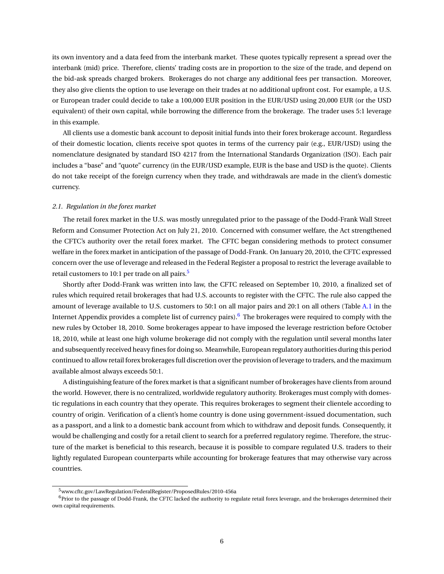its own inventory and a data feed from the interbank market. These quotes typically represent a spread over the interbank (mid) price. Therefore, clients' trading costs are in proportion to the size of the trade, and depend on the bid-ask spreads charged brokers. Brokerages do not charge any additional fees per transaction. Moreover, they also give clients the option to use leverage on their trades at no additional upfront cost. For example, a U.S. or European trader could decide to take a 100,000 EUR position in the EUR/USD using 20,000 EUR (or the USD equivalent) of their own capital, while borrowing the difference from the brokerage. The trader uses 5:1 leverage in this example.

All clients use a domestic bank account to deposit initial funds into their forex brokerage account. Regardless of their domestic location, clients receive spot quotes in terms of the currency pair (e.g., EUR/USD) using the nomenclature designated by standard ISO 4217 from the International Standards Organization (ISO). Each pair includes a "base" and "quote" currency (in the EUR/USD example, EUR is the base and USD is the quote). Clients do not take receipt of the foreign currency when they trade, and withdrawals are made in the client's domestic currency.

## *2.1. Regulation in the forex market*

The retail forex market in the U.S. was mostly unregulated prior to the passage of the Dodd-Frank Wall Street Reform and Consumer Protection Act on July 21, 2010. Concerned with consumer welfare, the Act strengthened the CFTC's authority over the retail forex market. The CFTC began considering methods to protect consumer welfare in the forex market in anticipation of the passage of Dodd-Frank. On January 20, 2010, the CFTC expressed concern over the use of leverage and released in the Federal Register a proposal to restrict the leverage available to retail customers to 10:1 per trade on all pairs.<sup>[5](#page-8-0)</sup>

Shortly after Dodd-Frank was written into law, the CFTC released on September 10, 2010, a finalized set of rules which required retail brokerages that had U.S. accounts to register with the CFTC. The rule also capped the amount of leverage available to U.S. customers to 50:1 on all major pairs and 20:1 on all others (Table [A.1](#page-39-0) in the Internet Appendix provides a complete list of currency pairs).<sup>[6](#page-8-1)</sup> The brokerages were required to comply with the new rules by October 18, 2010. Some brokerages appear to have imposed the leverage restriction before October 18, 2010, while at least one high volume brokerage did not comply with the regulation until several months later and subsequently received heavy fines for doing so. Meanwhile, European regulatory authorities during this period continued to allow retail forex brokerages full discretion over the provision of leverage to traders, and the maximum available almost always exceeds 50:1.

A distinguishing feature of the forex market is that a significant number of brokerages have clients from around the world. However, there is no centralized, worldwide regulatory authority. Brokerages must comply with domestic regulations in each country that they operate. This requires brokerages to segment their clientele according to country of origin. Verification of a client's home country is done using government-issued documentation, such as a passport, and a link to a domestic bank account from which to withdraw and deposit funds. Consequently, it would be challenging and costly for a retail client to search for a preferred regulatory regime. Therefore, the structure of the market is beneficial to this research, because it is possible to compare regulated U.S. traders to their lightly regulated European counterparts while accounting for brokerage features that may otherwise vary across countries.

<span id="page-8-1"></span><span id="page-8-0"></span><sup>5</sup>www.cftc.gov/LawRegulation/FederalRegister/ProposedRules/2010-456a

<sup>&</sup>lt;sup>6</sup>Prior to the passage of Dodd-Frank, the CFTC lacked the authority to regulate retail forex leverage, and the brokerages determined their own capital requirements.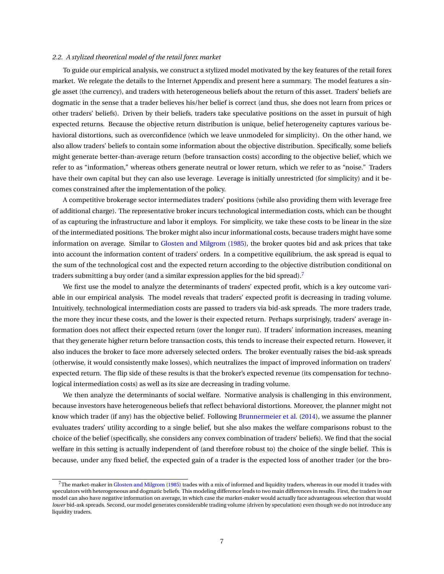## <span id="page-9-0"></span>*2.2. A stylized theoretical model of the retail forex market*

To guide our empirical analysis, we construct a stylized model motivated by the key features of the retail forex market. We relegate the details to the Internet Appendix and present here a summary. The model features a single asset (the currency), and traders with heterogeneous beliefs about the return of this asset. Traders' beliefs are dogmatic in the sense that a trader believes his/her belief is correct (and thus, she does not learn from prices or other traders' beliefs). Driven by their beliefs, traders take speculative positions on the asset in pursuit of high expected returns. Because the objective return distribution is unique, belief heterogeneity captures various behavioral distortions, such as overconfidence (which we leave unmodeled for simplicity). On the other hand, we also allow traders' beliefs to contain some information about the objective distribution. Specifically, some beliefs might generate better-than-average return (before transaction costs) according to the objective belief, which we refer to as "information," whereas others generate neutral or lower return, which we refer to as "noise." Traders have their own capital but they can also use leverage. Leverage is initially unrestricted (for simplicity) and it becomes constrained after the implementation of the policy.

A competitive brokerage sector intermediates traders' positions (while also providing them with leverage free of additional charge). The representative broker incurs technological intermediation costs, which can be thought of as capturing the infrastructure and labor it employs. For simplicity, we take these costs to be linear in the size of the intermediated positions. The broker might also incur informational costs, because traders might have some information on average. Similar to [Glosten and Milgrom](#page-24-4) [\(1985\)](#page-24-4), the broker quotes bid and ask prices that take into account the information content of traders' orders. In a competitive equilibrium, the ask spread is equal to the sum of the technological cost and the expected return according to the objective distribution conditional on traders submitting a buy order (and a similar expression applies for the bid spread).<sup>[7](#page-9-1)</sup>

We first use the model to analyze the determinants of traders' expected profit, which is a key outcome variable in our empirical analysis. The model reveals that traders' expected profit is decreasing in trading volume. Intuitively, technological intermediation costs are passed to traders via bid-ask spreads. The more traders trade, the more they incur these costs, and the lower is their expected return. Perhaps surprisingly, traders' average information does not affect their expected return (over the longer run). If traders' information increases, meaning that they generate higher return before transaction costs, this tends to increase their expected return. However, it also induces the broker to face more adversely selected orders. The broker eventually raises the bid-ask spreads (otherwise, it would consistently make losses), which neutralizes the impact of improved information on traders' expected return. The flip side of these results is that the broker's expected revenue (its compensation for technological intermediation costs) as well as its size are decreasing in trading volume.

We then analyze the determinants of social welfare. Normative analysis is challenging in this environment, because investors have heterogeneous beliefs that reflect behavioral distortions. Moreover, the planner might not know which trader (if any) has the objective belief. Following [Brunnermeier et al.](#page-23-2) [\(2014\)](#page-23-2), we assume the planner evaluates traders' utility according to a single belief, but she also makes the welfare comparisons robust to the choice of the belief (specifically, she considers any convex combination of traders' beliefs). We find that the social welfare in this setting is actually independent of (and therefore robust to) the choice of the single belief. This is because, under any fixed belief, the expected gain of a trader is the expected loss of another trader (or the bro-

<span id="page-9-1"></span> $7$ The market-maker in [Glosten and Milgrom](#page-24-4) [\(1985\)](#page-24-4) trades with a mix of informed and liquidity traders, whereas in our model it trades with speculators with heterogeneous and dogmatic beliefs. This modeling difference leads to two main differences in results. First, the traders in our model can also have negative information on average, in which case the market-maker would actually face advantageous selection that would *lower* bid-ask spreads. Second, our model generates considerable trading volume (driven by speculation) even though we do not introduce any liquidity traders.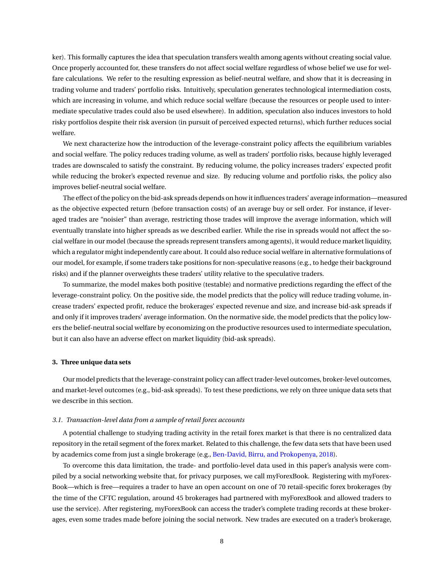ker). This formally captures the idea that speculation transfers wealth among agents without creating social value. Once properly accounted for, these transfers do not affect social welfare regardless of whose belief we use for welfare calculations. We refer to the resulting expression as belief-neutral welfare, and show that it is decreasing in trading volume and traders' portfolio risks. Intuitively, speculation generates technological intermediation costs, which are increasing in volume, and which reduce social welfare (because the resources or people used to intermediate speculative trades could also be used elsewhere). In addition, speculation also induces investors to hold risky portfolios despite their risk aversion (in pursuit of perceived expected returns), which further reduces social welfare.

We next characterize how the introduction of the leverage-constraint policy affects the equilibrium variables and social welfare. The policy reduces trading volume, as well as traders' portfolio risks, because highly leveraged trades are downscaled to satisfy the constraint. By reducing volume, the policy increases traders' expected profit while reducing the broker's expected revenue and size. By reducing volume and portfolio risks, the policy also improves belief-neutral social welfare.

The effect of the policy on the bid-ask spreads depends on how it influences traders' average information—measured as the objective expected return (before transaction costs) of an average buy or sell order. For instance, if leveraged trades are "noisier" than average, restricting those trades will improve the average information, which will eventually translate into higher spreads as we described earlier. While the rise in spreads would not affect the social welfare in our model (because the spreads represent transfers among agents), it would reduce market liquidity, which a regulator might independently care about. It could also reduce social welfare in alternative formulations of our model, for example, if some traders take positions for non-speculative reasons (e.g., to hedge their background risks) and if the planner overweights these traders' utility relative to the speculative traders.

To summarize, the model makes both positive (testable) and normative predictions regarding the effect of the leverage-constraint policy. On the positive side, the model predicts that the policy will reduce trading volume, increase traders' expected profit, reduce the brokerages' expected revenue and size, and increase bid-ask spreads if and only if it improves traders' average information. On the normative side, the model predicts that the policy lowers the belief-neutral social welfare by economizing on the productive resources used to intermediate speculation, but it can also have an adverse effect on market liquidity (bid-ask spreads).

# <span id="page-10-0"></span>**3. Three unique data sets**

Our model predicts that the leverage-constraint policy can affect trader-level outcomes, broker-level outcomes, and market-level outcomes (e.g., bid-ask spreads). To test these predictions, we rely on three unique data sets that we describe in this section.

#### *3.1. Transaction-level data from a sample of retail forex accounts*

A potential challenge to studying trading activity in the retail forex market is that there is no centralized data repository in the retail segment of the forex market. Related to this challenge, the few data sets that have been used by academics come from just a single brokerage (e.g., [Ben-David, Birru, and Prokopenya,](#page-23-21) [2018\)](#page-23-21).

To overcome this data limitation, the trade- and portfolio-level data used in this paper's analysis were compiled by a social networking website that, for privacy purposes, we call myForexBook. Registering with myForex-Book—which is free—requires a trader to have an open account on one of 70 retail-specific forex brokerages (by the time of the CFTC regulation, around 45 brokerages had partnered with myForexBook and allowed traders to use the service). After registering, myForexBook can access the trader's complete trading records at these brokerages, even some trades made before joining the social network. New trades are executed on a trader's brokerage,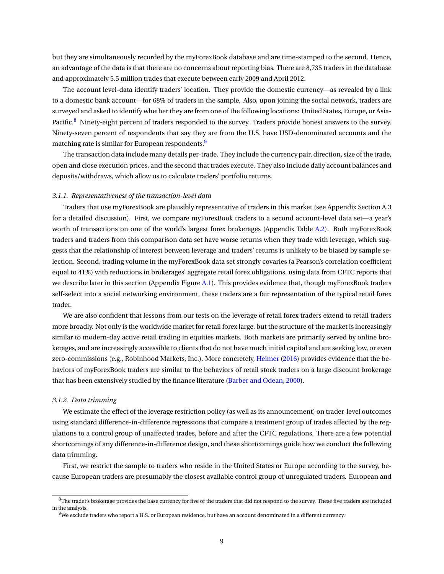but they are simultaneously recorded by the myForexBook database and are time-stamped to the second. Hence, an advantage of the data is that there are no concerns about reporting bias. There are 8,735 traders in the database and approximately 5.5 million trades that execute between early 2009 and April 2012.

The account level-data identify traders' location. They provide the domestic currency—as revealed by a link to a domestic bank account—for 68% of traders in the sample. Also, upon joining the social network, traders are surveyed and asked to identify whether they are from one of the following locations: United States, Europe, or Asia-Pacific.<sup>[8](#page-11-0)</sup> Ninety-eight percent of traders responded to the survey. Traders provide honest answers to the survey. Ninety-seven percent of respondents that say they are from the U.S. have USD-denominated accounts and the matching rate is similar for European respondents.<sup>[9](#page-11-1)</sup>

The transaction data include many details per-trade. They include the currency pair, direction, size of the trade, open and close execution prices, and the second that trades execute. They also include daily account balances and deposits/withdraws, which allow us to calculate traders' portfolio returns.

# *3.1.1. Representativeness of the transaction-level data*

Traders that use myForexBook are plausibly representative of traders in this market (see Appendix Section A.3 for a detailed discussion). First, we compare myForexBook traders to a second account-level data set—a year's worth of transactions on one of the world's largest forex brokerages (Appendix Table [A.2\)](#page-47-0). Both myForexBook traders and traders from this comparison data set have worse returns when they trade with leverage, which suggests that the relationship of interest between leverage and traders' returns is unlikely to be biased by sample selection. Second, trading volume in the myForexBook data set strongly covaries (a Pearson's correlation coefficient equal to 41%) with reductions in brokerages' aggregate retail forex obligations, using data from CFTC reports that we describe later in this section (Appendix Figure [A.1\)](#page-48-0). This provides evidence that, though myForexBook traders self-select into a social networking environment, these traders are a fair representation of the typical retail forex trader.

We are also confident that lessons from our tests on the leverage of retail forex traders extend to retail traders more broadly. Not only is the worldwide market for retail forex large, but the structure of the market is increasingly similar to modern-day active retail trading in equities markets. Both markets are primarily served by online brokerages, and are increasingly accessible to clients that do not have much initial capital and are seeking low, or even zero-commissions (e.g., Robinhood Markets, Inc.). More concretely, [Heimer](#page-24-21) [\(2016\)](#page-24-21) provides evidence that the behaviors of myForexBook traders are similar to the behaviors of retail stock traders on a large discount brokerage that has been extensively studied by the finance literature [\(Barber and Odean,](#page-23-22) [2000\)](#page-23-22).

## *3.1.2. Data trimming*

We estimate the effect of the leverage restriction policy (as well as its announcement) on trader-level outcomes using standard difference-in-difference regressions that compare a treatment group of trades affected by the regulations to a control group of unaffected trades, before and after the CFTC regulations. There are a few potential shortcomings of any difference-in-difference design, and these shortcomings guide how we conduct the following data trimming.

First, we restrict the sample to traders who reside in the United States or Europe according to the survey, because European traders are presumably the closest available control group of unregulated traders. European and

<span id="page-11-0"></span> $8$ The trader's brokerage provides the base currency for five of the traders that did not respond to the survey. These five traders are included in the analysis.

<span id="page-11-1"></span> $9$ We exclude traders who report a U.S. or European residence, but have an account denominated in a different currency.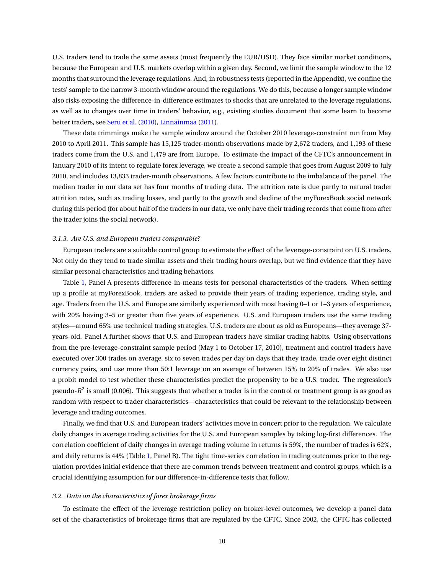U.S. traders tend to trade the same assets (most frequently the EUR/USD). They face similar market conditions, because the European and U.S. markets overlap within a given day. Second, we limit the sample window to the 12 months that surround the leverage regulations. And, in robustness tests (reported in the Appendix), we confine the tests' sample to the narrow 3-month window around the regulations. We do this, because a longer sample window also risks exposing the difference-in-difference estimates to shocks that are unrelated to the leverage regulations, as well as to changes over time in traders' behavior, e.g., existing studies document that some learn to become better traders, see [Seru et al.](#page-25-12) [\(2010\)](#page-25-12), [Linnainmaa](#page-24-22) [\(2011\)](#page-24-22).

These data trimmings make the sample window around the October 2010 leverage-constraint run from May 2010 to April 2011. This sample has 15,125 trader-month observations made by 2,672 traders, and 1,193 of these traders come from the U.S. and 1,479 are from Europe. To estimate the impact of the CFTC's announcement in January 2010 of its intent to regulate forex leverage, we create a second sample that goes from August 2009 to July 2010, and includes 13,833 trader-month observations. A few factors contribute to the imbalance of the panel. The median trader in our data set has four months of trading data. The attrition rate is due partly to natural trader attrition rates, such as trading losses, and partly to the growth and decline of the myForexBook social network during this period (for about half of the traders in our data, we only have their trading records that come from after the trader joins the social network).

## *3.1.3. Are U.S. and European traders comparable?*

European traders are a suitable control group to estimate the effect of the leverage-constraint on U.S. traders. Not only do they tend to trade similar assets and their trading hours overlap, but we find evidence that they have similar personal characteristics and trading behaviors.

Table [1,](#page-26-0) Panel A presents difference-in-means tests for personal characteristics of the traders. When setting up a profile at myForexBook, traders are asked to provide their years of trading experience, trading style, and age. Traders from the U.S. and Europe are similarly experienced with most having 0–1 or 1–3 years of experience, with 20% having 3–5 or greater than five years of experience. U.S. and European traders use the same trading styles—around 65% use technical trading strategies. U.S. traders are about as old as Europeans—they average 37 years-old. Panel A further shows that U.S. and European traders have similar trading habits. Using observations from the pre-leverage-constraint sample period (May 1 to October 17, 2010), treatment and control traders have executed over 300 trades on average, six to seven trades per day on days that they trade, trade over eight distinct currency pairs, and use more than 50:1 leverage on an average of between 15% to 20% of trades. We also use a probit model to test whether these characteristics predict the propensity to be a U.S. trader. The regression's pseudo-*R<sup>2</sup>* is small (0.006). This suggests that whether a trader is in the control or treatment group is as good as random with respect to trader characteristics—characteristics that could be relevant to the relationship between leverage and trading outcomes.

Finally, we find that U.S. and European traders' activities move in concert prior to the regulation. We calculate daily changes in average trading activities for the U.S. and European samples by taking log-first differences. The correlation coefficient of daily changes in average trading volume in returns is 59%, the number of trades is 62%, and daily returns is 44% (Table [1,](#page-26-0) Panel B). The tight time-series correlation in trading outcomes prior to the regulation provides initial evidence that there are common trends between treatment and control groups, which is a crucial identifying assumption for our difference-in-difference tests that follow.

## *3.2. Data on the characteristics of forex brokerage firms*

To estimate the effect of the leverage restriction policy on broker-level outcomes, we develop a panel data set of the characteristics of brokerage firms that are regulated by the CFTC. Since 2002, the CFTC has collected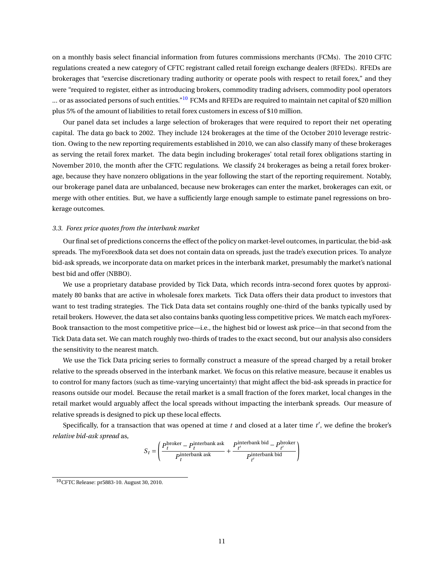on a monthly basis select financial information from futures commissions merchants (FCMs). The 2010 CFTC regulations created a new category of CFTC registrant called retail foreign exchange dealers (RFEDs). RFEDs are brokerages that "exercise discretionary trading authority or operate pools with respect to retail forex," and they were "required to register, either as introducing brokers, commodity trading advisers, commodity pool operators ... or as associated persons of such entities."<sup>[10](#page-13-0)</sup> FCMs and RFEDs are required to maintain net capital of \$20 million plus 5% of the amount of liabilities to retail forex customers in excess of \$10 million.

Our panel data set includes a large selection of brokerages that were required to report their net operating capital. The data go back to 2002. They include 124 brokerages at the time of the October 2010 leverage restriction. Owing to the new reporting requirements established in 2010, we can also classify many of these brokerages as serving the retail forex market. The data begin including brokerages' total retail forex obligations starting in November 2010, the month after the CFTC regulations. We classify 24 brokerages as being a retail forex brokerage, because they have nonzero obligations in the year following the start of the reporting requirement. Notably, our brokerage panel data are unbalanced, because new brokerages can enter the market, brokerages can exit, or merge with other entities. But, we have a sufficiently large enough sample to estimate panel regressions on brokerage outcomes.

# *3.3. Forex price quotes from the interbank market*

Our final set of predictions concerns the effect of the policy on market-level outcomes, in particular, the bid-ask spreads. The myForexBook data set does not contain data on spreads, just the trade's execution prices. To analyze bid-ask spreads, we incorporate data on market prices in the interbank market, presumably the market's national best bid and offer (NBBO).

We use a proprietary database provided by Tick Data, which records intra-second forex quotes by approximately 80 banks that are active in wholesale forex markets. Tick Data offers their data product to investors that want to test trading strategies. The Tick Data data set contains roughly one-third of the banks typically used by retail brokers. However, the data set also contains banks quoting less competitive prices. We match each myForex-Book transaction to the most competitive price—i.e., the highest bid or lowest ask price—in that second from the Tick Data data set. We can match roughly two-thirds of trades to the exact second, but our analysis also considers the sensitivity to the nearest match.

We use the Tick Data pricing series to formally construct a measure of the spread charged by a retail broker relative to the spreads observed in the interbank market. We focus on this relative measure, because it enables us to control for many factors (such as time-varying uncertainty) that might affect the bid-ask spreads in practice for reasons outside our model. Because the retail market is a small fraction of the forex market, local changes in the retail market would arguably affect the local spreads without impacting the interbank spreads. Our measure of relative spreads is designed to pick up these local effects.

Specifically, for a transaction that was opened at time  $t$  and closed at a later time  $t'$ , we define the broker's *relative bid-ask spread* as,

$$
S_t = \left(\frac{P_t^{\text{broken}} - P_t^{\text{interbank ask}}}{P_t^{\text{interbank ask}}} + \frac{P_t^{\text{interbank bid}} - P_t^{\text{broken}}}{P_t^{\text{interbank bid}}}\right)
$$

<span id="page-13-0"></span><sup>10</sup>CFTC Release: pr5883-10. August 30, 2010.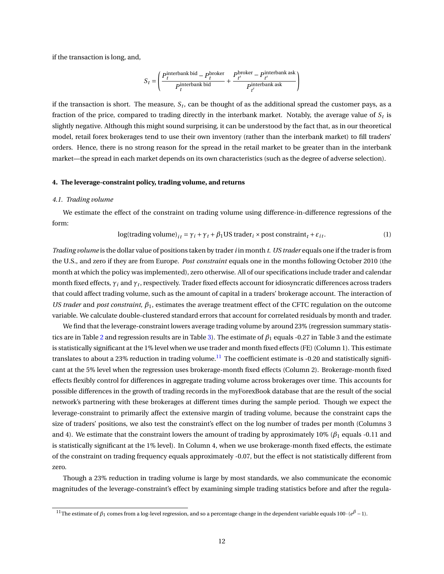if the transaction is long, and,

$$
S_t = \left(\frac{P_t^{\text{interbank bid}} - P_t^{\text{broken}}}{P_t^{\text{interbank bid}}} + \frac{P_t^{\text{broken}} - P_t^{\text{interbank ask}}}{P_t^{\text{interbank ask}}}\right)
$$

if the transaction is short. The measure, *S<sup>t</sup>* , can be thought of as the additional spread the customer pays, as a fraction of the price, compared to trading directly in the interbank market. Notably, the average value of  $S_t$  is slightly negative. Although this might sound surprising, it can be understood by the fact that, as in our theoretical model, retail forex brokerages tend to use their own inventory (rather than the interbank market) to fill traders' orders. Hence, there is no strong reason for the spread in the retail market to be greater than in the interbank market—the spread in each market depends on its own characteristics (such as the degree of adverse selection).

# <span id="page-14-0"></span>**4. The leverage-constraint policy, trading volume, and returns**

#### *4.1. Trading volume*

We estimate the effect of the constraint on trading volume using difference-in-difference regressions of the form:

<span id="page-14-2"></span>
$$
log(traing volume)_{it} = \gamma_i + \gamma_t + \beta_1 US\,\, \gamma_i \times post\, constraint_t + \varepsilon_{it}.
$$
 (1)

*Trading volume* is the dollar value of positions taken by trader*i* in month *t. US trader* equals one if the trader is from the U.S., and zero if they are from Europe. *Post constraint* equals one in the months following October 2010 (the month at which the policy was implemented), zero otherwise. All of our specifications include trader and calendar month fixed effects, *γ<sup>i</sup>* and *γ<sup>t</sup>* , respectively. Trader fixed effects account for idiosyncratic differences across traders that could affect trading volume, such as the amount of capital in a traders' brokerage account. The interaction of *US trader* and *post constraint*, *β*1, estimates the average treatment effect of the CFTC regulation on the outcome variable. We calculate double-clustered standard errors that account for correlated residuals by month and trader.

We find that the leverage-constraint lowers average trading volume by around 23% (regression summary statis-tics are in Table [2](#page-27-0) and regression results are in Table [3\)](#page-28-0). The estimate of  $β_1$  equals -0.27 in Table 3 and the estimate is statistically significant at the 1% level when we use trader and month fixed effects (FE) (Column 1). This estimate translates to about a 23% reduction in trading volume.<sup>[11](#page-14-1)</sup> The coefficient estimate is -0.20 and statistically significant at the 5% level when the regression uses brokerage-month fixed effects (Column 2). Brokerage-month fixed effects flexibly control for differences in aggregate trading volume across brokerages over time. This accounts for possible differences in the growth of trading records in the myForexBook database that are the result of the social network's partnering with these brokerages at different times during the sample period. Though we expect the leverage-constraint to primarily affect the extensive margin of trading volume, because the constraint caps the size of traders' positions, we also test the constraint's effect on the log number of trades per month (Columns 3 and 4). We estimate that the constraint lowers the amount of trading by approximately 10% (*β*<sup>1</sup> equals -0.11 and is statistically significant at the 1% level). In Column 4, when we use brokerage-month fixed effects, the estimate of the constraint on trading frequency equals approximately -0.07, but the effect is not statistically different from zero.

Though a 23% reduction in trading volume is large by most standards, we also communicate the economic magnitudes of the leverage-constraint's effect by examining simple trading statistics before and after the regula-

<span id="page-14-1"></span><sup>&</sup>lt;sup>11</sup>The estimate of  $\beta_1$  comes from a log-level regression, and so a percentage change in the dependent variable equals 100·( $e^{\beta}$  – 1).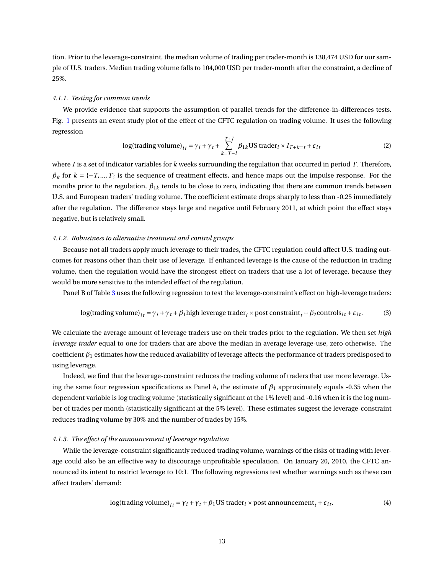tion. Prior to the leverage-constraint, the median volume of trading per trader-month is 138,474 USD for our sample of U.S. traders. Median trading volume falls to 104,000 USD per trader-month after the constraint, a decline of 25%.

#### *4.1.1. Testing for common trends*

We provide evidence that supports the assumption of parallel trends for the difference-in-differences tests. Fig. [1](#page-34-0) presents an event study plot of the effect of the CFTC regulation on trading volume. It uses the following regression

log(trading volume)<sub>it</sub> = 
$$
\gamma_i + \gamma_t + \sum_{k=T-l}^{T+l} \beta_{1k} US\ \text{trader}_i \times I_{T+k=t} + \varepsilon_{it}
$$
 (2)

where *I* is a set of indicator variables for *k* weeks surrounding the regulation that occurred in period *T*. Therefore,  $\beta_k$  for  $k = \{-T, ..., T\}$  is the sequence of treatment effects, and hence maps out the impulse response. For the months prior to the regulation,  $\beta_{1k}$  tends to be close to zero, indicating that there are common trends between U.S. and European traders' trading volume. The coefficient estimate drops sharply to less than -0.25 immediately after the regulation. The difference stays large and negative until February 2011, at which point the effect stays negative, but is relatively small.

## *4.1.2. Robustness to alternative treatment and control groups*

Because not all traders apply much leverage to their trades, the CFTC regulation could affect U.S. trading outcomes for reasons other than their use of leverage. If enhanced leverage is the cause of the reduction in trading volume, then the regulation would have the strongest effect on traders that use a lot of leverage, because they would be more sensitive to the intended effect of the regulation.

Panel B of Table [3](#page-28-0) uses the following regression to test the leverage-constraint's effect on high-leverage traders:

log(trading volume)<sub>*it*</sub> = 
$$
\gamma_i + \gamma_t + \beta_1
$$
high leverage trade<sub>*t*</sub> × post constraint<sub>*t*</sub> +  $\beta_2$  controls<sub>*it*</sub> +  $\varepsilon_{it}$ . (3)

We calculate the average amount of leverage traders use on their trades prior to the regulation. We then set *high leverage trader* equal to one for traders that are above the median in average leverage-use, zero otherwise. The coefficient  $\beta_1$  estimates how the reduced availability of leverage affects the performance of traders predisposed to using leverage.

Indeed, we find that the leverage-constraint reduces the trading volume of traders that use more leverage. Using the same four regression specifications as Panel A, the estimate of *β*<sup>1</sup> approximately equals -0.35 when the dependent variable is log trading volume (statistically significant at the 1% level) and -0.16 when it is the log number of trades per month (statistically significant at the 5% level). These estimates suggest the leverage-constraint reduces trading volume by 30% and the number of trades by 15%.

#### *4.1.3. The effect of the announcement of leverage regulation*

While the leverage-constraint significantly reduced trading volume, warnings of the risks of trading with leverage could also be an effective way to discourage unprofitable speculation. On January 20, 2010, the CFTC announced its intent to restrict leverage to 10:1. The following regressions test whether warnings such as these can affect traders' demand:

$$
log(traing volume)_{it} = \gamma_i + \gamma_t + \beta_1 US\,\gamma_i \times post\,announcement_t + \varepsilon_{it}.
$$
 (4)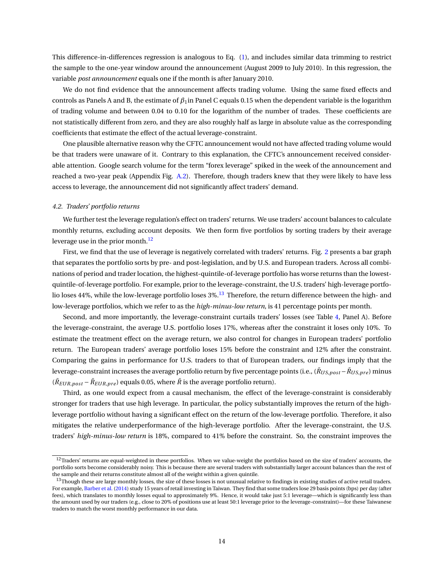This difference-in-differences regression is analogous to Eq. [\(1\)](#page-14-2), and includes similar data trimming to restrict the sample to the one-year window around the announcement (August 2009 to July 2010). In this regression, the variable *post announcement* equals one if the month is after January 2010.

We do not find evidence that the announcement affects trading volume. Using the same fixed effects and controls as Panels A and B, the estimate of *β*1in Panel C equals 0.15 when the dependent variable is the logarithm of trading volume and between 0.04 to 0.10 for the logarithm of the number of trades. These coefficients are not statistically different from zero, and they are also roughly half as large in absolute value as the corresponding coefficients that estimate the effect of the actual leverage-constraint.

One plausible alternative reason why the CFTC announcement would not have affected trading volume would be that traders were unaware of it. Contrary to this explanation, the CFTC's announcement received considerable attention. Google search volume for the term "forex leverage" spiked in the week of the announcement and reached a two-year peak (Appendix Fig. [A.2\)](#page-49-0). Therefore, though traders knew that they were likely to have less access to leverage, the announcement did not significantly affect traders' demand.

#### *4.2. Traders' portfolio returns*

We further test the leverage regulation's effect on traders' returns. We use traders' account balances to calculate monthly returns, excluding account deposits. We then form five portfolios by sorting traders by their average leverage use in the prior month. $^{12}$  $^{12}$  $^{12}$ 

First, we find that the use of leverage is negatively correlated with traders' returns. Fig. [2](#page-35-0) presents a bar graph that separates the portfolio sorts by pre- and post-legislation, and by U.S. and European traders. Across all combinations of period and trader location, the highest-quintile-of-leverage portfolio has worse returns than the lowestquintile-of-leverage portfolio. For example, prior to the leverage-constraint, the U.S. traders' high-leverage portfo-lio loses 44%, while the low-leverage portfolio loses 3%.<sup>[13](#page-16-1)</sup> Therefore, the return difference between the high- and low-leverage portfolios, which we refer to as the *high-minus-low return*, is 41 percentage points per month.

Second, and more importantly, the leverage-constraint curtails traders' losses (see Table [4,](#page-29-0) Panel A). Before the leverage-constraint, the average U.S. portfolio loses 17%, whereas after the constraint it loses only 10%. To estimate the treatment effect on the average return, we also control for changes in European traders' portfolio return. The European traders' average portfolio loses 15% before the constraint and 12% after the constraint. Comparing the gains in performance for U.S. traders to that of European traders, our findings imply that the leverage-constraint increases the average portfolio return by five percentage points (i.e., ( $\bar{R}_{US,post} - \bar{R}_{US,pre}$ ) minus  $(\bar{R}_{EUR,post} - \bar{R}_{EUR,pre})$  equals 0.05, where  $\bar{R}$  is the average portfolio return).

Third, as one would expect from a causal mechanism, the effect of the leverage-constraint is considerably stronger for traders that use high leverage. In particular, the policy substantially improves the return of the highleverage portfolio without having a significant effect on the return of the low-leverage portfolio. Therefore, it also mitigates the relative underperformance of the high-leverage portfolio. After the leverage-constraint, the U.S. traders' *high-minus-low return* is 18%, compared to 41% before the constraint. So, the constraint improves the

<span id="page-16-0"></span> $12$ Traders' returns are equal-weighted in these portfolios. When we value-weight the portfolios based on the size of traders' accounts, the portfolio sorts become considerably noisy. This is because there are several traders with substantially larger account balances than the rest of the sample and their returns constitute almost all of the weight within a given quintile.

<span id="page-16-1"></span><sup>&</sup>lt;sup>13</sup>Though these are large monthly losses, the size of these losses is not unusual relative to findings in existing studies of active retail traders. For example, [Barber et al.](#page-23-23) [\(2014\)](#page-23-23) study 15 years of retail investing in Taiwan. They find that some traders lose 29 basis points (bps) per day (after fees), which translates to monthly losses equal to approximately 9%. Hence, it would take just 5:1 leverage—which is significantly less than the amount used by our traders (e.g., close to 20% of positions use at least 50:1 leverage prior to the leverage-constraint)—for these Taiwanese traders to match the worst monthly performance in our data.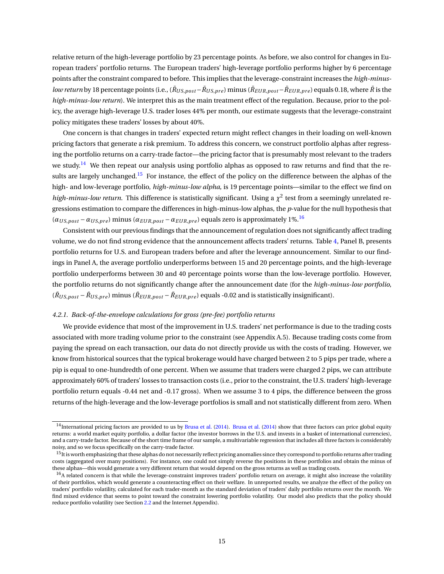relative return of the high-leverage portfolio by 23 percentage points. As before, we also control for changes in European traders' portfolio returns. The European traders' high-leverage portfolio performs higher by 6 percentage points after the constraint compared to before. This implies that the leverage-constraint increases the *high-minus*low return by 18 percentage points (i.e., ( $\bar{R}_{US,post} - \bar{R}_{US,pre}$ ) minus ( $\bar{R}_{EUR,post} - \bar{R}_{EUR,pre}$ ) equals 0.18, where  $\bar{R}$  is the *high-minus-low return*). We interpret this as the main treatment effect of the regulation. Because, prior to the policy, the average high-leverage U.S. trader loses 44% per month, our estimate suggests that the leverage-constraint policy mitigates these traders' losses by about 40%.

One concern is that changes in traders' expected return might reflect changes in their loading on well-known pricing factors that generate a risk premium. To address this concern, we construct portfolio alphas after regressing the portfolio returns on a carry-trade factor—the pricing factor that is presumably most relevant to the traders we study.<sup>[14](#page-17-0)</sup> We then repeat our analysis using portfolio alphas as opposed to raw returns and find that the re-sults are largely unchanged.<sup>[15](#page-17-1)</sup> For instance, the effect of the policy on the difference between the alphas of the high- and low-leverage portfolio, *high-minus-low alpha*, is 19 percentage points—similar to the effect we find on *high-minus-low return*. This difference is statistically significant. Using a  $\chi^2$  test from a seemingly unrelated regressions estimation to compare the differences in high-minus-low alphas, the *p*-value for the null hypothesis that  $(\alpha_{US,post} - \alpha_{US,pre})$  minus  $(\alpha_{EUR,post} - \alpha_{EUR,pre})$  equals zero is approximately 1%.<sup>[16](#page-17-2)</sup>

Consistent with our previous findings that the announcement of regulation does not significantly affect trading volume, we do not find strong evidence that the announcement affects traders' returns. Table [4,](#page-29-0) Panel B, presents portfolio returns for U.S. and European traders before and after the leverage announcement. Similar to our findings in Panel A, the average portfolio underperforms between 15 and 20 percentage points, and the high-leverage portfolio underperforms between 30 and 40 percentage points worse than the low-leverage portfolio. However, the portfolio returns do not significantly change after the announcement date (for the *high-minus-low portfolio*,  $(\bar{R}_{US,post} - \bar{R}_{US,pre})$  minus ( $\bar{R}_{EUR,post} - \bar{R}_{EUR,pre}$ ) equals -0.02 and is statistically insignificant).

# *4.2.1. Back-of-the-envelope calculations for gross (pre-fee) portfolio returns*

We provide evidence that most of the improvement in U.S. traders' net performance is due to the trading costs associated with more trading volume prior to the constraint (see Appendix A.5). Because trading costs come from paying the spread on each transaction, our data do not directly provide us with the costs of trading. However, we know from historical sources that the typical brokerage would have charged between 2 to 5 pips per trade, where a pip is equal to one-hundredth of one percent. When we assume that traders were charged 2 pips, we can attribute approximately 60% of traders' losses to transaction costs (i.e., prior to the constraint, the U.S. traders' high-leverage portfolio return equals -0.44 net and -0.17 gross). When we assume 3 to 4 pips, the difference between the gross returns of the high-leverage and the low-leverage portfolios is small and not statistically different from zero. When

<span id="page-17-0"></span><sup>&</sup>lt;sup>14</sup>International pricing factors are provided to us by [Brusa et al.](#page-23-1) [\(2014\)](#page-23-1). Brusa et al. (2014) show that three factors can price global equity returns: a world market equity portfolio, a dollar factor (the investor borrows in the U.S. and invests in a basket of international currencies), and a carry-trade factor. Because of the short time frame of our sample, a multivariable regression that includes all three factors is considerably noisy, and so we focus specifically on the carry-trade factor.

<span id="page-17-1"></span><sup>&</sup>lt;sup>15</sup>It is worth emphasizing that these alphas do not necessarily reflect pricing anomalies since they correspond to portfolio returns after trading costs (aggregated over many positions). For instance, one could not simply reverse the positions in these portfolios and obtain the minus of these alphas—this would generate a very different return that would depend on the gross returns as well as trading costs.

<span id="page-17-2"></span><sup>&</sup>lt;sup>16</sup>A related concern is that while the leverage-constraint improves traders' portfolio return on average, it might also increase the volatility of their portfolios, which would generate a counteracting effect on their welfare. In unreported results, we analyze the effect of the policy on traders' portfolio volatility, calculated for each trader-month as the standard deviation of traders' daily portfolio returns over the month. We find mixed evidence that seems to point toward the constraint lowering portfolio volatility. Our model also predicts that the policy should reduce portfolio volatility (see Section [2.2](#page-9-0) and the Internet Appendix).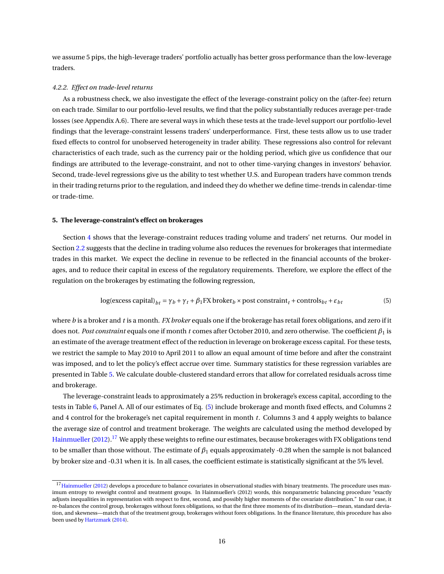we assume 5 pips, the high-leverage traders' portfolio actually has better gross performance than the low-leverage traders.

#### *4.2.2. Effect on trade-level returns*

As a robustness check, we also investigate the effect of the leverage-constraint policy on the (after-fee) return on each trade. Similar to our portfolio-level results, we find that the policy substantially reduces average per-trade losses (see Appendix A.6). There are several ways in which these tests at the trade-level support our portfolio-level findings that the leverage-constraint lessens traders' underperformance. First, these tests allow us to use trader fixed effects to control for unobserved heterogeneity in trader ability. These regressions also control for relevant characteristics of each trade, such as the currency pair or the holding period, which give us confidence that our findings are attributed to the leverage-constraint, and not to other time-varying changes in investors' behavior. Second, trade-level regressions give us the ability to test whether U.S. and European traders have common trends in their trading returns prior to the regulation, and indeed they do whether we define time-trends in calendar-time or trade-time.

## <span id="page-18-0"></span>**5. The leverage-constraint's effect on brokerages**

Section [4](#page-14-0) shows that the leverage-constraint reduces trading volume and traders' net returns. Our model in Section [2.2](#page-9-0) suggests that the decline in trading volume also reduces the revenues for brokerages that intermediate trades in this market. We expect the decline in revenue to be reflected in the financial accounts of the brokerages, and to reduce their capital in excess of the regulatory requirements. Therefore, we explore the effect of the regulation on the brokerages by estimating the following regression,

<span id="page-18-1"></span>
$$
\log(\text{excess capital})_{bt} = \gamma_b + \gamma_t + \beta_1 \text{FX broker}_b \times \text{post constraint}_t + \text{controls}_{bt} + \varepsilon_{bt}
$$
\n
$$
\tag{5}
$$

where *b* is a broker and *t* is a month. *FX broker* equals one if the brokerage has retail forex obligations, and zero if it does not. *Post constraint* equals one if month *t* comes after October 2010, and zero otherwise. The coefficient *β*<sup>1</sup> is an estimate of the average treatment effect of the reduction in leverage on brokerage excess capital. For these tests, we restrict the sample to May 2010 to April 2011 to allow an equal amount of time before and after the constraint was imposed, and to let the policy's effect accrue over time. Summary statistics for these regression variables are presented in Table [5.](#page-30-0) We calculate double-clustered standard errors that allow for correlated residuals across time and brokerage.

The leverage-constraint leads to approximately a 25% reduction in brokerage's excess capital, according to the tests in Table [6,](#page-31-0) Panel A. All of our estimates of Eq. [\(5\)](#page-18-1) include brokerage and month fixed effects, and Columns 2 and 4 control for the brokerage's net capital requirement in month *t*. Columns 3 and 4 apply weights to balance the average size of control and treatment brokerage. The weights are calculated using the method developed by Hainmueller (2012).<sup>[17](#page-18-2)</sup> We apply these weights to refine our estimates, because brokerages with FX obligations tend to be smaller than those without. The estimate of *β*<sup>1</sup> equals approximately -0.28 when the sample is not balanced by broker size and -0.31 when it is. In all cases, the coefficient estimate is statistically significant at the 5% level.

<span id="page-18-2"></span> $^{17}$ [Hainmueller](#page-24-23) [\(2012\)](#page-24-23) develops a procedure to balance covariates in observational studies with binary treatments. The procedure uses maximum entropy to reweight control and treatment groups. In Hainmueller's (2012) words, this nonparametric balancing procedure "exactly adjusts inequalities in representation with respect to first, second, and possibly higher moments of the covariate distribution." In our case, it re-balances the control group, brokerages without forex obligations, so that the first three moments of its distribution—mean, standard deviation, and skewness—match that of the treatment group, brokerages without forex obligations. In the finance literature, this procedure has also been used by [Hartzmark](#page-24-24) [\(2014\)](#page-24-24).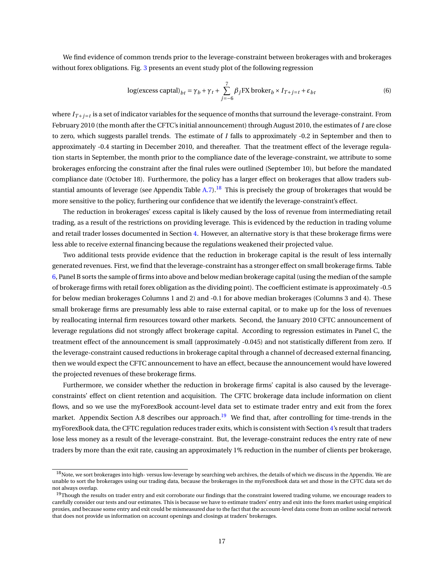We find evidence of common trends prior to the leverage-constraint between brokerages with and brokerages without forex obligations. Fig. [3](#page-36-0) presents an event study plot of the following regression

log(excess capital)<sub>bt</sub> = 
$$
\gamma_b + \gamma_t + \sum_{j=-6}^{7} \beta_j \text{FX broker}_b \times I_{T+j=t} + \varepsilon_{bt}
$$
 (6)

where  $I_{T+j=t}$  is a set of indicator variables for the sequence of months that surround the leverage-constraint. From February 2010 (the month after the CFTC's initial announcement) through August 2010, the estimates of *I* are close to zero, which suggests parallel trends. The estimate of *I* falls to approximately -0.2 in September and then to approximately -0.4 starting in December 2010, and thereafter. That the treatment effect of the leverage regulation starts in September, the month prior to the compliance date of the leverage-constraint, we attribute to some brokerages enforcing the constraint after the final rules were outlined (September 10), but before the mandated compliance date (October 18). Furthermore, the policy has a larger effect on brokerages that allow traders sub-stantial amounts of leverage (see Appendix Table [A.7\)](#page-57-0).<sup>[18](#page-19-0)</sup> This is precisely the group of brokerages that would be more sensitive to the policy, furthering our confidence that we identify the leverage-constraint's effect.

The reduction in brokerages' excess capital is likely caused by the loss of revenue from intermediating retail trading, as a result of the restrictions on providing leverage. This is evidenced by the reduction in trading volume and retail trader losses documented in Section [4.](#page-14-0) However, an alternative story is that these brokerage firms were less able to receive external financing because the regulations weakened their projected value.

Two additional tests provide evidence that the reduction in brokerage capital is the result of less internally generated revenues. First, we find that the leverage-constraint has a stronger effect on small brokerage firms. Table [6,](#page-31-0) Panel B sorts the sample of firms into above and below median brokerage capital (using the median of the sample of brokerage firms with retail forex obligation as the dividing point). The coefficient estimate is approximately -0.5 for below median brokerages Columns 1 and 2) and -0.1 for above median brokerages (Columns 3 and 4). These small brokerage firms are presumably less able to raise external capital, or to make up for the loss of revenues by reallocating internal firm resources toward other markets. Second, the January 2010 CFTC announcement of leverage regulations did not strongly affect brokerage capital. According to regression estimates in Panel C, the treatment effect of the announcement is small (approximately -0.045) and not statistically different from zero. If the leverage-constraint caused reductions in brokerage capital through a channel of decreased external financing, then we would expect the CFTC announcement to have an effect, because the announcement would have lowered the projected revenues of these brokerage firms.

Furthermore, we consider whether the reduction in brokerage firms' capital is also caused by the leverageconstraints' effect on client retention and acquisition. The CFTC brokerage data include information on client flows, and so we use the myForexBook account-level data set to estimate trader entry and exit from the forex market. Appendix Section A.8 describes our approach.<sup>[19](#page-19-1)</sup> We find that, after controlling for time-trends in the myForexBook data, the CFTC regulation reduces trader exits, which is consistent with Section [4'](#page-14-0)s result that traders lose less money as a result of the leverage-constraint. But, the leverage-constraint reduces the entry rate of new traders by more than the exit rate, causing an approximately 1% reduction in the number of clients per brokerage,

<span id="page-19-0"></span> $18$ Note, we sort brokerages into high-versus low-leverage by searching web archives, the details of which we discuss in the Appendix. We are unable to sort the brokerages using our trading data, because the brokerages in the myForexBook data set and those in the CFTC data set do not always overlap.

<span id="page-19-1"></span><sup>&</sup>lt;sup>19</sup>Though the results on trader entry and exit corroborate our findings that the constraint lowered trading volume, we encourage readers to carefully consider our tests and our estimates. This is because we have to estimate traders' entry and exit into the forex market using empirical proxies, and because some entry and exit could be mismeasured due to the fact that the account-level data come from an online social network that does not provide us information on account openings and closings at traders' brokerages.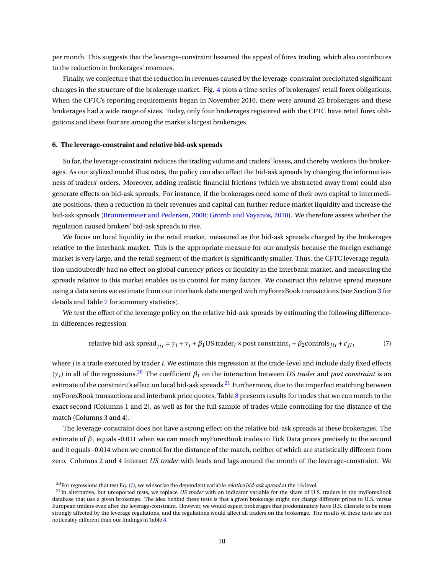per month. This suggests that the leverage-constraint lessened the appeal of forex trading, which also contributes to the reduction in brokerages' revenues.

Finally, we conjecture that the reduction in revenues caused by the leverage-constraint precipitated significant changes in the structure of the brokerage market. Fig. [4](#page-37-0) plots a time series of brokerages' retail forex obligations. When the CFTC's reporting requirements began in November 2010, there were around 25 brokerages and these brokerages had a wide range of sizes. Today, only four brokerages registered with the CFTC have retail forex obligations and these four are among the market's largest brokerages.

#### <span id="page-20-0"></span>**6. The leverage-constraint and relative bid-ask spreads**

So far, the leverage-constraint reduces the trading volume and traders' losses, and thereby weakens the brokerages. As our stylized model illustrates, the policy can also affect the bid-ask spreads by changing the informativeness of traders' orders. Moreover, adding realistic financial frictions (which we abstracted away from) could also generate effects on bid-ask spreads. For instance, if the brokerages need some of their own capital to intermediate positions, then a reduction in their revenues and capital can further reduce market liquidity and increase the bid-ask spreads [\(Brunnermeier and Pedersen,](#page-23-3) [2008;](#page-23-3) [Gromb and Vayanos,](#page-24-25) [2010\)](#page-24-25). We therefore assess whether the regulation caused brokers' bid-ask spreads to rise.

We focus on local liquidity in the retail market, measured as the bid-ask spreads charged by the brokerages relative to the interbank market. This is the appropriate measure for our analysis because the foreign exchange market is very large, and the retail segment of the market is significantly smaller. Thus, the CFTC leverage regulation undoubtedly had no effect on global currency prices or liquidity in the interbank market, and measuring the spreads relative to this market enables us to control for many factors. We construct this relative spread measure using a data series we estimate from our interbank data merged with myForexBook transactions (see Section [3](#page-10-0) for details and Table [7](#page-32-0) for summary statistics).

We test the effect of the leverage policy on the relative bid-ask spreads by estimating the following differencein-differences regression

<span id="page-20-3"></span>relative bid-ask spread<sub>jit</sub> = 
$$
\gamma_i + \gamma_t + \beta_1 US \, \text{trader}_i \times \text{post constraint}_t + \beta_2 \, \text{controls}_{jit} + \varepsilon_{jit}
$$
 (7)

where *j* is a trade executed by trader *i.* We estimate this regression at the trade-level and include daily fixed effects (*γt*) in all of the regressions.[20](#page-20-1) The coefficient *β*<sup>1</sup> on the interaction between *US trader* and *post constraint* is an estimate of the constraint's effect on local bid-ask spreads.<sup>[21](#page-20-2)</sup> Furthermore, due to the imperfect matching between myForexBook transactions and interbank price quotes, Table [8](#page-33-0) presents results for trades that we can match to the exact second (Columns 1 and 2), as well as for the full sample of trades while controlling for the distance of the match (Columns 3 and 4).

The leverage-constraint does not have a strong effect on the relative bid-ask spreads at these brokerages. The estimate of *β*<sup>1</sup> equals -0.011 when we can match myForexBook trades to Tick Data prices precisely to the second and it equals -0.014 when we control for the distance of the match, neither of which are statistically different from zero. Columns 2 and 4 interact *US trader* with leads and lags around the month of the leverage-constraint. We

<span id="page-20-2"></span><span id="page-20-1"></span><sup>20</sup>For regressions that test Eq. [\(7\)](#page-20-3), we winsorize the dependent variable *relative bid-ask spread* at the 1% level.

<sup>&</sup>lt;sup>21</sup>In alternative, but unreported tests, we replace *US trader* with an indicator variable for the share of U.S. traders in the myForexBook database that use a given brokerage. The idea behind these tests is that a given brokerage might not charge different prices to U.S. versus European traders even after the leverage-constraint. However, we would expect brokerages that predominately have U.S. clientele to be more strongly affected by the leverage regulations, and the regulations would affect all traders on the brokerage. The results of these tests are not noticeably different than our findings in Table [8.](#page-33-0)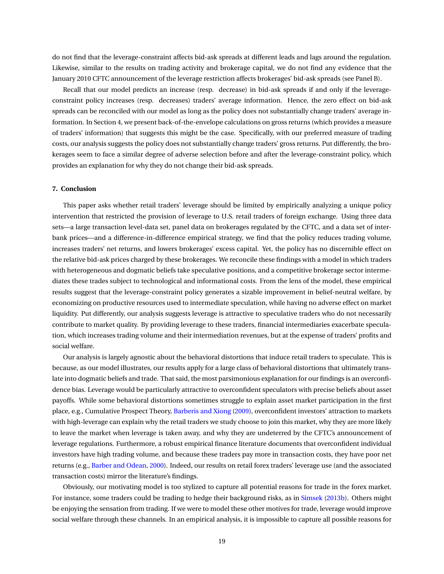do not find that the leverage-constraint affects bid-ask spreads at different leads and lags around the regulation. Likewise, similar to the results on trading activity and brokerage capital, we do not find any evidence that the January 2010 CFTC announcement of the leverage restriction affects brokerages' bid-ask spreads (see Panel B).

Recall that our model predicts an increase (resp. decrease) in bid-ask spreads if and only if the leverageconstraint policy increases (resp. decreases) traders' average information. Hence, the zero effect on bid-ask spreads can be reconciled with our model as long as the policy does not substantially change traders' average information. In Section 4, we present back-of-the-envelope calculations on gross returns (which provides a measure of traders' information) that suggests this might be the case. Specifically, with our preferred measure of trading costs, our analysis suggests the policy does not substantially change traders' gross returns. Put differently, the brokerages seem to face a similar degree of adverse selection before and after the leverage-constraint policy, which provides an explanation for why they do not change their bid-ask spreads.

# <span id="page-21-0"></span>**7. Conclusion**

This paper asks whether retail traders' leverage should be limited by empirically analyzing a unique policy intervention that restricted the provision of leverage to U.S. retail traders of foreign exchange. Using three data sets—a large transaction level-data set, panel data on brokerages regulated by the CFTC, and a data set of interbank prices—and a difference-in-difference empirical strategy, we find that the policy reduces trading volume, increases traders' net returns, and lowers brokerages' excess capital. Yet, the policy has no discernible effect on the relative bid-ask prices charged by these brokerages. We reconcile these findings with a model in which traders with heterogeneous and dogmatic beliefs take speculative positions, and a competitive brokerage sector intermediates these trades subject to technological and informational costs. From the lens of the model, these empirical results suggest that the leverage-constraint policy generates a sizable improvement in belief-neutral welfare, by economizing on productive resources used to intermediate speculation, while having no adverse effect on market liquidity. Put differently, our analysis suggests leverage is attractive to speculative traders who do not necessarily contribute to market quality. By providing leverage to these traders, financial intermediaries exacerbate speculation, which increases trading volume and their intermediation revenues, but at the expense of traders' profits and social welfare.

Our analysis is largely agnostic about the behavioral distortions that induce retail traders to speculate. This is because, as our model illustrates, our results apply for a large class of behavioral distortions that ultimately translate into dogmatic beliefs and trade. That said, the most parsimonious explanation for our findings is an overconfidence bias. Leverage would be particularly attractive to overconfident speculators with precise beliefs about asset payoffs. While some behavioral distortions sometimes struggle to explain asset market participation in the first place, e.g., Cumulative Prospect Theory, [Barberis and Xiong](#page-23-24) [\(2009\)](#page-23-24), overconfident investors' attraction to markets with high-leverage can explain why the retail traders we study choose to join this market, why they are more likely to leave the market when leverage is taken away, and why they are undeterred by the CFTC's announcement of leverage regulations. Furthermore, a robust empirical finance literature documents that overconfident individual investors have high trading volume, and because these traders pay more in transaction costs, they have poor net returns (e.g., [Barber and Odean,](#page-23-22) [2000\)](#page-23-22). Indeed, our results on retail forex traders' leverage use (and the associated transaction costs) mirror the literature's findings.

Obviously, our motivating model is too stylized to capture all potential reasons for trade in the forex market. For instance, some traders could be trading to hedge their background risks, as in [Simsek](#page-25-13) [\(2013b\)](#page-25-13). Others might be enjoying the sensation from trading. If we were to model these other motives for trade, leverage would improve social welfare through these channels. In an empirical analysis, it is impossible to capture all possible reasons for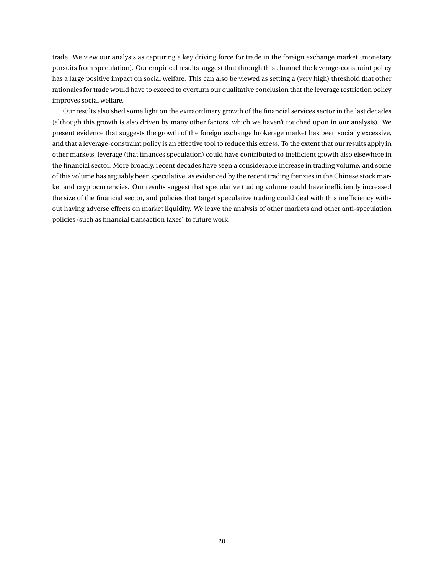trade. We view our analysis as capturing a key driving force for trade in the foreign exchange market (monetary pursuits from speculation). Our empirical results suggest that through this channel the leverage-constraint policy has a large positive impact on social welfare. This can also be viewed as setting a (very high) threshold that other rationales for trade would have to exceed to overturn our qualitative conclusion that the leverage restriction policy improves social welfare.

Our results also shed some light on the extraordinary growth of the financial services sector in the last decades (although this growth is also driven by many other factors, which we haven't touched upon in our analysis). We present evidence that suggests the growth of the foreign exchange brokerage market has been socially excessive, and that a leverage-constraint policy is an effective tool to reduce this excess. To the extent that our results apply in other markets, leverage (that finances speculation) could have contributed to inefficient growth also elsewhere in the financial sector. More broadly, recent decades have seen a considerable increase in trading volume, and some of this volume has arguably been speculative, as evidenced by the recent trading frenzies in the Chinese stock market and cryptocurrencies. Our results suggest that speculative trading volume could have inefficiently increased the size of the financial sector, and policies that target speculative trading could deal with this inefficiency without having adverse effects on market liquidity. We leave the analysis of other markets and other anti-speculation policies (such as financial transaction taxes) to future work.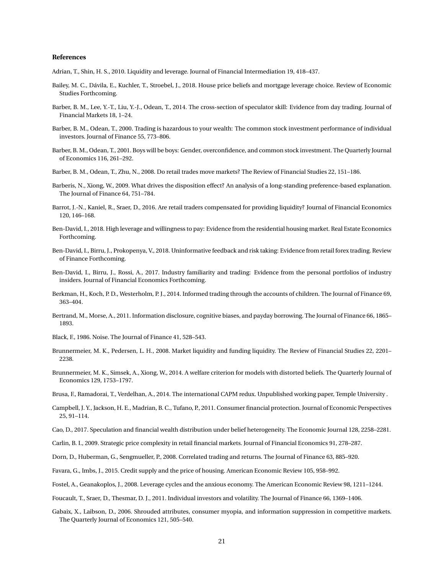#### <span id="page-23-25"></span>**References**

- <span id="page-23-12"></span>Adrian, T., Shin, H. S., 2010. Liquidity and leverage. Journal of Financial Intermediation 19, 418–437.
- <span id="page-23-20"></span>Bailey, M. C., Dávila, E., Kuchler, T., Stroebel, J., 2018. House price beliefs and mortgage leverage choice. Review of Economic Studies Forthcoming.
- <span id="page-23-23"></span>Barber, B. M., Lee, Y.-T., Liu, Y.-J., Odean, T., 2014. The cross-section of speculator skill: Evidence from day trading. Journal of Financial Markets 18, 1–24.
- <span id="page-23-22"></span>Barber, B. M., Odean, T., 2000. Trading is hazardous to your wealth: The common stock investment performance of individual investors. Journal of Finance 55, 773–806.
- <span id="page-23-4"></span>Barber, B. M., Odean, T., 2001. Boys will be boys: Gender, overconfidence, and common stock investment. The Quarterly Journal of Economics 116, 261–292.
- <span id="page-23-5"></span>Barber, B. M., Odean, T., Zhu, N., 2008. Do retail trades move markets? The Review of Financial Studies 22, 151–186.
- <span id="page-23-24"></span>Barberis, N., Xiong, W., 2009. What drives the disposition effect? An analysis of a long-standing preference-based explanation. The Journal of Finance 64, 751-784.
- <span id="page-23-7"></span>Barrot, J.-N., Kaniel, R., Sraer, D., 2016. Are retail traders compensated for providing liquidity? Journal of Financial Economics 120, 146–168.
- <span id="page-23-18"></span>Ben-David, I., 2018. High leverage and willingness to pay: Evidence from the residential housing market. Real Estate Economics Forthcoming.
- <span id="page-23-21"></span>Ben-David, I., Birru, J., Prokopenya, V., 2018. Uninformative feedback and risk taking: Evidence from retail forex trading. Review of Finance Forthcoming.
- <span id="page-23-9"></span>Ben-David, I., Birru, J., Rossi, A., 2017. Industry familiarity and trading: Evidence from the personal portfolios of industry insiders. Journal of Financial Economics Forthcoming.
- <span id="page-23-8"></span>Berkman, H., Koch, P. D., Westerholm, P. J., 2014. Informed trading through the accounts of children. The Journal of Finance 69, 363–404.
- <span id="page-23-17"></span>Bertrand, M., Morse, A., 2011. Information disclosure, cognitive biases, and payday borrowing. The Journal of Finance 66, 1865– 1893.
- <span id="page-23-0"></span>Black, F., 1986. Noise. The Journal of Finance 41, 528–543.
- <span id="page-23-3"></span>Brunnermeier, M. K., Pedersen, L. H., 2008. Market liquidity and funding liquidity. The Review of Financial Studies 22, 2201– 2238.
- <span id="page-23-2"></span>Brunnermeier, M. K., Simsek, A., Xiong, W., 2014. A welfare criterion for models with distorted beliefs. The Quarterly Journal of Economics 129, 1753–1797.
- <span id="page-23-1"></span>Brusa, F., Ramadorai, T., Verdelhan, A., 2014. The international CAPM redux. Unpublished working paper, Temple University .
- <span id="page-23-14"></span>Campbell, J. Y., Jackson, H. E., Madrian, B. C., Tufano, P., 2011. Consumer financial protection. Journal of Economic Perspectives 25, 91–114.
- <span id="page-23-13"></span>Cao, D., 2017. Speculation and financial wealth distribution under belief heterogeneity. The Economic Journal 128, 2258–2281.
- <span id="page-23-16"></span>Carlin, B. I., 2009. Strategic price complexity in retail financial markets. Journal of Financial Economics 91, 278–287.
- <span id="page-23-6"></span>Dorn, D., Huberman, G., Sengmueller, P., 2008. Correlated trading and returns. The Journal of Finance 63, 885–920.
- <span id="page-23-19"></span>Favara, G., Imbs, J., 2015. Credit supply and the price of housing. American Economic Review 105, 958–992.
- <span id="page-23-11"></span>Fostel, A., Geanakoplos, J., 2008. Leverage cycles and the anxious economy. The American Economic Review 98, 1211–1244.
- <span id="page-23-10"></span>Foucault, T., Sraer, D., Thesmar, D. J., 2011. Individual investors and volatility. The Journal of Finance 66, 1369–1406.
- <span id="page-23-15"></span>Gabaix, X., Laibson, D., 2006. Shrouded attributes, consumer myopia, and information suppression in competitive markets. The Quarterly Journal of Economics 121, 505–540.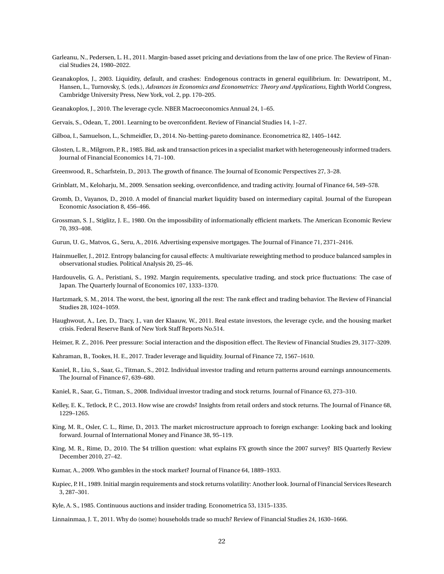- <span id="page-24-16"></span>Garleanu, N., Pedersen, L. H., 2011. Margin-based asset pricing and deviations from the law of one price. The Review of Financial Studies 24, 1980–2022.
- <span id="page-24-14"></span>Geanakoplos, J., 2003. Liquidity, default, and crashes: Endogenous contracts in general equilibrium. In: Dewatripont, M., Hansen, L., Turnovsky, S. (eds.), *Advances in Economics and Econometrics: Theory and Applications*, Eighth World Congress, Cambridge University Press, New York, vol. 2, pp. 170–205.
- <span id="page-24-15"></span>Geanakoplos, J., 2010. The leverage cycle. NBER Macroeconomics Annual 24, 1–65.
- <span id="page-24-1"></span>Gervais, S., Odean, T., 2001. Learning to be overconfident. Review of Financial Studies 14, 1–27.
- <span id="page-24-18"></span>Gilboa, I., Samuelson, L., Schmeidler, D., 2014. No-betting-pareto dominance. Econometrica 82, 1405–1442.
- <span id="page-24-4"></span>Glosten, L. R., Milgrom, P. R., 1985. Bid, ask and transaction prices in a specialist market with heterogeneously informed traders. Journal of Financial Economics 14, 71–100.
- <span id="page-24-0"></span>Greenwood, R., Scharfstein, D., 2013. The growth of finance. The Journal of Economic Perspectives 27, 3–28.
- <span id="page-24-5"></span>Grinblatt, M., Keloharju, M., 2009. Sensation seeking, overconfidence, and trading activity. Journal of Finance 64, 549–578.
- <span id="page-24-25"></span>Gromb, D., Vayanos, D., 2010. A model of financial market liquidity based on intermediary capital. Journal of the European Economic Association 8, 456–466.
- <span id="page-24-2"></span>Grossman, S. J., Stiglitz, J. E., 1980. On the impossibility of informationally efficient markets. The American Economic Review 70, 393–408.
- <span id="page-24-17"></span>Gurun, U. G., Matvos, G., Seru, A., 2016. Advertising expensive mortgages. The Journal of Finance 71, 2371–2416.
- <span id="page-24-23"></span>Hainmueller, J., 2012. Entropy balancing for causal effects: A multivariate reweighting method to produce balanced samples in observational studies. Political Analysis 20, 25–46.
- <span id="page-24-11"></span>Hardouvelis, G. A., Peristiani, S., 1992. Margin requirements, speculative trading, and stock price fluctuations: The case of Japan. The Quarterly Journal of Economics 107, 1333–1370.
- <span id="page-24-24"></span>Hartzmark, S. M., 2014. The worst, the best, ignoring all the rest: The rank effect and trading behavior. The Review of Financial Studies 28, 1024–1059.
- <span id="page-24-20"></span>Haughwout, A., Lee, D., Tracy, J., van der Klaauw, W., 2011. Real estate investors, the leverage cycle, and the housing market crisis. Federal Reserve Bank of New York Staff Reports No.514.
- <span id="page-24-21"></span>Heimer, R. Z., 2016. Peer pressure: Social interaction and the disposition effect. The Review of Financial Studies 29, 3177–3209.
- <span id="page-24-12"></span>Kahraman, B., Tookes, H. E., 2017. Trader leverage and liquidity. Journal of Finance 72, 1567–1610.
- <span id="page-24-9"></span>Kaniel, R., Liu, S., Saar, G., Titman, S., 2012. Individual investor trading and return patterns around earnings announcements. The Journal of Finance 67, 639–680.
- <span id="page-24-7"></span>Kaniel, R., Saar, G., Titman, S., 2008. Individual investor trading and stock returns. Journal of Finance 63, 273–310.
- <span id="page-24-8"></span>Kelley, E. K., Tetlock, P. C., 2013. How wise are crowds? Insights from retail orders and stock returns. The Journal of Finance 68, 1229–1265.
- <span id="page-24-13"></span>King, M. R., Osler, C. L., Rime, D., 2013. The market microstructure approach to foreign exchange: Looking back and looking forward. Journal of International Money and Finance 38, 95–119.
- <span id="page-24-19"></span>King, M. R., Rime, D., 2010. The \$4 trillion question: what explains FX growth since the 2007 survey? BIS Quarterly Review December 2010, 27–42.
- <span id="page-24-6"></span>Kumar, A., 2009. Who gambles in the stock market? Journal of Finance 64, 1889–1933.
- <span id="page-24-10"></span>Kupiec, P. H., 1989. Initial margin requirements and stock returns volatility: Another look. Journal of Financial Services Research 3, 287–301.
- <span id="page-24-3"></span>Kyle, A. S., 1985. Continuous auctions and insider trading. Econometrica 53, 1315–1335.

<span id="page-24-22"></span>Linnainmaa, J. T., 2011. Why do (some) households trade so much? Review of Financial Studies 24, 1630–1666.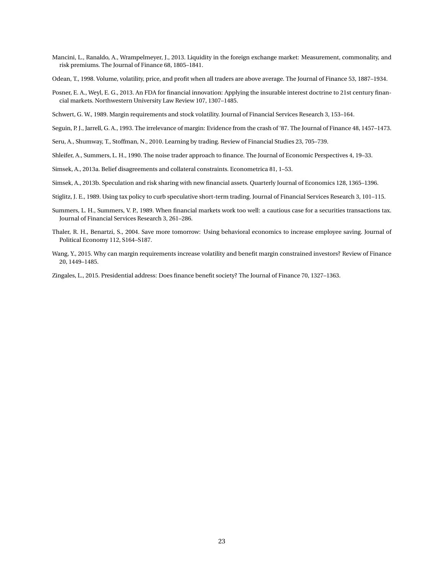- <span id="page-25-6"></span>Mancini, L., Ranaldo, A., Wrampelmeyer, J., 2013. Liquidity in the foreign exchange market: Measurement, commonality, and risk premiums. The Journal of Finance 68, 1805–1841.
- <span id="page-25-1"></span>Odean, T., 1998. Volume, volatility, price, and profit when all traders are above average. The Journal of Finance 53, 1887–1934.
- <span id="page-25-11"></span>Posner, E. A., Weyl, E. G., 2013. An FDA for financial innovation: Applying the insurable interest doctrine to 21st century financial markets. Northwestern University Law Review 107, 1307–1485.
- <span id="page-25-4"></span>Schwert, G. W., 1989. Margin requirements and stock volatility. Journal of Financial Services Research 3, 153–164.
- <span id="page-25-5"></span>Seguin, P. J., Jarrell, G. A., 1993. The irrelevance of margin: Evidence from the crash of '87. The Journal of Finance 48, 1457–1473.
- <span id="page-25-12"></span>Seru, A., Shumway, T., Stoffman, N., 2010. Learning by trading. Review of Financial Studies 23, 705–739.
- <span id="page-25-3"></span>Shleifer, A., Summers, L. H., 1990. The noise trader approach to finance. The Journal of Economic Perspectives 4, 19–33.
- <span id="page-25-7"></span>Simsek, A., 2013a. Belief disagreements and collateral constraints. Econometrica 81, 1–53.
- <span id="page-25-13"></span>Simsek, A., 2013b. Speculation and risk sharing with new financial assets. Quarterly Journal of Economics 128, 1365–1396.
- <span id="page-25-9"></span>Stiglitz, J. E., 1989. Using tax policy to curb speculative short-term trading. Journal of Financial Services Research 3, 101–115.
- <span id="page-25-10"></span>Summers, L. H., Summers, V. P., 1989. When financial markets work too well: a cautious case for a securities transactions tax. Journal of Financial Services Research 3, 261–286.
- <span id="page-25-2"></span>Thaler, R. H., Benartzi, S., 2004. Save more tomorrow: Using behavioral economics to increase employee saving. Journal of Political Economy 112, S164–S187.
- <span id="page-25-8"></span>Wang, Y., 2015. Why can margin requirements increase volatility and benefit margin constrained investors? Review of Finance 20, 1449–1485.

<span id="page-25-0"></span>Zingales, L., 2015. Presidential address: Does finance benefit society? The Journal of Finance 70, 1327–1363.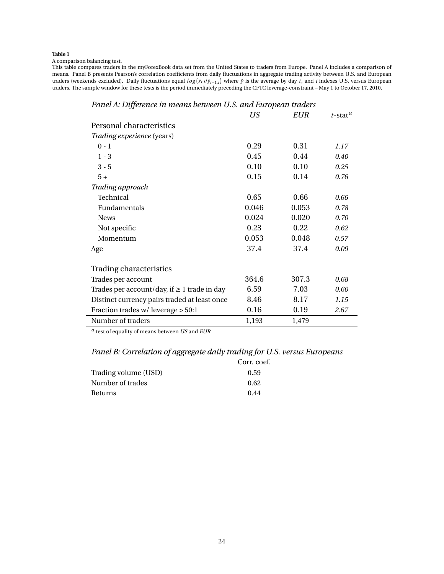<span id="page-26-0"></span>A comparison balancing test.

This table compares traders in the myForexBook data set from the United States to traders from Europe. Panel A includes a comparison of means. Panel B presents Pearson's correlation coefficients from daily fluctuations in aggregate trading activity between U.S. and European traders (weekends excluded). Daily fluctuations equal  $log(\bar{y}_{t,i}/\bar{y}_{t-1,i})$  where  $\bar{y}$  is the average by day  $t$ , and *i* indexes U.S. versus European traders. The sample window for these tests is the period immediately preceding the CFTC leverage-constraint – May 1 to October 17, 2010.

|                                                         | US    | EUR   | $t$ -stat $^a$ |
|---------------------------------------------------------|-------|-------|----------------|
| Personal characteristics                                |       |       |                |
| Trading experience (years)                              |       |       |                |
| $0 - 1$                                                 | 0.29  | 0.31  | 1.17           |
| $1 - 3$                                                 | 0.45  | 0.44  | 0.40           |
| $3 - 5$                                                 | 0.10  | 0.10  | 0.25           |
| $5+$                                                    | 0.15  | 0.14  | 0.76           |
| Trading approach                                        |       |       |                |
| Technical                                               | 0.65  | 0.66  | 0.66           |
| Fundamentals                                            | 0.046 | 0.053 | 0.78           |
| <b>News</b>                                             | 0.024 | 0.020 | 0.70           |
| Not specific                                            | 0.23  | 0.22  | 0.62           |
| Momentum                                                | 0.053 | 0.048 | 0.57           |
| Age                                                     | 37.4  | 37.4  | 0.09           |
|                                                         |       |       |                |
| Trading characteristics                                 |       |       |                |
| Trades per account                                      | 364.6 | 307.3 | 0.68           |
| Trades per account/day, if $\geq 1$ trade in day        | 6.59  | 7.03  | 0.60           |
| Distinct currency pairs traded at least once            | 8.46  | 8.17  | 1.15           |
| Fraction trades $w/$ leverage $> 50:1$                  | 0.16  | 0.19  | 2.67           |
| Number of traders                                       | 1,193 | 1,479 |                |
| $\emph{a}$ test of equality of means between US and EUR |       |       |                |

| Panel A: Difference in means between U.S. and European traders |  |  |
|----------------------------------------------------------------|--|--|
|                                                                |  |  |

*Panel B: Correlation of aggregate daily trading for U.S. versus Europeans*

|                      | Corr. coef. |  |
|----------------------|-------------|--|
| Trading volume (USD) | 0.59        |  |
| Number of trades     | 0.62        |  |
| Returns              | 0.44        |  |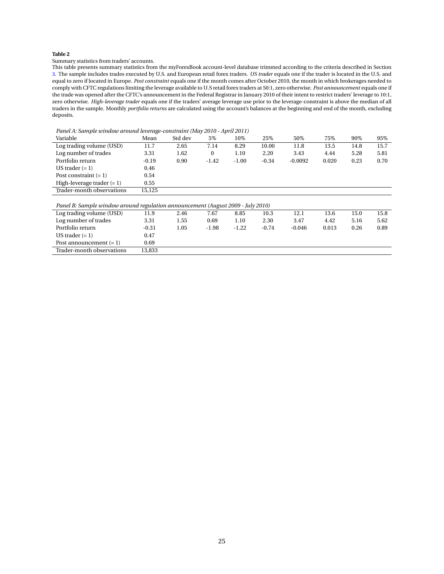#### <span id="page-27-0"></span>Summary statistics from traders' accounts.

This table presents summary statistics from the myForexBook account-level database trimmed according to the criteria described in Section [3.](#page-10-0) The sample includes trades executed by U.S. and European retail forex traders. *US trader* equals one if the trader is located in the U.S. and equal to zero if located in Europe. *Post constraint* equals one if the month comes after October 2010, the month in which brokerages needed to comply with CFTC regulations limiting the leverage available to U.S retail forex traders at 50:1, zero otherwise. *Post announcement* equals one if the trade was opened after the CFTC's announcement in the Federal Registrar in January 2010 of their intent to restrict traders' leverage to 10:1, zero otherwise. *High-leverage trader* equals one if the traders' average leverage use prior to the leverage-constraint is above the median of all traders in the sample. Monthly *portfolio returns* are calculated using the account's balances at the beginning and end of the month, excluding deposits.

| Panel A: Sample window around leverage-constraint (May 2010 - April 2011) |  |
|---------------------------------------------------------------------------|--|
|                                                                           |  |

| Variable                                                                        | Mean    | Std dev | 5%      | 10%     | 25%     | 50%       | 75%   | 90%  | 95%  |
|---------------------------------------------------------------------------------|---------|---------|---------|---------|---------|-----------|-------|------|------|
| Log trading volume (USD)                                                        | 11.7    | 2.65    | 7.14    | 8.29    | 10.00   | 11.8      | 13.5  | 14.8 | 15.7 |
| Log number of trades                                                            | 3.31    | 1.62    | 0       | 1.10    | 2.20    | 3.43      | 4.44  | 5.28 | 5.81 |
| Portfolio return                                                                | $-0.19$ | 0.90    | $-1.42$ | $-1.00$ | $-0.34$ | $-0.0092$ | 0.020 | 0.23 | 0.70 |
| US trader $(= 1)$                                                               | 0.46    |         |         |         |         |           |       |      |      |
| Post constraint $(=1)$                                                          | 0.54    |         |         |         |         |           |       |      |      |
| High-leverage trader $(= 1)$                                                    | 0.55    |         |         |         |         |           |       |      |      |
| Trader-month observations                                                       | 15,125  |         |         |         |         |           |       |      |      |
|                                                                                 |         |         |         |         |         |           |       |      |      |
| Panel B: Sample window around regulation announcement (August 2009 - July 2010) |         |         |         |         |         |           |       |      |      |
| Log trading volume (USD)                                                        | 11.9    | 2.46    | 7.67    | 8.85    | 10.3    | 12.1      | 13.6  | 15.0 | 15.8 |
| Log number of trades                                                            | 3.31    | 1.55    | 0.69    | 1.10    | 2.30    | 3.47      | 4.42  | 5.16 | 5.62 |
| Portfolio return                                                                | $-0.31$ | 1.05    | $-1.98$ | $-1.22$ | $-0.74$ | $-0.046$  | 0.013 | 0.26 | 0.89 |
| US trader $(= 1)$                                                               | 0.47    |         |         |         |         |           |       |      |      |
| Post announcement $(= 1)$                                                       | 0.69    |         |         |         |         |           |       |      |      |

| Post announcement $(= 1)$ | 0.69   |
|---------------------------|--------|
| Trader-month observations | 13.833 |
|                           |        |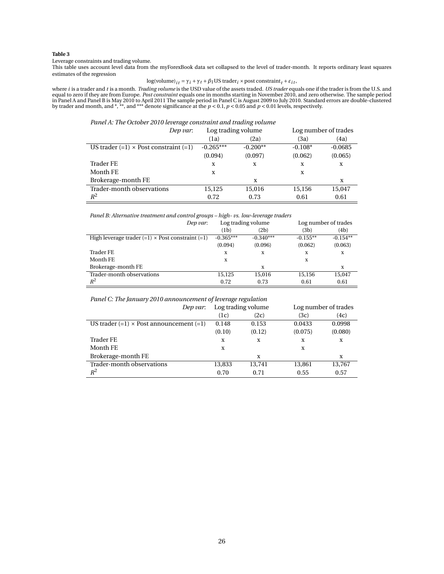<span id="page-28-0"></span>Leverage constraints and trading volume.

This table uses account level data from the myForexBook data set collapsed to the level of trader-month. It reports ordinary least squares estimates of the regression

# $log($ volume) $i_t = \gamma_i + \gamma_t + \beta_1$ US trader $i \times post$  constraint $t_t + \varepsilon_i$ ;

where *i* is a trader and *t* is a month. *Trading volume* is the USD value of the assets traded. *US trader* equals one if the trader is from the U.S. and<br>equal to zero if they are from Europe. *Post constraint* equals o

# *Panel A: The October 2010 leverage constraint and trading volume*

| Dep var:                                       | Log trading volume |            |           | Log number of trades |
|------------------------------------------------|--------------------|------------|-----------|----------------------|
|                                                | (1a)               | (2a)       | (3a)      | (4a)                 |
| US trader $(=1) \times$ Post constraint $(=1)$ | $-0.265***$        | $-0.200**$ | $-0.108*$ | $-0.0685$            |
|                                                | (0.094)            | (0.097)    | (0.062)   | (0.065)              |
| Trader FE                                      | X                  | X          | X         | X                    |
| Month FE                                       | X                  |            | X         |                      |
| Brokerage-month FE                             |                    | X          |           | X                    |
| Trader-month observations                      | 15,125             | 15,016     | 15,156    | 15,047               |
| $R^2$                                          | 0.72               | 0.73       | 0.61      | 0.61                 |

# *Panel B: Alternative treatment and control groups – high- vs. low-leverage traders*

| Dep var:                                                  |             | Log trading volume |            | Log number of trades |
|-----------------------------------------------------------|-------------|--------------------|------------|----------------------|
|                                                           | (1b)        | (2b)               | (3b)       | (4b)                 |
| High leverage trader $(=1) \times$ Post constraint $(=1)$ | $-0.365***$ | $-0.340***$        | $-0.155**$ | $-0.154**$           |
|                                                           | (0.094)     | (0.096)            | (0.062)    | (0.063)              |
| Trader FE                                                 | X           | X                  | X          | X                    |
| Month FE                                                  | X           |                    | X          |                      |
| Brokerage-month FE                                        |             | X                  |            | X                    |
| Trader-month observations                                 | 15,125      | 15.016             | 15,156     | 15,047               |
| $R^2$                                                     | 0.72        | 0.73               | 0.61       | 0.61                 |

# *Panel C: The January 2010 announcement of leverage regulation*

| Dep var:                                         |        | Log trading volume |         | Log number of trades |
|--------------------------------------------------|--------|--------------------|---------|----------------------|
|                                                  | (1c)   | (2c)               | (3c)    | (4c)                 |
| US trader $(=1) \times$ Post announcement $(=1)$ | 0.148  | 0.153              | 0.0433  | 0.0998               |
|                                                  | (0.10) | (0.12)             | (0.075) | (0.080)              |
| <b>Trader FE</b>                                 | X      | X                  | X       | X                    |
| Month FE                                         | X      |                    | X       |                      |
| Brokerage-month FE                               |        | X                  |         | X                    |
| Trader-month observations                        | 13,833 | 13,741             | 13,861  | 13,767               |
| $R^2$                                            | 0.70   | 0.71               | 0.55    | 0.57                 |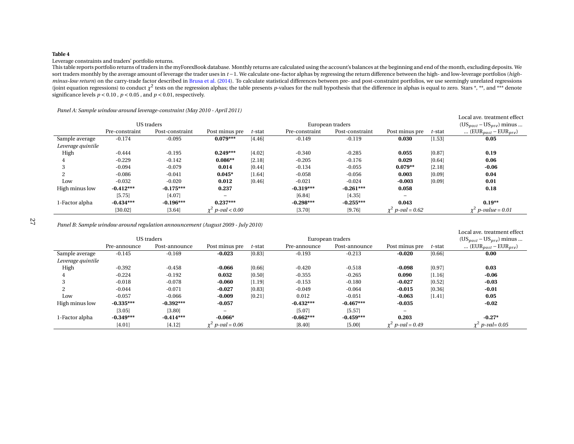#### <span id="page-29-0"></span>Leverage constraints and traders' portfolio returns.

 This table reports portfolio returns of traders in the myForexBook database. Monthly returns are calculated using the account's balances at the beginning and end of the month, excluding deposits. We sort traders monthly by the average amount of leverage the trader uses in *<sup>t</sup>* <sup>−</sup>1. We calculate one-factor alphas by regressing the return difference between the high- and low-leverage portfolios (*highminus-low return*) on the carry-trade factor described in [Brusa](#page-23-25) et al. [\(2014\)](#page-23-25). To calculate statistical differences between pre- and post-constraint portfolios, we use seemingly unrelated regressions (joint equation regressions) to conduct  $\chi^2$  tests on the regression alphas; the table presents *p*-values for the null hypothesis that the difference in alphas is equal to zero. Stars \*, \*\*, and \*\*\* denote significance levels  $p < 0.10$  ,  $p < 0.05$  , and  $p < 0.01$ , respectively.

|                   |                |                 |                       |        |                |                  |                          |           | Local ave. treatment effect    |
|-------------------|----------------|-----------------|-----------------------|--------|----------------|------------------|--------------------------|-----------|--------------------------------|
|                   |                | US traders      |                       |        |                | European traders |                          |           | $(US_{post} - US_{pre})$ minus |
|                   | Pre-constraint | Post-constraint | Post minus pre        | t-stat | Pre-constraint | Post-constraint  | Post minus pre           | $t$ -stat | $(EUR_{post} - EUR_{pre})$     |
| Sample average    | $-0.174$       | $-0.095$        | $0.079***$            | [4.46] | $-0.149$       | $-0.119$         | 0.030                    | $[1.53]$  | 0.05                           |
| Leverage quintile |                |                 |                       |        |                |                  |                          |           |                                |
| High              | $-0.444$       | $-0.195$        | $0.249***$            | [4.02] | $-0.340$       | $-0.285$         | 0.055                    | [0.87]    | 0.19                           |
| 4                 | $-0.229$       | $-0.142$        | $0.086**$             | [2.18] | $-0.205$       | $-0.176$         | 0.029                    | [0.64]    | 0.06                           |
| 3                 | $-0.094$       | $-0.079$        | 0.014                 | [0.44] | $-0.134$       | $-0.055$         | $0.079**$                | [2.18]    | $-0.06$                        |
|                   | $-0.086$       | $-0.041$        | $0.045*$              | [1.64] | $-0.058$       | $-0.056$         | 0.003                    | [0.09]    | 0.04                           |
| Low               | $-0.032$       | $-0.020$        | 0.012                 | [0.46] | $-0.021$       | $-0.024$         | $-0.003$                 | [0.09]    | 0.01                           |
| High minus low    | $-0.412***$    | $-0.175***$     | 0.237                 |        | $-0.319***$    | $-0.261***$      | 0.058                    |           | 0.18                           |
|                   | [5.75]         | [4.07]          | $-$                   |        | [6.84]         | [4.35]           | $\overline{\phantom{a}}$ |           |                                |
| 1-Factor alpha    | $-0.434***$    | $-0.196***$     | $0.237***$            |        | $-0.298***$    | $-0.255***$      | 0.043                    |           | $0.19**$                       |
|                   | [30.02]        | [3.64]          | $\chi^2$ p-val < 0.00 |        | [3.70]         | [9.76]           | $\gamma^2$ p-val = 0.62  |           | $\chi^2$ p-value = 0.01        |

<span id="page-29-1"></span>*Panel A: Sample window around leverage-constraint (May 2010 - April 2011)*

27

Panel B: Sample window around regulation announcement (August 2009 - July 2010)

|                   | $\cdot$      |               | ີເກ                   |        |              |                  |                       |        | Local ave. treatment effect    |
|-------------------|--------------|---------------|-----------------------|--------|--------------|------------------|-----------------------|--------|--------------------------------|
|                   |              | US traders    |                       |        |              | European traders |                       |        | $(US_{post} - US_{pre})$ minus |
|                   | Pre-announce | Post-announce | Post minus pre        | t-stat | Pre-announce | Post-announce    | Post minus pre        | t-stat | $(EUR_{post} - EUR_{pre})$     |
| Sample average    | $-0.145$     | $-0.169$      | $-0.023$              | [0.83] | $-0.193$     | $-0.213$         | $-0.020$              | [0.66] | 0.00                           |
| Leverage quintile |              |               |                       |        |              |                  |                       |        |                                |
| High              | $-0.392$     | $-0.458$      | $-0.066$              | [0.66] | $-0.420$     | $-0.518$         | $-0.098$              | [0.97] | 0.03                           |
|                   | $-0.224$     | $-0.192$      | 0.032                 | [0.50] | $-0.355$     | $-0.265$         | 0.090                 | [1.16] | $-0.06$                        |
|                   | $-0.018$     | $-0.078$      | $-0.060$              | [1.19] | $-0.153$     | $-0.180$         | $-0.027$              | [0.52] | $-0.03$                        |
|                   | $-0.044$     | $-0.071$      | $-0.027$              | [0.83] | $-0.049$     | $-0.064$         | $-0.015$              | [0.36] | $-0.01$                        |
| Low               | $-0.057$     | $-0.066$      | $-0.009$              | [0.21] | 0.012        | $-0.051$         | $-0.063$              | [1.41] | 0.05                           |
| High minus low    | $-0.335***$  | $-0.392***$   | $-0.057$              |        | $-0.432***$  | $-0.467***$      | $-0.035$              |        | $-0.02$                        |
|                   | [3.05]       | [3.80]        |                       |        | [5.07]       | [5.57]           | -                     |        |                                |
| 1-Factor alpha    | $-0.349***$  | $-0.414***$   | $-0.066*$             |        | $-0.662***$  | $-0.459***$      | 0.203                 |        | $-0.27*$                       |
|                   | [4.01]       | [4.12]        | $\chi^2$ p-val = 0.06 |        | [8.40]       | [5.00]           | $\chi^2$ p-val = 0.49 |        | $\chi^2$ p-val= 0.05           |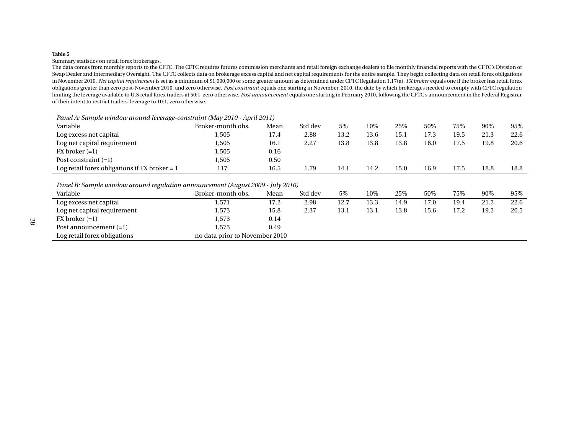#### <span id="page-30-0"></span>Summary statistics on retail forex brokerages.

 The data comes from monthly reports to the CFTC. The CFTC requires futures commission merchants and retail foreign exchange dealers to file monthly financial reports with the CFTC's Division of Swap Dealer and Intermediary Oversight. The CFTC collects data on brokerage excess capital and net capital requirements for the entire sample. They begin collecting data on retail forex obligationsin November 2010. *Net capital requirement* is set as a minimum of \$1,000,000 or some greater amount as determined under CFTC Regulation 1.17(a). *FX broker* equals one if the broker has retail forex obligations greater than zero post-November 2010, and zero otherwise. *Post constraint* equals one starting in November, 2010, the date by which brokerages needed to comply with CFTC regulation limiting the leverage available to U.S retail forex traders at 50:1, zero otherwise. *Post announcement* equals one starting in February 2010, following the CFTC's announcement in the Federal Registrarof their intent to restrict traders' leverage to 10:1, zero otherwise.

| Variable                                                                        | Broker-month obs.<br>Mean      |      | Std dev | 5%   | 10%    | 25%  | 50%  | 75%  | 90%  | 95%  |
|---------------------------------------------------------------------------------|--------------------------------|------|---------|------|--------|------|------|------|------|------|
| Log excess net capital                                                          | 1,505                          | 17.4 | 2.88    | 13.2 | 13.6   | 15.1 | 17.3 | 19.5 | 21.3 | 22.6 |
| Log net capital requirement                                                     | 1,505                          | 16.1 | 2.27    | 13.8 | 13.8   | 13.8 | 16.0 | 17.5 | 19.8 | 20.6 |
| $FX$ broker $(=1)$                                                              | 1,505                          | 0.16 |         |      |        |      |      |      |      |      |
| Post constraint $(=1)$                                                          | 1,505                          | 0.50 |         |      |        |      |      |      |      |      |
| Log retail for ex obligations if $FX$ broker = 1                                | 117                            | 16.5 | 1.79    | 14.1 | 14.2   | 15.0 | 16.9 | 17.5 | 18.8 | 18.8 |
| Panel B: Sample window around regulation announcement (August 2009 - July 2010) |                                |      |         |      |        |      |      |      |      |      |
|                                                                                 |                                |      |         |      |        |      |      |      |      |      |
| Variable                                                                        | Broker-month obs.              | Mean | Std dev | 5%   | $10\%$ | 25%  | 50%  | 75%  | 90%  | 95%  |
| Log excess net capital                                                          | 1,571                          | 17.2 | 2.98    | 12.7 | 13.3   | 14.9 | 17.0 | 19.4 | 21.2 | 22.6 |
| Log net capital requirement                                                     | 1,573                          | 15.8 | 2.37    | 13.1 | 13.1   | 13.8 | 15.6 | 17.2 | 19.2 | 20.5 |
| $FX$ broker $(=1)$                                                              | 1,573                          | 0.14 |         |      |        |      |      |      |      |      |
| Post announcement $(=1)$                                                        | 1.573                          | 0.49 |         |      |        |      |      |      |      |      |
| Log retail forex obligations                                                    | no data prior to November 2010 |      |         |      |        |      |      |      |      |      |

# *Panel A: Sample window around leverage-constraint (May 2010 - April 2011)*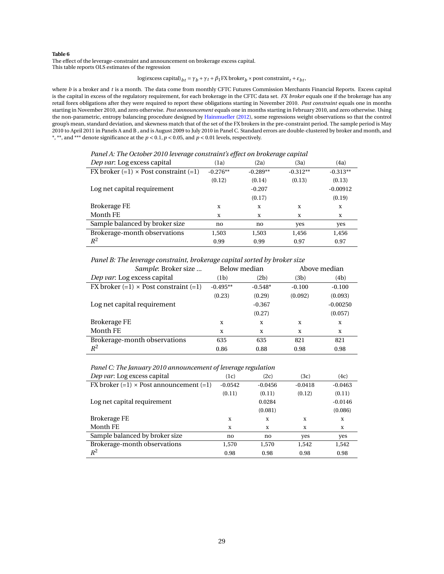<span id="page-31-0"></span>The effect of the leverage-constraint and announcement on brokerage excess capital. This table reports OLS estimates of the regression

 $log$ (excess capital)<sub>*ht*</sub> =  $\gamma_b + \gamma_t + \beta_1$ FX broker<sub>*b*</sub> × post constraint<sub>*t*</sub> +  $\varepsilon_{bt}$ ,

where *b* is a broker and *t* is a month. The data come from monthly CFTC Futures Commission Merchants Financial Reports. Excess capital is the capital in excess of the regulatory requirement, for each brokerage in the CFTC data set. *FX broker* equals one if the brokerage has any retail forex obligations after they were required to report these obligations starting in November 2010. *Post constraint* equals one in months starting in November 2010, and zero otherwise. *Post announcement* equals one in months starting in February 2010, and zero otherwise. Using the non-parametric, entropy balancing procedure designed by [Hainmueller](#page-24-23) [\(2012\)](#page-24-23), some regressions weight observations so that the control group's mean, standard deviation, and skewness match that of the set of the FX brokers in the pre-constraint period. The sample period is May 2010 to April 2011 in Panels A and B , and is August 2009 to July 2010 in Panel C. Standard errors are double-clustered by broker and month, and \*, \*\*, and \*\*\* denote significance at the *p* < 0.1,*p* < 0.05, and *p* < 0.01 levels, respectively.

| Dep var: Log excess capital                    | (1a)       | (2a)       | (3a)       | (4a)       |
|------------------------------------------------|------------|------------|------------|------------|
| FX broker $(=1) \times$ Post constraint $(=1)$ | $-0.276**$ | $-0.289**$ | $-0.312**$ | $-0.313**$ |
|                                                | (0.12)     | (0.14)     | (0.13)     | (0.13)     |
| Log net capital requirement                    |            | $-0.207$   |            | $-0.00912$ |
|                                                |            | (0.17)     |            | (0.19)     |
| Brokerage FE                                   | X          | X          | X          | X          |
| Month FE                                       | X          | X          | X          | X          |
| Sample balanced by broker size                 | no         | no         | yes        | yes        |
| Brokerage-month observations                   | 1,503      | 1,503      | 1,456      | 1,456      |
| $R^2$                                          | 0.99       | 0.99       | 0.97       | 0.97       |

*Panel A: The October 2010 leverage constraint's effect on brokerage capital*

*Panel B: The leverage constraint, brokerage capital sorted by broker size*

| Sample: Broker size                            |            | Below median |          | Above median |
|------------------------------------------------|------------|--------------|----------|--------------|
| Dep var: Log excess capital                    | (1b)       | (2b)         | (3b)     | (4b)         |
| FX broker $(=1) \times$ Post constraint $(=1)$ | $-0.495**$ | $-0.548*$    | $-0.100$ | $-0.100$     |
|                                                | (0.23)     | (0.29)       | (0.092)  | (0.093)      |
| Log net capital requirement                    |            | $-0.367$     |          | $-0.00250$   |
|                                                |            | (0.27)       |          | (0.057)      |
| <b>Brokerage FE</b>                            | X          | X            | X        | X            |
| Month FE                                       | X          | X            | X        | X            |
| Brokerage-month observations                   | 635        | 635          | 821      | 821          |
| $R^2$                                          | 0.86       | 0.88         | 0.98     | 0.98         |

# *Panel C: The January 2010 announcement of leverage regulation*

| Dep var: Log excess capital                      | (1c)      | (2c)      | (3c)      | (4c)      |
|--------------------------------------------------|-----------|-----------|-----------|-----------|
| FX broker $(=1) \times$ Post announcement $(=1)$ | $-0.0542$ | $-0.0456$ | $-0.0418$ | $-0.0463$ |
|                                                  | (0.11)    | (0.11)    | (0.12)    | (0.11)    |
| Log net capital requirement                      |           | 0.0284    |           | $-0.0146$ |
|                                                  |           | (0.081)   |           | (0.086)   |
| <b>Brokerage FE</b>                              | X         | X         | X         | X         |
| Month FE                                         | X         | X         | X         | X         |
| Sample balanced by broker size                   | no        | no        | yes       | yes       |
| Brokerage-month observations                     | 1,570     | 1,570     | 1,542     | 1,542     |
| $R^2$                                            | 0.98      | 0.98      | 0.98      | 0.98      |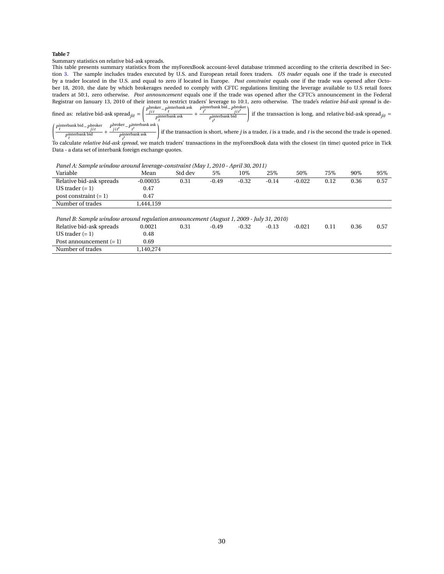<span id="page-32-0"></span>Summary statistics on relative bid-ask spreads.

This table presents summary statistics from the myForexBook account-level database trimmed according to the criteria described in Section [3.](#page-10-0) The sample includes trades executed by U.S. and European retail forex traders. *US trader* equals one if the trade is executed by a trader located in the U.S. and equal to zero if located in Europe. *Post constraint* equals one if the trade was opened after October 18, 2010, the date by which brokerages needed to comply with CFTC regulations limiting the leverage available to U.S retail forex traders at 50:1, zero otherwise. *Post announcement* equals one if the trade was opened after the CFTC's announcement in the Federal Registrar on January 13, 2010 of their intent to restrict traders' leverage to 10:1, zero otherwise. The trade's *relative bid-ask spread* is de-

fined as: relative bid-ask spread<sub>*jit*</sub> =  $\frac{\int_{jit}^{b}}{p}$   $\frac{p}{p}$   $\frac{p}{p}$   $\frac{p}{p}$   $\frac{p}{p}$   $\frac{p}{p}$   $\frac{p}{p}$   $\frac{p}{p}$   $\frac{p}{p}$   $\frac{p}{p}$   $\frac{p}{p}$   $\frac{p}{p}$   $\frac{p}{p}$   $\frac{p}{p}$   $\frac{p}{p}$   $\frac{p}{p}$   $\frac{p}{p}$   $P_t^{\text{interbank ask}}$ *P*<sup>interbank bid −*P*<sub>broker</sub><br>+</sup>  $P_{t'}^{\text{interbank bid}}$ ) if the transaction is long, and relative bid-ask spread $_{jit}$  =

Ã *P* interbank bid *t* −*P* broker *j i t*  $P_t^{\text{interbank bid}}$ *P*<sup>broker</sup> −*P*<sup>interbank ask<br>+</sup> *P*<sup>interbank ask</sup> ! if the transaction is short, where *j* is a trader, *i* is a trade, and *t* is the second the trade is opened*.* To calculate *relative bid-ask spread*, we match traders' transactions in the myForexBook data with the closest (in time) quoted price in Tick

Data - a data set of interbank foreign exchange quotes.

US trader  $(= 1)$  0.48 Post announcement  $(= 1)$  0.69 Number of trades 1,140,274

*Panel A: Sample window around leverage-constraint (May 1, 2010 - April 30, 2011)*

| Variable                                                                               | Mean       | Std dev | 5%      | 10%     | 25%     | 50%      | 75%  | 90%  | 95%  |
|----------------------------------------------------------------------------------------|------------|---------|---------|---------|---------|----------|------|------|------|
| Relative bid-ask spreads                                                               | $-0.00035$ | 0.31    | $-0.49$ | $-0.32$ | $-0.14$ | $-0.022$ | 0.12 | 0.36 | 0.57 |
| US trader $(= 1)$                                                                      | 0.47       |         |         |         |         |          |      |      |      |
| post constraint $(=1)$                                                                 | 0.47       |         |         |         |         |          |      |      |      |
| Number of trades                                                                       | 1.444.159  |         |         |         |         |          |      |      |      |
|                                                                                        |            |         |         |         |         |          |      |      |      |
| Panel B: Sample window around regulation announcement (August 1, 2009 - July 31, 2010) |            |         |         |         |         |          |      |      |      |
| Relative bid-ask spreads                                                               | 0.0021     | 0.31    | $-0.49$ | $-0.32$ | $-0.13$ | $-0.021$ | 0.11 | 0.36 | 0.57 |

| i<br>۰.<br>×<br>v | ٦<br>×<br>۰, |
|-------------------|--------------|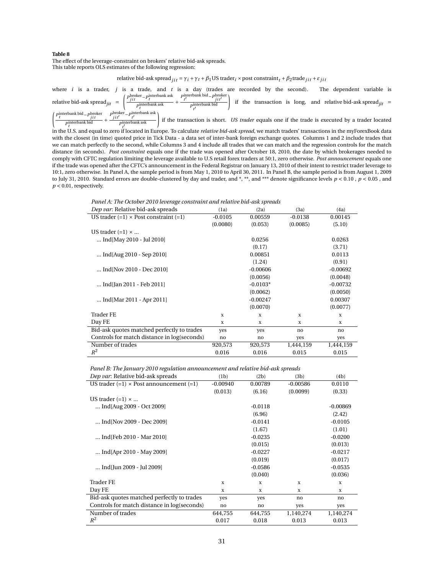<span id="page-33-0"></span>The effect of the leverage-constraint on brokers' relative bid-ask spreads. This table reports OLS estimates of the following regression:

relative bid-ask spread  $\iota_{i,t} = \gamma_i + \gamma_t + \beta_1 \text{US}$  trader $i \times \text{post constraint}_t + \beta_2 \text{trade } \iota_{i,t} + \varepsilon_{i,t}$ 

where *i* is a trader, *j* is a trade, and *t* is a day (trades are recorded by the second). The dependent variable is  $\text{relative bid-ask spread}_{jit} = \begin{cases} \frac{p\text{broker}}{jit} - p\text{interbank ask} \\ \frac{p\text{interbank ask}}{pirterbank ask} \end{cases}$ *P*<sup>interbank bid −*P*<sub>broker</sub><br>+</sup> if the transaction is long, and relative bid-ask spread<sub>*jit*</sub> =

 $P_t^{\text{interbank ask}}$ *P*<sup>interbank bid</sup>  $\sqrt{2}$ *P*<sup>interbank bid −*P*<sub>*jit*</sub></sup>

 $P_t^{\text{interbank bid}}$ *P*<sup>broker</sup> −*P*<sup>interbank ask<br>+</sup> *P*<sup>interbank ask</sup> ! if the transaction is short*. US trader* equals one if the trade is executed by a trader located

in the U.S. and equal to zero if located in Europe. To calculate *relative bid-ask spread*, we match traders' transactions in the myForexBook data with the closest (in time) quoted price in Tick Data - a data set of inter-bank foreign exchange quotes. Columns 1 and 2 include trades that we can match perfectly to the second, while Columns 3 and 4 include all trades that we can match and the regression controls for the match distance (in seconds). *Post constraint* equals one if the trade was opened after October 18, 2010, the date by which brokerages needed to comply with CFTC regulation limiting the leverage available to U.S retail forex traders at 50:1, zero otherwise. *Post announcement* equals one if the trade was opened after the CFTC's announcement in the Federal Registrar on January 13, 2010 of their intent to restrict trader leverage to 10:1, zero otherwise. In Panel A, the sample period is from May 1, 2010 to April 30, 2011. In Panel B, the sample period is from August 1, 2009 to July 31, 2010. Standard errors are double-clustered by day and trader, and \*, \*\*, and \*\*\* denote significance levels  $p < 0.10$ ,  $p < 0.05$ , and *p* < 0.01, respectively.

| Panel A: The October 2010 leverage constraint and relative bid-ask spreads |  |
|----------------------------------------------------------------------------|--|
|----------------------------------------------------------------------------|--|

| Dep var: Relative bid-ask spreads              | (1a)      | (2a)       | (3a)      | (4a)       |
|------------------------------------------------|-----------|------------|-----------|------------|
| US trader $(=1) \times$ Post constraint $(=1)$ | $-0.0105$ | 0.00559    | $-0.0138$ | 0.00145    |
|                                                | (0.0080)  | (0.053)    | (0.0085)  | (5.10)     |
| US trader $(=1) \times $                       |           |            |           |            |
| Ind[May 2010 - Jul 2010]                       |           | 0.0256     |           | 0.0263     |
|                                                |           | (0.17)     |           | (3.71)     |
| Ind[Aug 2010 - Sep 2010]                       |           | 0.00851    |           | 0.0113     |
|                                                |           | (1.24)     |           | (0.91)     |
| Ind[Nov 2010 - Dec 2010]                       |           | $-0.00606$ |           | $-0.00692$ |
|                                                |           | (0.0056)   |           | (0.0048)   |
| Ind <i>Jan</i> 2011 - Feb 2011 ]               |           | $-0.0103*$ |           | $-0.00732$ |
|                                                |           | (0.0062)   |           | (0.0050)   |
| Ind [Mar 2011 - Apr 2011]                      |           | $-0.00247$ |           | 0.00307    |
|                                                |           | (0.0070)   |           | (0.0077)   |
| <b>Trader FE</b>                               | X         | X          | X         | X          |
| Day FE                                         | X         | X          | X         | X          |
| Bid-ask quotes matched perfectly to trades     | yes       | yes        | no        | no         |
| Controls for match distance in log(seconds)    | no        | no         | yes       | yes        |
| Number of trades                               | 920,573   | 920,573    | 1,444,159 | 1,444,159  |
| $R^2$                                          | 0.016     | 0.016      | 0.015     | 0.015      |

*Panel B: The January 2010 regulation announcement and relative bid-ask spreads*

| Dep var: Relative bid-ask spreads                | (1b)       | (2b)      | (3b)       | (4b)       |
|--------------------------------------------------|------------|-----------|------------|------------|
| US trader $(=1) \times$ Post announcement $(=1)$ | $-0.00940$ | 0.00789   | $-0.00586$ | 0.0110     |
|                                                  | (0.013)    | (6.16)    | (0.0099)   | (0.33)     |
| US trader $(=1) \times $                         |            |           |            |            |
| Ind[Aug 2009 - Oct 2009]                         |            | $-0.0118$ |            | $-0.00869$ |
|                                                  |            | (6.96)    |            | (2.42)     |
| Ind[Nov 2009 - Dec 2009]                         |            | $-0.0141$ |            | $-0.0105$  |
|                                                  |            | (1.67)    |            | (1.01)     |
| Ind [Feb 2010 - Mar 2010]                        |            | $-0.0235$ |            | $-0.0200$  |
|                                                  |            | (0.015)   |            | (0.013)    |
| Ind[Apr 2010 - May 2009]                         |            | $-0.0227$ |            | $-0.0217$  |
|                                                  |            | (0.019)   |            | (0.017)    |
| Ind[Jun 2009 - Jul 2009]                         |            | $-0.0586$ |            | $-0.0535$  |
|                                                  |            | (0.040)   |            | (0.036)    |
| <b>Trader FE</b>                                 | X          | X         | X          | X          |
| Day FE                                           | X          | X         | X          | X          |
| Bid-ask quotes matched perfectly to trades       | yes        | yes       | no         | no         |
| Controls for match distance in log(seconds)      | no         | no        | ves        | yes        |
| Number of trades                                 | 644,755    | 644,755   | 1,140,274  | 1,140,274  |
| $R^2$                                            | 0.017      | 0.018     | 0.013      | 0.013      |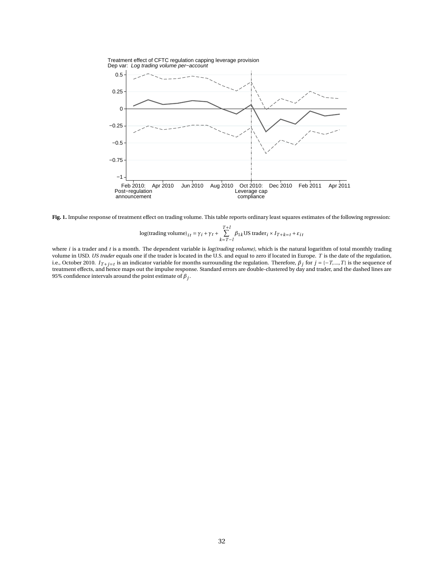<span id="page-34-0"></span>

**Fig. 1.** Impulse response of treatment effect on trading volume. This table reports ordinary least squares estimates of the following regression:

log(trading volume)<sub>*it*</sub> = 
$$
\gamma_i + \gamma_t + \sum_{k=T-l}^{T+l} \beta_{1k}
$$
US trade<sub>*t*</sub> ×  $I_{T+k=t} + \varepsilon_{it}$ 

where *i* is a trader and *t* is a month. The dependent variable is *log(trading volume),* which is the natural logarithm of total monthly trading volume in USD. *US trader* equals one if the trader is located in the U.S. and equal to zero if located in Europe. *T* is the date of the regulation, i.e., October 2010.  $I_{T+j=t}$  is an indicator variable for months surrounding the regulation. Therefore,  $\beta_j$  for  $j = \{-T, ..., T\}$  is the sequence of treatment effects, and hence maps out the impulse response. Standard errors are double-clustered by day and trader, and the dashed lines are 95% confidence intervals around the point estimate of *βj* .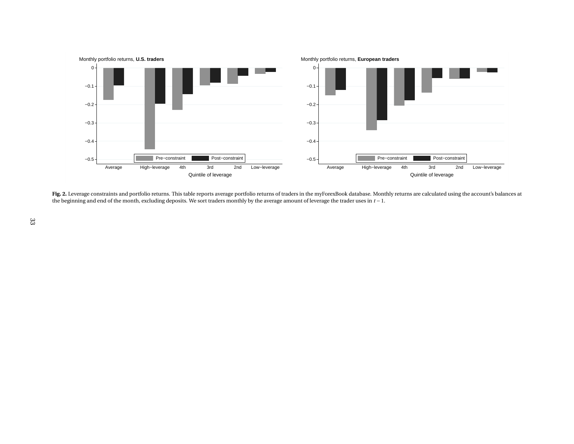

<span id="page-35-0"></span>**Fig. 2.** Leverage constraints and portfolio returns. This table reports average portfolio returns of traders in the myForexBook database. Monthly returns are calculated using the account's balances atthe beginning and end of the month, excluding deposits. We sort traders monthly by the average amount of leverage the trader uses in *<sup>t</sup>* <sup>−</sup>1.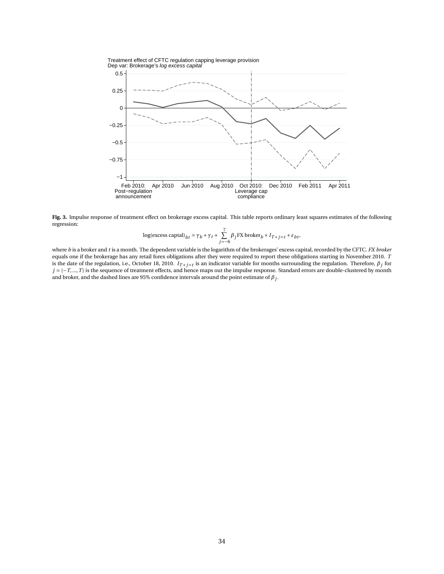<span id="page-36-0"></span>

**Fig. 3.** Impulse response of treatment effect on brokerage excess capital. This table reports ordinary least squares estimates of the following regression:

log(excess capital)<sub>bt</sub> = 
$$
\gamma_b + \gamma_t + \sum_{j=-6}^{7} \beta_j FX broker_b \times I_{T+j=t} + \varepsilon_{bt}
$$
,

where *b* is a broker and *t* is a month. The dependent variable is the logarithm of the brokerages' excess capital, recorded by the CFTC. *FX broker* equals one if the brokerage has any retail forex obligations after they were required to report these obligations starting in November 2010. *T* is the date of the regulation, i.e., October 18, 2010.  $I_{T+j=t}$  is an indicator variable for months surrounding the regulation. Therefore,  $\beta_j$  for  $j = \{-T,...,T\}$  is the sequence of treatment effects, and hence maps out th and broker, and the dashed lines are 95% confidence intervals around the point estimate of *βj* .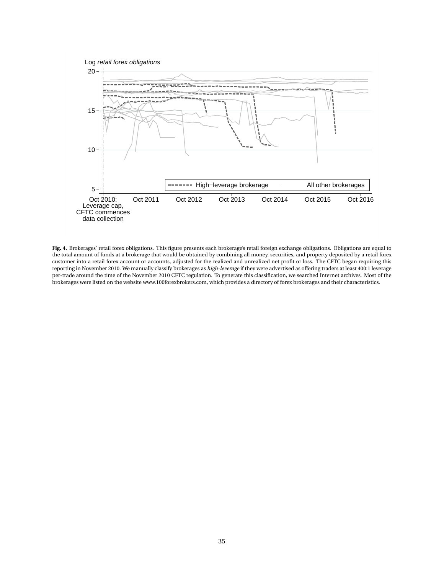<span id="page-37-0"></span>

**Fig. 4.** Brokerages' retail forex obligations. This figure presents each brokerage's retail foreign exchange obligations. Obligations are equal to the total amount of funds at a brokerage that would be obtained by combining all money, securities, and property deposited by a retail forex customer into a retail forex account or accounts, adjusted for the realized and unrealized net profit or loss. The CFTC began requiring this reporting in November 2010. We manually classify brokerages as *high-leverage* if they were advertised as offering traders at least 400:1 leverage per-trade around the time of the November 2010 CFTC regulation. To generate this classification, we searched Internet archives. Most of the brokerages were listed on the website www.100forexbrokers.com, which provides a directory of forex brokerages and their characteristics.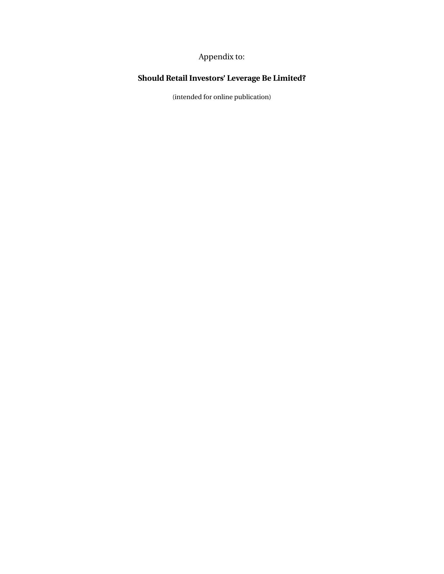Appendix to:

# **Should Retail Investors' Leverage Be Limited?**

(intended for online publication)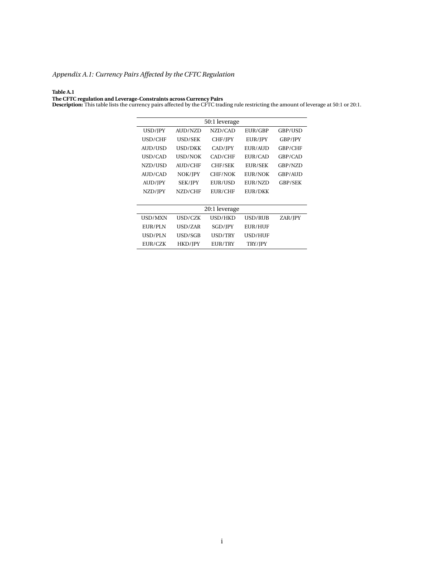# *Appendix A.1: Currency Pairs Affected by the CFTC Regulation*

#### <span id="page-39-0"></span>**Table A.1**

#### **The CFTC regulation and Leverage-Constraints across Currency Pairs**

**Description:** This table lists the currency pairs affected by the CFTC trading rule restricting the amount of leverage at 50:1 or 20:1.

| 50:1 leverage  |                |               |                |                |  |  |  |  |
|----------------|----------------|---------------|----------------|----------------|--|--|--|--|
| USD/JPY        | AUD/NZD        | NZD/CAD       | EUR/GBP        | <b>GBP/USD</b> |  |  |  |  |
| USD/CHF        | <b>USD/SEK</b> | CHF/IPY       | EUR/JPY        | GBP/JPY        |  |  |  |  |
| AUD/USD        | USD/DKK        | CAD/JPY       | <b>EUR/AUD</b> | <b>GBP/CHF</b> |  |  |  |  |
| USD/CAD        | <b>USD/NOK</b> | CAD/CHF       | EUR/CAD        | GBP/CAD        |  |  |  |  |
| NZD/USD        | AUD/CHF        | CHF/SEK       | EUR/SEK        | GBP/NZD        |  |  |  |  |
| AUD/CAD        | NOK/JPY        | CHF/NOK       | EUR/NOK        | <b>GBP/AUD</b> |  |  |  |  |
| <b>AUD/IPY</b> | <b>SEK/JPY</b> | EUR/USD       | EUR/NZD        | <b>GBP/SEK</b> |  |  |  |  |
| NZD/IPY        | NZD/CHF        | EUR/CHF       | EUR/DKK        |                |  |  |  |  |
|                |                |               |                |                |  |  |  |  |
|                |                | 20:1 leverage |                |                |  |  |  |  |
| USD/MXN        | USD/CZK        | USD/HKD       | USD/RUB        | ZAR/IPY        |  |  |  |  |
| EUR/PLN        | USD/ZAR        | SGD/IPY       | EUR/HUF        |                |  |  |  |  |
| USD/PLN        | USD/SGB        | USD/TRY       | USD/HUF        |                |  |  |  |  |
| EUR/CZK        | HKD/IPY        | EUR/TRY       | <b>TRY/IPY</b> |                |  |  |  |  |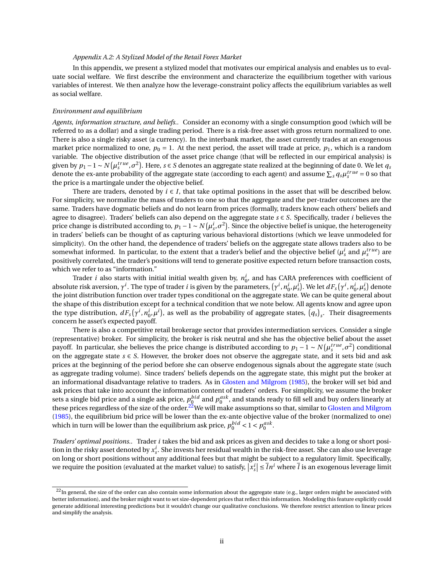### *Appendix A.2: A Stylized Model of the Retail Forex Market*

In this appendix, we present a stylized model that motivates our empirical analysis and enables us to evaluate social welfare. We first describe the environment and characterize the equilibrium together with various variables of interest. We then analyze how the leverage-constraint policy affects the equilibrium variables as well as social welfare.

#### *Environment and equilibrium*

*Agents, information structure, and beliefs..* Consider an economy with a single consumption good (which will be referred to as a dollar) and a single trading period. There is a risk-free asset with gross return normalized to one. There is also a single risky asset (a currency). In the interbank market, the asset currently trades at an exogenous market price normalized to one,  $p_0 = 1$ . At the next period, the asset will trade at price,  $p_1$ , which is a random variable. The objective distribution of the asset price change (that will be reflected in our empirical analysis) is given by  $p_1-1\sim N\big(\mu_s^{true},\sigma^2\big).$  Here,  $s\in S$  denotes an aggregate state realized at the beginning of date 0. We let  $q_s$ denote the ex-ante probability of the aggregate state (according to each agent) and assume  $\sum_s q_s \mu_s^{true}=0$  so that the price is a martingale under the objective belief.

There are traders, denoted by  $i \in I$ , that take optimal positions in the asset that will be described below. For simplicity, we normalize the mass of traders to one so that the aggregate and the per-trader outcomes are the same. Traders have dogmatic beliefs and do not learn from prices (formally, traders know each others' beliefs and agree to disagree). Traders' beliefs can also depend on the aggregate state *s* ∈ *S*. Specifically, trader *i* believes the price change is distributed according to,  $p_1-1\sim N\big(\mu_s^i,\sigma^2\big).$  Since the objective belief is unique, the heterogeneity in traders' beliefs can be thought of as capturing various behavioral distortions (which we leave unmodeled for simplicity). On the other hand, the dependence of traders' beliefs on the aggregate state allows traders also to be somewhat informed. In particular, to the extent that a trader's belief and the objective belief  $(\mu_s^i$  and  $\mu_s^{true})$  are positively correlated, the trader's positions will tend to generate positive expected return before transaction costs, which we refer to as "information."

Trader *i* also starts with initial initial wealth given by,  $n_0^i$ , and has CARA preferences with coefficient of absolute risk aversion,  $\gamma^i$ . The type of trader  $i$  is given by the parameters,  $(\gamma^i,n_0^i,\mu_s^i)$ . We let  $dF_s\big(\gamma^i,n_0^i,\mu_s^i\big)$  denote the joint distribution function over trader types conditional on the aggregate state. We can be quite general about the shape of this distribution except for a technical condition that we note below. All agents know and agree upon the type distribution,  $dF_s(\gamma^i, n_0^i, \mu^i)$ , as well as the probability of aggregate states,  $(q_s)_s$ . Their disagreements concern he asset's expected payoff.

There is also a competitive retail brokerage sector that provides intermediation services. Consider a single (representative) broker. For simplicity, the broker is risk neutral and she has the objective belief about the asset payoff. In particular, she believes the price change is distributed according to  $p_1 - 1 \sim N(\mu_s^{true}, \sigma^2)$  conditional on the aggregate state  $s \in S$ . However, the broker does not observe the aggregate state, and it sets bid and ask prices at the beginning of the period before she can observe endogenous signals about the aggregate state (such as aggregate trading volume). Since traders' beliefs depends on the aggregate state, this might put the broker at an informational disadvantage relative to traders. As in [Glosten and Milgrom](#page-24-4) [\(1985\)](#page-24-4), the broker will set bid and ask prices that take into account the information content of traders' orders. For simplicity, we assume the broker sets a single bid price and a single ask price,  $p_0^{bid}$  and  $p_0^{ask}$ , and stands ready to fill sell and buy orders linearly at these prices regardless of the size of the order.<sup>[22](#page-40-0)</sup>We will make assumptions so that, similar to [Glosten and Milgrom](#page-24-4) [\(1985\)](#page-24-4), the equilibrium bid price will be lower than the ex-ante objective value of the broker (normalized to one) which in turn will be lower than the equilibrium ask price,  $p_0^{bid} < 1 < p_0^{ask}$ .

*Traders' optimal positions..* Trader *i* takes the bid and ask prices as given and decides to take a long or short position in the risky asset denoted by  $x_s^i$ . She invests her residual wealth in the risk-free asset. She can also use leverage on long or short positions without any additional fees but that might be subject to a regulatory limit. Specifically, we require the position (evaluated at the market value) to satisfy,  $|x_s^i| \leq \overline{I}n^i$  where  $\overline{I}$  is an exogenous leverage limit

<span id="page-40-0"></span> $^{22}$ In general, the size of the order can also contain some information about the aggregate state (e.g., larger orders might be associated with better information), and the broker might want to set size-dependent prices that reflect this information. Modeling this feature explicitly could generate additional interesting predictions but it wouldn't change our qualitative conclusions. We therefore restrict attention to linear prices and simplify the analysis.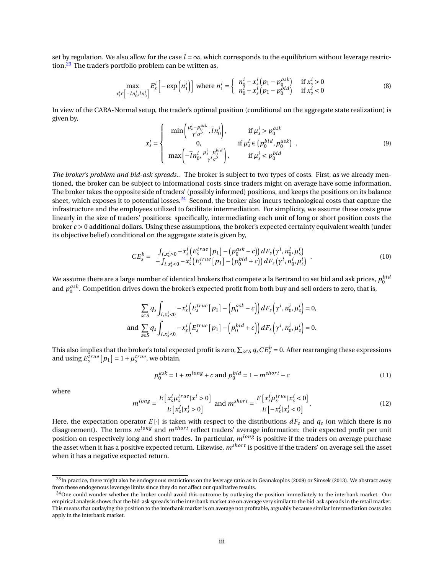set by regulation. We also allow for the case  $\bar{l} = \infty$ , which corresponds to the equilibrium without leverage restriction. $^{23}$  $^{23}$  $^{23}$  The trader's portfolio problem can be written as,

<span id="page-41-5"></span>
$$
\max_{x_s^i \in \left[-\overline{l}n_0^i, \overline{l}n_0^i\right]} E_s^i \left[ -\exp\left(n_1^i\right) \right] \text{ where } n_1^i = \left\{ \begin{array}{ll} n_0^i + x_s^i \left(p_1 - p_0^{ask}\right) & \text{if } x_s^i > 0\\ n_0^i + x_s^i \left(p_1 - p_0^{bid}\right) & \text{if } x_s^i < 0 \end{array} \right. \tag{8}
$$

In view of the CARA-Normal setup, the trader's optimal position (conditional on the aggregate state realization) is given by,

<span id="page-41-3"></span>
$$
x_s^i = \begin{cases} \min\left(\frac{\mu_s^i - p_0^{ask}}{\gamma^i \sigma^2}, \overline{l} n_0^i\right), & \text{if } \mu_s^i > p_0^{ask} \\ 0, & \text{if } \mu_s^i \in \left(p_0^{bid}, p_0^{ask}\right) \\ \max\left(-\overline{l} n_0^i, \frac{\mu_s^i - p_0^{bid}}{\gamma^i \sigma^2}\right), & \text{if } \mu_s^i < p_0^{bid} \end{cases} \tag{9}
$$

*The broker's problem and bid-ask spreads..* The broker is subject to two types of costs. First, as we already mentioned, the broker can be subject to informational costs since traders might on average have some information. The broker takes the opposite side of traders' (possibly informed) positions, and keeps the positions on its balance sheet, which exposes it to potential losses.<sup>[24](#page-41-1)</sup> Second, the broker also incurs technological costs that capture the infrastructure and the employees utilized to facilitate intermediation. For simplicity, we assume these costs grow linearly in the size of traders' positions: specifically, intermediating each unit of long or short position costs the broker *c* > 0 additional dollars. Using these assumptions, the broker's expected certainty equivalent wealth (under its objective belief) conditional on the aggregate state is given by,

<span id="page-41-6"></span>
$$
CE_s^b = \begin{array}{cc} \int_{i,x_s^i>0} -x_s^i \left( E_s^{true} \left[ p_1 \right] - \left( p_0^{ask} - c \right) \right) dF_s \left( \gamma^i, n_0^i, \mu_s^i \right) \\ + \int_{i,x_s^i<0} -x_s^i \left( E_s^{true} \left[ p_1 \right] - \left( p_0^{bid} + c \right) \right) dF_s \left( \gamma^i, n_0^i, \mu_s^i \right) \end{array} \tag{10}
$$

We assume there are a large number of identical brokers that compete a la Bertrand to set bid and ask prices,  $p_0^{bid}$ and  $p_0^{ask}$ . Competition drives down the broker's expected profit from both buy and sell orders to zero, that is,

$$
\sum_{s \in S} q_s \int_{i, x_s^i < 0} -x_s^i \left( E_s^{true} \left[ p_1 \right] - \left( p_0^{ask} - c \right) \right) dF_s \left( \gamma^i, n_0^i, \mu_s^i \right) = 0,
$$
\n
$$
\text{and } \sum_{s \in S} q_s \int_{i, x_s^i < 0} -x_s^i \left( E_s^{true} \left[ p_1 \right] - \left( p_0^{bid} + c \right) \right) dF_s \left( \gamma^i, n_0^i, \mu_s^i \right) = 0.
$$

This also implies that the broker's total expected profit is zero, P *<sup>s</sup>*∈*<sup>S</sup> qsCE<sup>b</sup> <sup>s</sup>* <sup>=</sup> 0. After rearranging these expressions and using  $E_s^{true}[p_1] = 1 + \mu_s^{true}$ , we obtain,

<span id="page-41-2"></span>
$$
p_0^{ask} = 1 + m^{long} + c \text{ and } p_0^{bid} = 1 - m^{short} - c \tag{11}
$$

where

<span id="page-41-4"></span>
$$
m^{long} = \frac{E\left[x_s^i \mu_s^{true} | x^i > 0\right]}{E\left[x_s^i | x_s^i > 0\right]} \text{ and } m^{short} = \frac{E\left[x_s^i \mu_s^{true} | x_s^i < 0\right]}{E\left[-x_s^i | x_s^i < 0\right]}.\tag{12}
$$

Here, the expectation operator  $E[\cdot]$  is taken with respect to the distributions  $dF_s$  and  $q_s$  (on which there is no disagreement). The terms  $m^{long}$  and  $m^{short}$  reflect traders' average information: their expected profit per unit position on respectively long and short trades. In particular,  $m^{long}$  is positive if the traders on average purchase the asset when it has a positive expected return. Likewise, *mshor t* is positive if the traders' on average sell the asset when it has a negative expected return.

<span id="page-41-0"></span> $^{23}$  In practice, there might also be endogenous restrictions on the leverage ratio as in Geanakoplos (2009) or Simsek (2013). We abstract away from these endogenous leverage limits since they do not affect our qualitative results.

<span id="page-41-1"></span> $24$ One could wonder whether the broker could avoid this outcome by outlaying the position immediately to the interbank market. Our empirical analysis shows that the bid-ask spreads in the interbank market are on average very similar to the bid-ask spreads in the retail market. This means that outlaying the position to the interbank market is on average not profitable, arguably because similar intermediation costs also apply in the interbank market.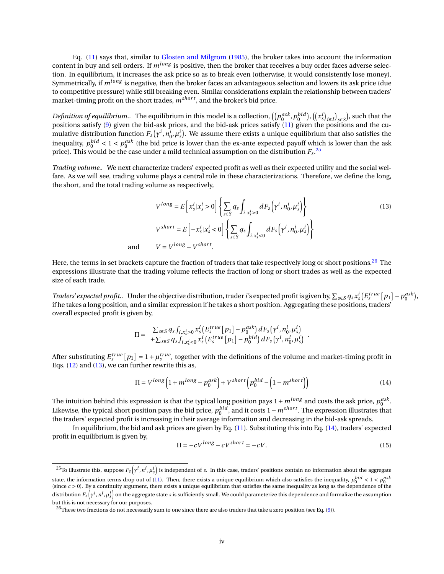Eq. [\(11\)](#page-41-2) says that, similar to [Glosten and Milgrom](#page-24-4) [\(1985\)](#page-24-4), the broker takes into account the information content in buy and sell orders. If  $m^{long}$  is positive, then the broker that receives a buy order faces adverse selection. In equilibrium, it increases the ask price so as to break even (otherwise, it would consistently lose money). Symmetrically, if  $m^{long}$  is negative, then the broker faces an advantageous selection and lowers its ask price (due to competitive pressure) while still breaking even. Similar considerations explain the relationship between traders' market-timing profit on the short trades,  $m^{short}$ , and the broker's bid price.

*Definition of equilibrium*.. The equilibrium in this model is a collection,  $((p_0^{ask}, p_0^{bid}), ((x_s^i)_{i\in I})_{s\in S})$ , such that the positions satisfy [\(9\)](#page-41-3) given the bid-ask prices, and the bid-ask prices satisfy [\(11\)](#page-41-2) given the positions and the cumulative distribution function  $F_s(\gamma^i, n_0^i, \mu_s^i)$ . We assume there exists a unique equilibrium that also satisfies the inequality,  $p_0^{bid} < 1 < p_0^{ask}$  (the bid price is lower than the ex-ante expected payoff which is lower than the ask price). This would be the case under a mild technical assumption on the distribution *F<sup>s</sup>* . [25](#page-42-0)

*Trading volume..* We next characterize traders' expected profit as well as their expected utility and the social welfare. As we will see, trading volume plays a central role in these characterizations. Therefore, we define the long, the short, and the total trading volume as respectively,

<span id="page-42-2"></span>
$$
V^{long} = E\left[x_s^i | x_s^i > 0\right] \left\{\sum_{s \in S} q_s \int_{i.x_s^i > 0} dF_s \left(\gamma^i, n_0^i, \mu_s^i\right) \right\}
$$
\n
$$
V^{short} = E\left[-x_s^i | x_s^i < 0\right] \left\{\sum_{s \in S} q_s \int_{i.x_s^i < 0} dF_s \left(\gamma^i, n_0^i, \mu_s^i\right) \right\}
$$
\nand\n
$$
V = V^{long} + V^{short}.
$$
\n(13)

Here, the terms in set brackets capture the fraction of traders that take respectively long or short positions. $^{26}$  $^{26}$  $^{26}$  The expressions illustrate that the trading volume reflects the fraction of long or short trades as well as the expected size of each trade.

*Traders' expected profit..* Under the objective distribution, trader *i*'s expected profit is given by,  $\sum_{s \in S} q_s x_s^i (E_s^{true}[p_1] - p_0^{ask})$ , if he takes a long position, and a similar expression if he takes a short position. Aggregating these positions, traders' overall expected profit is given by,

$$
\Pi = \sum_{s \in S} q_s \int_{i, x_s^i > 0} x_s^i \left( E_s^{true} [p_1] - p_0^{ask} \right) dF_s \left( \gamma^i, n_0^i, \mu_s^i \right) + \sum_{s \in S} q_s \int_{i, x_s^i < 0} x_s^i \left( E_s^{true} [p_1] - p_0^{bid} \right) dF_s \left( \gamma^i, n_0^i, \mu_s^i \right) .
$$

After substituting  $E_s^{true}[p_1]=1+\mu_s^{true}$ , together with the definitions of the volume and market-timing profit in Eqs.  $(12)$  and  $(13)$ , we can further rewrite this as,

<span id="page-42-3"></span>
$$
\Pi = V^{long} \left( 1 + m^{long} - p_0^{ask} \right) + V^{short} \left( p_0^{bid} - \left( 1 - m^{short} \right) \right) \tag{14}
$$

The intuition behind this expression is that the typical long position pays  $1+m^{long}$  and costs the ask price,  $p_\alpha^{ask}$ . 0 Likewise, the typical short position pays the bid price,  $p_0^{bid}$ , and it costs  $1-m^{short}$ . The expression illustrates that the traders' expected profit is increasing in their average information and decreasing in the bid-ask spreads.

In equilibrium, the bid and ask prices are given by Eq. [\(11\)](#page-41-2). Substituting this into Eq. [\(14\)](#page-42-3), traders' expected profit in equilibrium is given by,

<span id="page-42-4"></span>
$$
\Pi = -cV^{long} - cV^{short} = -cV.\tag{15}
$$

<span id="page-42-0"></span><sup>&</sup>lt;sup>25</sup>To illustrate this, suppose  $F_s\left(\gamma^i,n^i,\mu_s^i\right)$  is independent of *s*. In this case, traders' positions contain no information about the aggregate state, the information terms drop out of [\(11\)](#page-41-2). Then, there exists a unique equilibrium which also satisfies the inequality,  $p_0^{hid} < 1 < p_0^{ask}$ state, the miorination terms drop out of (11). Then, there exists a unique equilibrium which also satisfies the including,  $p_0 \to 1 \to p_0$ <br>(since  $c > 0$ ). By a continuity argument, there exists a unique equilibrium that sa distribution  $F_s\left(\gamma^i,n^i,\mu_s^i\right)$  on the aggregate state *s* is sufficiently small. We could parameterize this dependence and formalize the assumption but this is not necessary for our purposes.

<span id="page-42-1"></span> $^{26}$ These two fractions do not necessarily sum to one since there are also traders that take a zero position (see Eq. [\(9\)](#page-41-3)).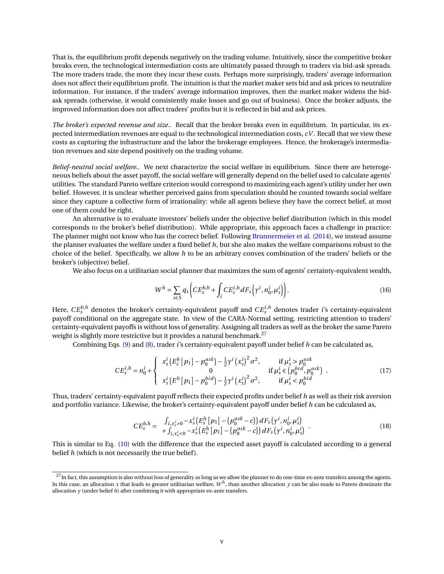That is, the equilibrium profit depends negatively on the trading volume. Intuitively, since the competitive broker breaks even, the technological intermediation costs are ultimately passed through to traders via bid-ask spreads. The more traders trade, the more they incur these costs. Perhaps more surprisingly, traders' average information does not affect their equilibrium profit. The intuition is that the market maker sets bid and ask prices to neutralize information. For instance, if the traders' average information improves, then the market maker widens the bidask spreads (otherwise, it would consistently make losses and go out of business). Once the broker adjusts, the improved information does not affect traders' profits but it is reflected in bid and ask prices.

*The broker's expected revenue and size..* Recall that the broker breaks even in equilibrium. In particular, its expected intermediation revenues are equal to the technological intermediation costs, *cV* . Recall that we view these costs as capturing the infrastructure and the labor the brokerage employees. Hence, the brokerage's intermediation revenues and size depend positively on the trading volume.

*Belief-neutral social welfare..* We next characterize the social welfare in equilibrium. Since there are heterogeneous beliefs about the asset payoff, the social welfare will generally depend on the belief used to calculate agents' utilities. The standard Pareto welfare criterion would correspond to maximizing each agent's utility under her own belief. However, it is unclear whether perceived gains from speculation should be counted towards social welfare since they capture a collective form of irrationality: while all agents believe they have the correct belief, at most one of them could be right.

An alternative is to evaluate investors' beliefs under the objective belief distribution (which in this model corresponds to the broker's belief distribution). While appropriate, this approach faces a challenge in practice: The planner might not know who has the correct belief. Following [Brunnermeier et al.](#page-23-2) [\(2014\)](#page-23-2), we instead assume the planner evaluates the welfare under a fixed belief *h*, but she also makes the welfare comparisons robust to the choice of the belief. Specifically, we allow *h* to be an arbitrary convex combination of the traders' beliefs or the broker's (objective) belief.

We also focus on a utilitarian social planner that maximizes the sum of agents' certainty-equivalent wealth,

<span id="page-43-1"></span>
$$
W^h = \sum_{s \in S} q_s \bigg( CE_s^{b,h} + \int_i CE_s^{i,h} dF_s \left( \gamma^i, n_0^i, \mu_s^i \right) \bigg). \tag{16}
$$

Here, *CEb*,*<sup>h</sup> <sup>s</sup>* denotes the broker's certainty-equivalent payoff and *CEi*,*<sup>h</sup> <sup>s</sup>* denotes trader *i*'s certainty-equivalent payoff conditional on the aggregate state. In view of the CARA-Normal setting, restricting attention to traders' certainty-equivalent payoffs is without loss of generality. Assigning all traders as well as the broker the same Pareto weight is slightly more restrictive but it provides a natural benchmark.<sup>[27](#page-43-0)</sup>

Combining Eqs. [\(9\)](#page-41-3) and [\(8\)](#page-41-5), trader *i*'s certainty-equivalent payoff under belief *h* can be calculated as,

<span id="page-43-2"></span>
$$
CE_{s}^{i,h} = n_{0}^{i} + \begin{cases} x_{s}^{i} (E_{s}^{h} [p_{1}] - p_{0}^{ask}) - \frac{1}{2} \gamma^{i} (x_{s}^{i})^{2} \sigma^{2}, & \text{if } \mu_{s}^{i} > p_{0}^{ask} \\ 0 & \text{if } \mu_{s}^{i} \in (p_{0}^{bid}, p_{0}^{ask}) \\ x_{s}^{i} (E_{s}^{h} [p_{1}] - p_{0}^{bid}) - \frac{1}{2} \gamma^{i} (x_{s}^{i})^{2} \sigma^{2}, & \text{if } \mu_{s}^{i} < p_{0}^{bid} \end{cases} \tag{17}
$$

Thus, traders' certainty-equivalent payoff reflects their expected profits under belief *h* as well as their risk aversion and portfolio variance. Likewise, the broker's certainty-equivalent payoff under belief *h* can be calculated as,

<span id="page-43-3"></span>
$$
CE_{s}^{b,h} = \frac{\int_{i,x_{s}^{i}>0} -x_{s}^{i} (E_{s}^{h} [p_{1}] - (p_{0}^{ask} - c)) dF_{s}(\gamma^{i}, n_{0}^{i}, \mu_{s}^{i})}{+\int_{i,x_{s}^{i}<0} -x_{s}^{i} (E_{s}^{h} [p_{1}] - (p_{0}^{ask} - c)) dF_{s}(\gamma^{i}, n_{0}^{i}, \mu_{s}^{i})} .
$$
\n(18)

This is similar to Eq. [\(10\)](#page-41-6) with the difference that the expected asset payoff is calculated according to a general belief *h* (which is not necessarily the true belief).

<span id="page-43-0"></span> $^{27}{\rm In}$  fact, this assumption is also without loss of generality as long as we allow the planner to do one-time ex-ante transfers among the agents. In this case, an allocation *x* that leads to greater utilitarian welfare,  $W^h$ , than another allocation *y* can be also made to Pareto dominate the allocation *y* (under belief *h*) after combining it with appropriate ex-ante transfers.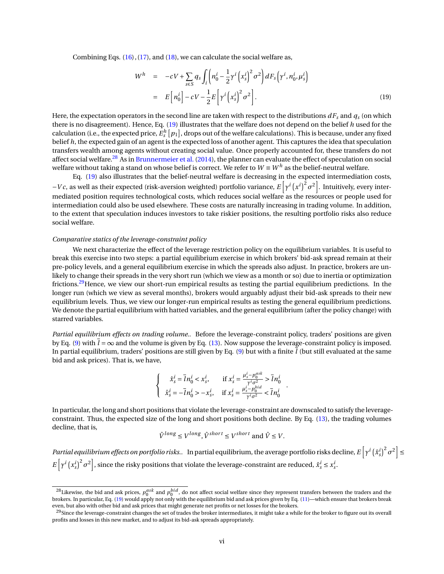Combining Eqs.  $(16)$ ,  $(17)$ , and  $(18)$ , we can calculate the social welfare as,

<span id="page-44-0"></span>
$$
W^h = -cV + \sum_{s \in S} q_s \int_i \left( n_0^i - \frac{1}{2} \gamma^i \left( x_s^i \right)^2 \sigma^2 \right) dF_s \left( \gamma^i, n_0^i, \mu_s^i \right)
$$
  

$$
= E \left[ n_0^i \right] - cV - \frac{1}{2} E \left[ \gamma^i \left( x_s^i \right)^2 \sigma^2 \right].
$$
 (19)

Here, the expectation operators in the second line are taken with respect to the distributions  $dF_s$  and  $q_s$  (on which there is no disagreement). Hence, Eq. [\(19\)](#page-44-0) illustrates that the welfare does not depend on the belief *h* used for the calculation (i.e., the expected price,  $E_s^h\,[p_1]$ , drops out of the welfare calculations). This is because, under any fixed belief *h*, the expected gain of an agent is the expected loss of another agent. This captures the idea that speculation transfers wealth among agents without creating social value. Once properly accounted for, these transfers do not affect social welfare.<sup>[28](#page-44-1)</sup> As in [Brunnermeier et al.](#page-23-2) [\(2014\)](#page-23-2), the planner can evaluate the effect of speculation on social welfare without taking a stand on whose belief is correct. We refer to  $W \equiv W^h$  as the belief-neutral welfare.

Eq. [\(19\)](#page-44-0) also illustrates that the belief-neutral welfare is decreasing in the expected intermediation costs, −*Vc*, as well as their expected (risk-aversion weighted) portfolio variance,  $E[\gamma^i(x^i)^2 \sigma^2]$ . Intuitively, every intermediated position requires technological costs, which reduces social welfare as the resources or people used for intermediation could also be used elsewhere. These costs are naturally increasing in trading volume. In addition, to the extent that speculation induces investors to take riskier positions, the resulting portfolio risks also reduce social welfare.

# *Comparative statics of the leverage-constraint policy*

We next characterize the effect of the leverage restriction policy on the equilibrium variables. It is useful to break this exercise into two steps: a partial equilibrium exercise in which brokers' bid-ask spread remain at their pre-policy levels, and a general equilibrium exercise in which the spreads also adjust. In practice, brokers are unlikely to change their spreads in the very short run (which we view as a month or so) due to inertia or optimization frictions.[29](#page-44-2)Hence, we view our short-run empirical results as testing the partial equilibrium predictions. In the longer run (which we view as several months), brokers would arguably adjust their bid-ask spreads to their new equilibrium levels. Thus, we view our longer-run empirical results as testing the general equilibrium predictions. We denote the partial equilibrium with hatted variables, and the general equilibrium (after the policy change) with starred variables.

*Partial equilibrium effects on trading volume..* Before the leverage-constraint policy, traders' positions are given by Eq. [\(9\)](#page-41-3) with  $\bar{l} = \infty$  and the volume is given by Eq. [\(13\)](#page-42-2). Now suppose the leverage-constraint policy is imposed. In partial equilibrium, traders' positions are still given by Eq. [\(9\)](#page-41-3) but with a finite  $\bar{l}$  (but still evaluated at the same bid and ask prices). That is, we have,

$$
\begin{cases}\n\hat{x}_{s}^{i} = \bar{l}n_{0}^{i} < x_{s}^{i}, \quad \text{if } x_{s}^{i} = \frac{\mu_{s}^{i} - p_{0}^{ask}}{\gamma^{i} \sigma_{s}^{2}} > \bar{l}n_{0}^{i} \\
\hat{x}_{s}^{i} = -\bar{l}n_{0}^{i} > -x_{s}^{i}, \quad \text{if } x_{s}^{i} = \frac{\mu_{s}^{i} - p_{0}^{bid}}{\gamma^{i} \sigma_{s}^{2}} < \bar{l}n_{0}^{i}\n\end{cases}
$$

.

In particular, the long and short positions that violate the leverage-constraint are downscaled to satisfy the leverageconstraint. Thus, the expected size of the long and short positions both decline. By Eq. [\(13\)](#page-42-2), the trading volumes decline, that is,

$$
\hat{V}^{long} \le V^{long}, \hat{V}^{short} \le V^{short} \text{ and } \hat{V} \le V.
$$

*Partial equilibrium effects on portfolio risks.. In partial equilibrium, the average portfolio risks decline,*  $E\left[\gamma^i\left(\hat{x}_s^i\right)^2\sigma^2\right]\leq$  $E\left[\gamma^i\left(x^i_s\right)^2\sigma^2\right]$ , since the risky positions that violate the leverage-constraint are reduced,  $\hat{x}^i_s \leq x^i_s$ .

<span id="page-44-1"></span><sup>&</sup>lt;sup>28</sup>Likewise, the bid and ask prices,  $p_0^{ask}$  and  $p_0^{bid}$ , do not affect social welfare since they represent transfers between the traders and the brokers. In particular, Eq. [\(19\)](#page-44-0) would apply not only with the equilibrium bid and ask prices given by Eq. [\(11\)](#page-41-2)—which ensure that brokers break even, but also with other bid and ask prices that might generate net profits or net losses for the brokers.

<span id="page-44-2"></span><sup>&</sup>lt;sup>29</sup>Since the leverage-constraint changes the set of trades the broker intermediates, it might take a while for the broker to figure out its overall profits and losses in this new market, and to adjust its bid-ask spreads appropriately.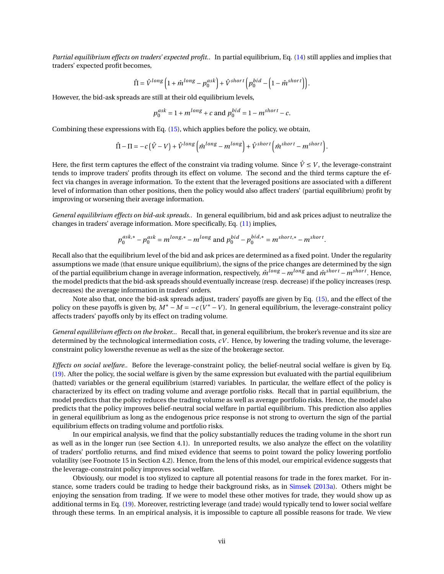*Partial equilibrium effects on traders' expected profit..* In partial equilibrium, Eq. [\(14\)](#page-42-3) still applies and implies that traders' expected profit becomes,

$$
\hat{\Pi} = \hat{V}^{long} \left( 1 + \hat{m}^{long} - p_0^{ask} \right) + \hat{V}^{short} \left( p_0^{bid} - \left( 1 - \hat{m}^{short} \right) \right).
$$

However, the bid-ask spreads are still at their old equilibrium levels,

$$
p_0^{ask} = 1 + m^{long} + c
$$
 and  $p_0^{bid} = 1 - m^{short} - c$ .

Combining these expressions with Eq. [\(15\)](#page-42-4), which applies before the policy, we obtain,

$$
\hat{\Pi} - \Pi = -c(\hat{V} - V) + \hat{V}^{long}(\hat{m}^{long} - m^{long}) + \hat{V}^{short}(\hat{m}^{short} - m^{short}).
$$

Here, the first term captures the effect of the constraint via trading volume. Since  $\hat{V} \leq V$ , the leverage-constraint tends to improve traders' profits through its effect on volume. The second and the third terms capture the effect via changes in average information. To the extent that the leveraged positions are associated with a different level of information than other positions, then the policy would also affect traders' (partial equilibrium) profit by improving or worsening their average information.

*General equilibrium effects on bid-ask spreads..* In general equilibrium, bid and ask prices adjust to neutralize the changes in traders' average information. More specifically, Eq. [\(11\)](#page-41-2) implies,

$$
p_0^{ask,*} - p_0^{ask} = m^{long,*} - m^{long} \text{ and } p_0^{bid} - p_0^{bid,*} = m^{short,*} - m^{short}.
$$

Recall also that the equilibrium level of the bid and ask prices are determined as a fixed point. Under the regularity assumptions we made (that ensure unique equilibrium), the signs of the price changes are determined by the sign of the partial equilibrium change in average information, respectively,  $\hat{m}^{long}$  −  $m^{long}$  and  $\hat{m}^{short}$  −  $m^{short}$  . Hence, the model predicts that the bid-ask spreads should eventually increase (resp. decrease) if the policy increases (resp. decreases) the average information in traders' orders.

Note also that, once the bid-ask spreads adjust, traders' payoffs are given by Eq. [\(15\)](#page-42-4), and the effect of the policy on these payoffs is given by,  $M^* - M = -c(V^* - V)$ . In general equilibrium, the leverage-constraint policy affects traders' payoffs only by its effect on trading volume.

*General equilibrium effects on the broker...* Recall that, in general equilibrium, the broker's revenue and its size are determined by the technological intermediation costs, *cV* . Hence, by lowering the trading volume, the leverageconstraint policy lowersthe revenue as well as the size of the brokerage sector.

*Effects on social welfare..* Before the leverage-constraint policy, the belief-neutral social welfare is given by Eq. [\(19\)](#page-44-0). After the policy, the social welfare is given by the same expression but evaluated with the partial equilibrium (hatted) variables or the general equilibrium (starred) variables. In particular, the welfare effect of the policy is characterized by its effect on trading volume and average portfolio risks. Recall that in partial equilibrium, the model predicts that the policy reduces the trading volume as well as average portfolio risks. Hence, the model also predicts that the policy improves belief-neutral social welfare in partial equilibrium. This prediction also applies in general equilibrium as long as the endogenous price response is not strong to overturn the sign of the partial equilibrium effects on trading volume and portfolio risks.

In our empirical analysis, we find that the policy substantially reduces the trading volume in the short run as well as in the longer run (see Section 4.1). In unreported results, we also analyze the effect on the volatility of traders' portfolio returns, and find mixed evidence that seems to point toward the policy lowering portfolio volatility (see Footnote 15 in Section 4.2). Hence, from the lens of this model, our empirical evidence suggests that the leverage-constraint policy improves social welfare.

Obviously, our model is too stylized to capture all potential reasons for trade in the forex market. For instance, some traders could be trading to hedge their background risks, as in [Simsek](#page-25-7) [\(2013a\)](#page-25-7). Others might be enjoying the sensation from trading. If we were to model these other motives for trade, they would show up as additional terms in Eq. [\(19\)](#page-44-0). Moreover, restricting leverage (and trade) would typically tend to lower social welfare through these terms. In an empirical analysis, it is impossible to capture all possible reasons for trade. We view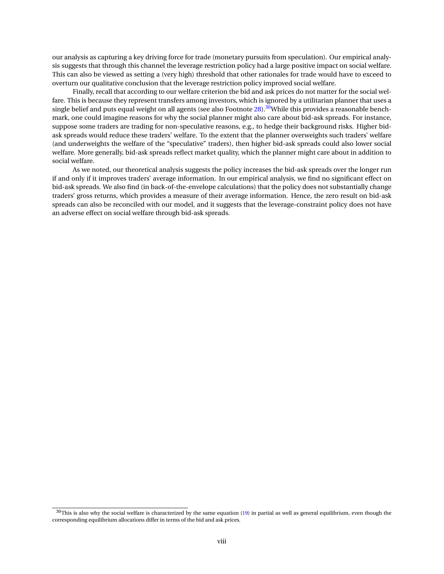our analysis as capturing a key driving force for trade (monetary pursuits from speculation). Our empirical analysis suggests that through this channel the leverage restriction policy had a large positive impact on social welfare. This can also be viewed as setting a (very high) threshold that other rationales for trade would have to exceed to overturn our qualitative conclusion that the leverage restriction policy improved social welfare.

Finally, recall that according to our welfare criterion the bid and ask prices do not matter for the social welfare. This is because they represent transfers among investors, which is ignored by a utilitarian planner that uses a single belief and puts equal weight on all agents (see also Footnote [28\)](#page-44-1).<sup>[30](#page-46-0)</sup>While this provides a reasonable benchmark, one could imagine reasons for why the social planner might also care about bid-ask spreads. For instance, suppose some traders are trading for non-speculative reasons, e.g., to hedge their background risks. Higher bidask spreads would reduce these traders' welfare. To the extent that the planner overweights such traders' welfare (and underweights the welfare of the "speculative" traders), then higher bid-ask spreads could also lower social welfare. More generally, bid-ask spreads reflect market quality, which the planner might care about in addition to social welfare.

As we noted, our theoretical analysis suggests the policy increases the bid-ask spreads over the longer run if and only if it improves traders' average information. In our empirical analysis, we find no significant effect on bid-ask spreads. We also find (in back-of-the-envelope calculations) that the policy does not substantially change traders' gross returns, which provides a measure of their average information. Hence, the zero result on bid-ask spreads can also be reconciled with our model, and it suggests that the leverage-constraint policy does not have an adverse effect on social welfare through bid-ask spreads.

<span id="page-46-0"></span> $30$ This is also why the social welfare is characterized by the same equation [\(19\)](#page-44-0) in partial as well as general equilibrium, even though the corresponding equilibrium allocations differ in terms of the bid and ask prices.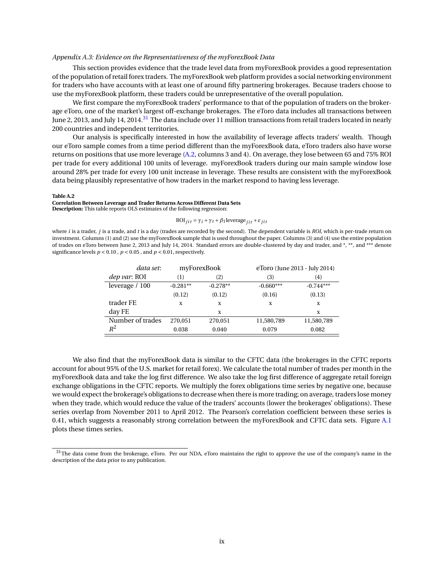#### *Appendix A.3: Evidence on the Representativeness of the myForexBook Data*

This section provides evidence that the trade level data from myForexBook provides a good representation of the population of retail forex traders. The myForexBook web platform provides a social networking environment for traders who have accounts with at least one of around fifty partnering brokerages. Because traders choose to use the myForexBook platform, these traders could be unrepresentative of the overall population.

We first compare the myForexBook traders' performance to that of the population of traders on the brokerage eToro, one of the market's largest off-exchange brokerages. The eToro data includes all transactions between June 2, 2013, and July 14, 2014.<sup>[31](#page-47-1)</sup> The data include over 11 million transactions from retail traders located in nearly 200 countries and independent territories.

Our analysis is specifically interested in how the availability of leverage affects traders' wealth. Though our eToro sample comes from a time period different than the myForexBook data, eToro traders also have worse returns on positions that use more leverage [\(A.2,](#page-47-0) columns 3 and 4). On average, they lose between 65 and 75% ROI per trade for every additional 100 units of leverage. myForexBook traders during our main sample window lose around 28% per trade for every 100 unit increase in leverage. These results are consistent with the myForexBook data being plausibly representative of how traders in the market respond to having less leverage.

#### <span id="page-47-0"></span>**Table A.2**

**Correlation Between Leverage and Trader Returns Across Different Data Sets Description:** This table reports OLS estimates of the following regression:

ROI<sup>*i*</sup><sub>*it*</sub> =  $\gamma$ <sup>*i*</sup> +  $\gamma$ <sup>*t*</sup> +  $\beta$ <sub>1</sub>leverage<sub>*ji*</sub>*t* +  $\varepsilon$ *jit* 

where *i* is a trader, *j* is a trade, and *t* is a day (trades are recorded by the second). The dependent variable is *ROI,* which is per-trade return on investment. Columns (1) and (2) use the myForexBook sample that is used throughout the paper. Columns (3) and (4) use the entire population of trades on eToro between June 2, 2013 and July 14, 2014. Standard errors are double-clustered by day and trader, and \*, \*\*, and \*\*\* denote significance levels  $p < 0.10$ ,  $p < 0.05$ , and  $p < 0.01$ , respectively.

| data set:            | myForexBook |            |             | eToro (June 2013 - July 2014) |  |
|----------------------|-------------|------------|-------------|-------------------------------|--|
| <i>dep var</i> : ROI | (1)         | (2)        | (3)         | (4)                           |  |
| leverage $/100$      | $-0.281**$  | $-0.278**$ | $-0.660***$ | $-0.744***$                   |  |
|                      | (0.12)      | (0.12)     | (0.16)      | (0.13)                        |  |
| trader FE            | X           | X          | X           | X                             |  |
| day FE               |             | X          |             | X                             |  |
| Number of trades     | 270.051     | 270,051    | 11,580,789  | 11,580,789                    |  |
| $R^2$                | 0.038       | 0.040      | 0.079       | 0.082                         |  |

We also find that the myForexBook data is similar to the CFTC data (the brokerages in the CFTC reports account for about 95% of the U.S. market for retail forex). We calculate the total number of trades per month in the myForexBook data and take the log first difference. We also take the log first difference of aggregate retail foreign exchange obligations in the CFTC reports. We multiply the forex obligations time series by negative one, because we would expect the brokerage's obligations to decrease when there is more trading; on average, traders lose money when they trade, which would reduce the value of the traders' accounts (lower the brokerages' obligations). These series overlap from November 2011 to April 2012. The Pearson's correlation coefficient between these series is 0.41, which suggests a reasonably strong correlation between the myForexBook and CFTC data sets. Figure [A.1](#page-48-0) plots these times series.

<span id="page-47-1"></span><sup>&</sup>lt;sup>31</sup>The data come from the brokerage, eToro. Per our NDA, eToro maintains the right to approve the use of the company's name in the description of the data prior to any publication.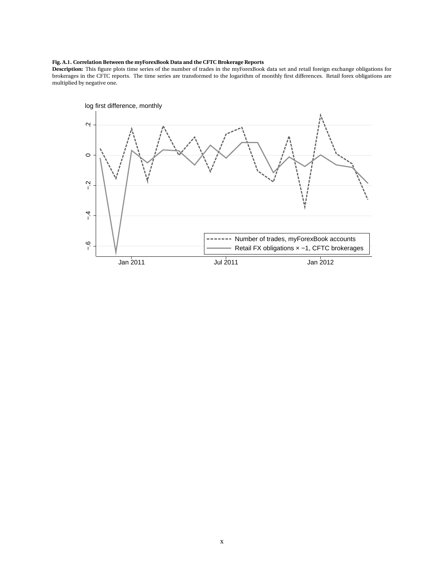# <span id="page-48-0"></span>**Fig. A.1. Correlation Between the myForexBook Data and the CFTC Brokerage Reports**

**Description:** This figure plots time series of the number of trades in the myForexBook data set and retail foreign exchange obligations for brokerages in the CFTC reports. The time series are transformed to the logarithm of monthly first differences. Retail forex obligations are multiplied by negative one.

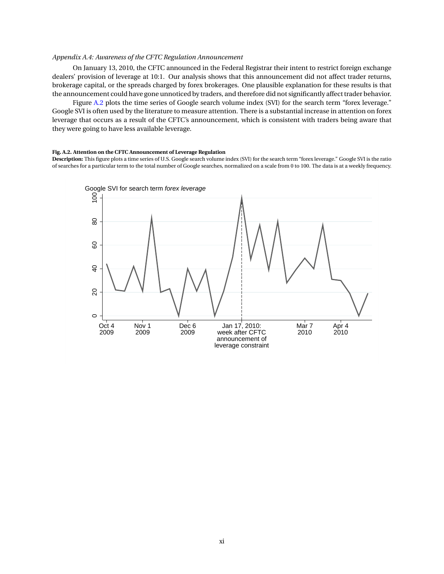# *Appendix A.4: Awareness of the CFTC Regulation Announcement*

On January 13, 2010, the CFTC announced in the Federal Registrar their intent to restrict foreign exchange dealers' provision of leverage at 10:1. Our analysis shows that this announcement did not affect trader returns, brokerage capital, or the spreads charged by forex brokerages. One plausible explanation for these results is that the announcement could have gone unnoticed by traders, and therefore did not significantly affect trader behavior.

Figure [A.2](#page-49-0) plots the time series of Google search volume index (SVI) for the search term "forex leverage." Google SVI is often used by the literature to measure attention. There is a substantial increase in attention on forex leverage that occurs as a result of the CFTC's announcement, which is consistent with traders being aware that they were going to have less available leverage.

## <span id="page-49-0"></span>**Fig. A.2. Attention on the CFTC Announcement of Leverage Regulation**

**Description:** This figure plots a time series of U.S. Google search volume index (SVI) for the search term "forex leverage." Google SVI is the ratio of searches for a particular term to the total number of Google searches, normalized on a scale from 0 to 100. The data is at a weekly frequency.

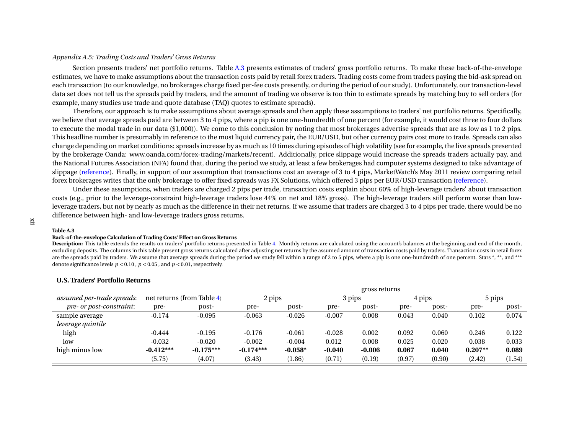#### *Appendix A.5: Trading Costs and Traders' Gross Returns*

Section presents traders' net portfolio returns. Table [A.3](#page-50-0) presents estimates of traders' gross portfolio returns. To make these back-of-the-envelope estimates, we have to make assumptions about the transaction costs paid by retail forex traders. Trading costs come from traders paying the bid-ask spread on each transaction (to our knowledge, no brokerages charge fixed per-fee costs presently, or during the period of our study). Unfortunately, our transaction-leveldata set does not tell us the spreads paid by traders, and the amount of trading we observe is too thin to estimate spreads by matching buy to sell orders (forexample, many studies use trade and quote database (TAQ) quotes to estimate spreads).

Therefore, our approach is to make assumptions about average spreads and then apply these assumptions to traders' net portfolio returns. Specifically,we believe that average spreads paid are between 3 to <sup>4</sup> pips, where <sup>a</sup> pip is one one-hundredth of one percent (for example, it would cost three to four dollars to execute the modal trade in our data (\$1,000)). We come to this conclusion by noting that most brokerages advertise spreads that are as low as <sup>1</sup> to <sup>2</sup> pips.This headline number is presumably in reference to the most liquid currency pair, the EUR/USD, but other currency pairs cost more to trade. Spreads can also change depending on market conditions: spreads increase by as much as 10 times during episodes of high volatility (see for example, the live spreads presented by the brokerage Oanda: www.oanda.com/forex-trading/markets/recent). Additionally, price slippage would increase the spreads traders actually pay, and the National Futures Association (NFA) found that, during the period we study, at least <sup>a</sup> few brokerages had computer systems designed to take advantage ofslippage [\(reference\)](https://www.marketwatch.com/story/are-forex-brokers-cheating-their-clients-1294786044234). Finally, in support of our assumption that transactions cost an average of 3 to 4 pips, MarketWatch's May 2011 review comparing retail forex brokerages writes that the only brokerage to offer fixed spreads was FX Solutions, which offered 3 pips per EUR/USD transaction [\(reference\)](https://www.marketwatch.com/story/the-best-brokers-for-forex-traders-1304970934690).

Under these assumptions, when traders are charged <sup>2</sup> pips per trade, transaction costs explain about 60% of high-leverage traders' about transaction costs (e.g., prior to the leverage-constraint high-leverage traders lose 44% on net and 18% gross). The high-leverage traders still perform worse than lowleverage traders, but not by nearly as much as the difference in their net returns. If we assume that traders are charged 3 to <sup>4</sup> pips per trade, there would be nodifference between high- and low-leverage traders gross returns.

#### <span id="page-50-0"></span>**Table A.3**

#### **Back-of-the-envelope Calculation of Trading Costs' Effect on Gross Returns**

 **Description:** This table extends the results on traders' portfolio returns presented in Table [4.](#page-29-1) Monthly returns are calculated using the account's balances at the beginning and end of the month, excluding deposits. The columns in this table present gross returns calculated after adjusting net returns by the assumed amount of transaction costs paid by traders. Transaction costs in retail forex are the spreads paid by traders. We assume that average spreads during the period we study fell within a range of 2 to 5 pips, where a pip is one one-hundredth of one percent. Stars \*, \*\*, and \*\*\* denote significance levels *p* <sup>&</sup>lt; 0.10 , *<sup>p</sup>* <sup>&</sup>lt; 0.05 , and *<sup>p</sup>* <sup>&</sup>lt; 0.01, respectively.

#### **U.S. Traders' Portfolio Returns**

|                            |                            |             | gross returns |           |          |          |        |        |           |        |
|----------------------------|----------------------------|-------------|---------------|-----------|----------|----------|--------|--------|-----------|--------|
| assumed per-trade spreads: | net returns (from Table 4) |             | 2 pips        |           | 3 pips   |          |        | 4 pips | 5 pips    |        |
| pre- or post-constraint:   | pre-                       | post-       | pre-          | post-     | pre-     | post-    | pre-   | post-  | pre-      | post-  |
| sample average             | $-0.174$                   | $-0.095$    | $-0.063$      | $-0.026$  | $-0.007$ | 0.008    | 0.043  | 0.040  | 0.102     | 0.074  |
| leverage quintile          |                            |             |               |           |          |          |        |        |           |        |
| high                       | $-0.444$                   | $-0.195$    | $-0.176$      | $-0.061$  | $-0.028$ | 0.002    | 0.092  | 0.060  | 0.246     | 0.122  |
| low                        | $-0.032$                   | $-0.020$    | $-0.002$      | $-0.004$  | 0.012    | 0.008    | 0.025  | 0.020  | 0.038     | 0.033  |
| high minus low             | $-0.412***$                | $-0.175***$ | $-0.174***$   | $-0.058*$ | $-0.040$ | $-0.006$ | 0.067  | 0.040  | $0.207**$ | 0.089  |
|                            | (5.75)                     | (4.07)      | (3.43)        | (1.86)    | (0.71)   | (0.19)   | (0.97) | (0.90) | (2.42)    | (1.54) |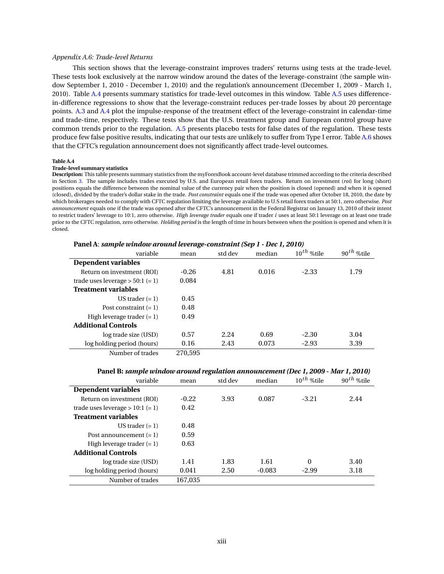#### *Appendix A.6: Trade-level Returns*

This section shows that the leverage-constraint improves traders' returns using tests at the trade-level. These tests look exclusively at the narrow window around the dates of the leverage-constraint (the sample window September 1, 2010 - December 1, 2010) and the regulation's announcement (December 1, 2009 - March 1, 2010). Table [A.4](#page-51-0) presents summary statistics for trade-level outcomes in this window. Table [A.5](#page-52-0) uses differencein-difference regressions to show that the leverage-constraint reduces per-trade losses by about 20 percentage points. [A.3](#page-53-0) and [A.4](#page-54-0) plot the impulse-response of the treatment effect of the leverage-constraint in calendar-time and trade-time, respectively. These tests show that the U.S. treatment group and European control group have common trends prior to the regulation. [A.5](#page-55-0) presents placebo tests for false dates of the regulation. These tests produce few false positive results, indicating that our tests are unlikely to suffer from Type I error. Table [A.6](#page-56-0) shows that the CFTC's regulation announcement does not significantly affect trade-level outcomes.

#### <span id="page-51-0"></span>**Table A.4**

# **Trade-level summary statistics**

**Description:** This table presents summary statistics from the myForexBook account-level database trimmed according to the criteria described in Section [3.](#page-10-0) The sample includes trades executed by U.S. and European retail forex traders. Return on investment (*roi*) for long (short) positions equals the difference between the nominal value of the currency pair when the position is closed (opened) and when it is opened (closed), divided by the trader's dollar stake in the trade. *Post constraint* equals one if the trade was opened after October 18, 2010, the date by which brokerages needed to comply with CFTC regulation limiting the leverage available to U.S retail forex traders at 50:1, zero otherwise. *Post announcement* equals one if the trade was opened after the CFTC's announcement in the Federal Registrar on January 13, 2010 of their intent to restrict traders' leverage to 10:1, zero otherwise. *High leverage trader* equals one if trader *i* uses at least 50:1 leverage on at least one trade prior to the CFTC regulation, zero otherwise. *Holding period* is the length of time in hours between when the position is opened and when it is closed.

| variable                           | mean    | std dev | median | $10^{th}$ %tile | $90th$ %tile |
|------------------------------------|---------|---------|--------|-----------------|--------------|
| Dependent variables                |         |         |        |                 |              |
| Return on investment (ROI)         | $-0.26$ | 4.81    | 0.016  | $-2.33$         | 1.79         |
| trade uses leverage $> 50:1 (= 1)$ | 0.084   |         |        |                 |              |
| <b>Treatment variables</b>         |         |         |        |                 |              |
| US trader $(=1)$                   | 0.45    |         |        |                 |              |
| Post constraint $(=1)$             | 0.48    |         |        |                 |              |
| High leverage trader $(= 1)$       | 0.49    |         |        |                 |              |
| <b>Additional Controls</b>         |         |         |        |                 |              |
| log trade size (USD)               | 0.57    | 2.24    | 0.69   | $-2.30$         | 3.04         |
| log holding period (hours)         | 0.16    | 2.43    | 0.073  | $-2.93$         | 3.39         |
| Number of trades                   | 270,595 |         |        |                 |              |

#### **Panel A**: *sample window around leverage-constraint (Sep 1 - Dec 1, 2010)*

**Panel B:** *sample window around regulation announcement (Dec 1, 2009 - Mar 1, 2010)*

| variable                           | mean    | std dev | median   | $10^{th}$ %tile | $90^{th}$ %tile |
|------------------------------------|---------|---------|----------|-----------------|-----------------|
| Dependent variables                |         |         |          |                 |                 |
| Return on investment (ROI)         | $-0.22$ | 3.93    | 0.087    | $-3.21$         | 2.44            |
| trade uses leverage $> 10:1 (= 1)$ | 0.42    |         |          |                 |                 |
| <b>Treatment variables</b>         |         |         |          |                 |                 |
| US trader $(=1)$                   | 0.48    |         |          |                 |                 |
| Post announcement $(= 1)$          | 0.59    |         |          |                 |                 |
| High leverage trader $(= 1)$       | 0.63    |         |          |                 |                 |
| <b>Additional Controls</b>         |         |         |          |                 |                 |
| log trade size (USD)               | 1.41    | 1.83    | 1.61     | $\theta$        | 3.40            |
| log holding period (hours)         | 0.041   | 2.50    | $-0.083$ | $-2.99$         | 3.18            |
| Number of trades                   | 167,035 |         |          |                 |                 |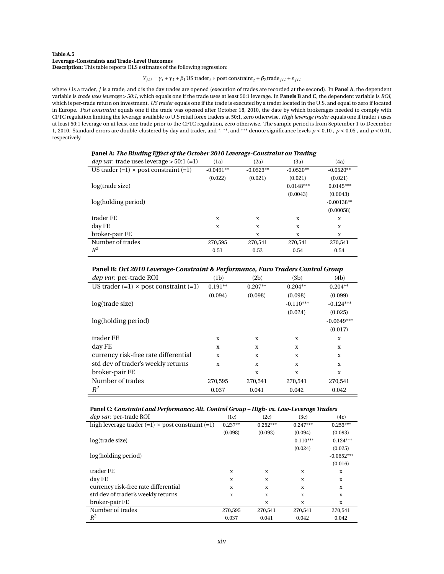#### <span id="page-52-0"></span>**Table A.5 Leverage-Constraints and Trade-Level Outcomes Description:** This table reports OLS estimates of the following regression:

 $Y_{jit} = \gamma_i + \gamma_t + \beta_1 \text{US} \text{ trader}_i \times \text{post constraint}_t + \beta_2 \text{trade}_{jit} + \varepsilon_{jit}$ 

where *i* is a trader, *j* is a trade, and *t* is the day trades are opened (execution of trades are recorded at the second). In **Panel A**, the dependent variable is *trade uses leverage > 50:1*, which equals one if the trade uses at least 50:1 leverage. In **Panels B** and **C**, the dependent variable is *ROI,* which is per-trade return on investment. *US trader* equals one if the trade is executed by a trader located in the U.S. and equal to zero if located in Europe. *Post constraint* equals one if the trade was opened after October 18, 2010, the date by which brokerages needed to comply with CFTC regulation limiting the leverage available to U.S retail forex traders at 50:1, zero otherwise. *High leverage trader* equals one if trader *i* uses at least 50:1 leverage on at least one trade prior to the CFTC regulation, zero otherwise. The sample period is from September 1 to December 1, 2010. Standard errors are double-clustered by day and trader, and \*, \*\*, and \*\*\* denote significance levels *p* < 0.10 , *p* < 0.05 , and *p* < 0.01, respectively.

| <i>dep var</i> : trade uses leverage $> 50:1$ (=1) | (1a)        | (2a)        | (3a)        | (4a)         |
|----------------------------------------------------|-------------|-------------|-------------|--------------|
| US trader $(=1) \times$ post constraint $(=1)$     | $-0.0491**$ | $-0.0523**$ | $-0.0520**$ | $-0.0520**$  |
|                                                    | (0.022)     | (0.021)     | (0.021)     | (0.021)      |
| log(trade size)                                    |             |             | $0.0148***$ | $0.0145***$  |
|                                                    |             |             | (0.0043)    | (0.0043)     |
| log(holding period)                                |             |             |             | $-0.00138**$ |
|                                                    |             |             |             | (0.00058)    |
| trader FE                                          | X           | X           | X           | X            |
| day FE                                             | X           | X           | X           | X            |
| broker-pair FE                                     |             | X           | X           | x            |
| Number of trades                                   | 270,595     | 270,541     | 270,541     | 270,541      |
| $R^2$                                              | 0.51        | 0.53        | 0.54        | 0.54         |

#### **Panel A:** *The Binding Effect of the October 2010 Leverage-Constraint on Trading*

# **Panel B:** *Oct 2010 Leverage-Constraint & Performance, Euro Traders Control Group*

| <i>dep var</i> : per-trade ROI                 | (1b)      | (2b)      | (3b)        | (4b)         |
|------------------------------------------------|-----------|-----------|-------------|--------------|
| US trader $(=1) \times$ post constraint $(=1)$ | $0.191**$ | $0.207**$ | $0.204**$   | $0.204**$    |
|                                                | (0.094)   | (0.098)   | (0.098)     | (0.099)      |
| log(trade size)                                |           |           | $-0.110***$ | $-0.124***$  |
|                                                |           |           | (0.024)     | (0.025)      |
| log(holding period)                            |           |           |             | $-0.0649***$ |
|                                                |           |           |             | (0.017)      |
| trader FE                                      | X         | X         | X           | X            |
| day FE                                         | X         | X         | X           | X            |
| currency risk-free rate differential           | X         | X         | X           | X            |
| std dev of trader's weekly returns             | X         | X         | X           | X            |
| broker-pair FE                                 |           | X         | X           | X            |
| Number of trades                               | 270,595   | 270,541   | 270,541     | 270,541      |
| $R^2$                                          | 0.037     | 0.041     | 0.042       | 0.042        |

#### **Panel C:** *Constraint and Performance; Alt. Control Group – High- vs. Low-Leverage Traders*

| <i>dep var</i> : per-trade ROI                            | (1c)      | (2c)       | (3c)        | (4c)         |
|-----------------------------------------------------------|-----------|------------|-------------|--------------|
| high leverage trader $(=1) \times$ post constraint $(=1)$ | $0.237**$ | $0.252***$ | $0.247***$  | $0.253***$   |
|                                                           | (0.098)   | (0.093)    | (0.094)     | (0.093)      |
| log(trade size)                                           |           |            | $-0.110***$ | $-0.124***$  |
|                                                           |           |            | (0.024)     | (0.025)      |
| log(holding period)                                       |           |            |             | $-0.0652***$ |
|                                                           |           |            |             | (0.016)      |
| trader FE                                                 | X         | X          | X           | X            |
| day FE                                                    | X         | X          | X           | X            |
| currency risk-free rate differential                      | X         | X          | X           | X            |
| std dev of trader's weekly returns                        | X         | X          | X           | X            |
| broker-pair FE                                            |           | X          | X           | X            |
| Number of trades                                          | 270,595   | 270.541    | 270.541     | 270,541      |
| $R^2$                                                     | 0.037     | 0.041      | 0.042       | 0.042        |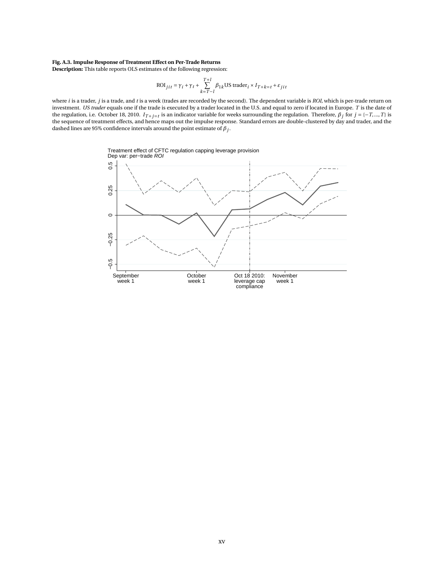#### <span id="page-53-0"></span>**Fig. A.3. Impulse Response of Treatment Effect on Per-Trade Returns**

**Description:** This table reports OLS estimates of the following regression:

$$
ROI_{jit} = \gamma_i + \gamma_t + \sum_{k=T-l}^{T+l} \beta_{1k} US\ \text{trader}_{i} \times I_{T+k=t} + \varepsilon_{jit}
$$

where *i* is a trader, *j* is a trade, and *t* is a week (trades are recorded by the second). The dependent variable is *ROI,* which is per-trade return on investment. *US trader* equals one if the trade is executed by a trader located in the U.S. and equal to zero if located in Europe. *T* is the date of the regulation, i.e. October 18, 2010.  $I_{T+j=t}$  is an indicator variable for weeks surrounding the regulation. Therefore,  $\beta_j$  for  $j = \{-T, ..., T\}$  is the sequence of treatment effects, and hence maps out the impulse response. Standard errors are double-clustered by day and trader, and the dashed lines are 95% confidence intervals around the point estimate of *βj* .

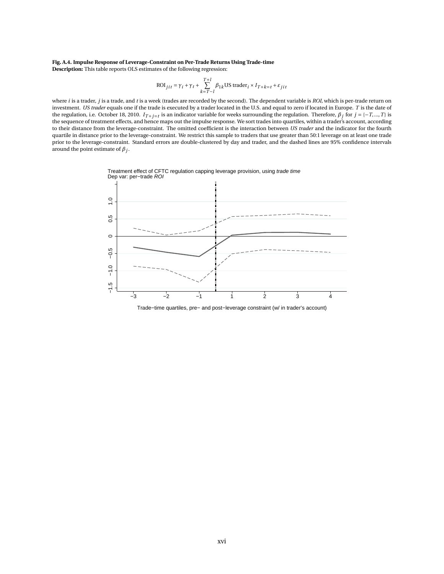# <span id="page-54-0"></span>**Fig. A.4. Impulse Response of Leverage-Constraint on Per-Trade Returns Using Trade-time**

**Description:** This table reports OLS estimates of the following regression:

$$
ROI_{jit} = \gamma_i + \gamma_t + \sum_{k=T-l}^{T+l} \beta_{1k} US\ \text{trader}_i \times I_{T+k=t} + \varepsilon_{jit}
$$

where *i* is a trader, *j* is a trade, and *t* is a week (trades are recorded by the second). The dependent variable is *ROI,* which is per-trade return on investment. *US trader* equals one if the trade is executed by a trader located in the U.S. and equal to zero if located in Europe. *T* is the date of the regulation, i.e. October 18, 2010.  $I_{T+j=t}$  is an indicator variable for weeks surrounding the regulation. Therefore,  $\beta_j$  for  $j = \{-T, ..., T\}$  is the sequence of treatment effects, and hence maps out the impulse response. We sort trades into quartiles, within a trader's account, according to their distance from the leverage-constraint. The omitted coefficient is the interaction between *US trader* and the indicator for the fourth quartile in distance prior to the leverage-constraint. We restrict this sample to traders that use greater than 50:1 leverage on at least one trade prior to the leverage-constraint. Standard errors are double-clustered by day and trader, and the dashed lines are 95% confidence intervals around the point estimate of *βj* .



Treatment effect of CFTC regulation capping leverage provision, using trade time

Trade−time quartiles, pre− and post−leverage constraint (w/ in trader's account)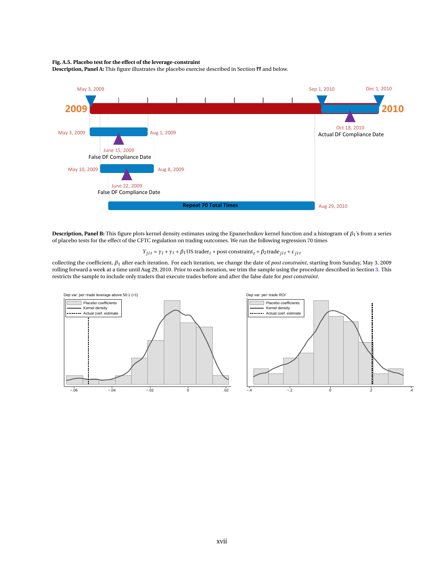#### <span id="page-55-0"></span>**Fig. A.5. Placebo test for the effect of the leverage-constraint**

**Description, Panel A:** This figure illustrates the placebo exercise described in Section **??** and below.



**Description, Panel B:** This figure plots kernel density estimates using the Epanechnikov kernel function and a histogram of *β*1's from a series of placebo tests for the effect of the CFTC regulation on trading outcomes. We run the following regression 70 times

 $Y_{jit} = \gamma_i + \gamma_t + \beta_1 \text{US} \text{ trader}_i \times \text{post constraint}_t + \beta_2 \text{ trade}_{jit} + \varepsilon_{jit}$ 

collecting the coefficient, *β*1 after each iteration. For each iteration, we change the date of *post constraint*, starting from Sunday, May 3, 2009 rolling forward a week at a time until Aug 29, 2010. Prior to each iteration, we trim the sample using the procedure described in Section [3.](#page-10-0) This restricts the sample to include only traders that execute trades before and after the false date for *post constraint*.

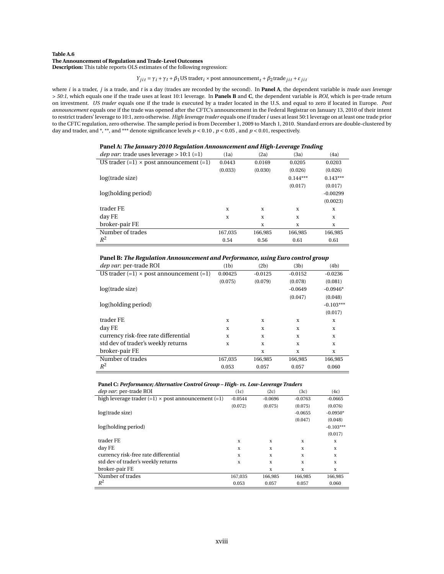#### <span id="page-56-0"></span>**Table A.6 The Announcement of Regulation and Trade-Level Outcomes Description:** This table reports OLS estimates of the following regression:

 $Y_{jit} = \gamma_i + \gamma_t + \beta_1 \text{US} \text{ trader}_i \times \text{post} \text{ announcement}_t + \beta_2 \text{trade}_{jit} + \varepsilon_{jit}$ 

where *i* is a trader, *j* is a trade, and *t* is a day (trades are recorded by the second). In **Panel A**, the dependent variable is *trade uses leverage > 50:1*, which equals one if the trade uses at least 10:1 leverage. In **Panels B** and **C**, the dependent variable is *ROI,* which is per-trade return on investment. *US trader* equals one if the trade is executed by a trader located in the U.S. and equal to zero if located in Europe. *Post announcement* equals one if the trade was opened after the CFTC's announcement in the Federal Registrar on January 13, 2010 of their intent to restrict traders' leverage to 10:1, zero otherwise. *High leverage trader* equals one if trader*i* uses at least 50:1 leverage on at least one trade prior to the CFTC regulation, zero otherwise. The sample period is from December 1, 2009 to March 1, 2010. Standard errors are double-clustered by day and trader, and \*, \*\*, and \*\*\* denote significance levels *p* < 0.10 , *p* < 0.05 , and *p* < 0.01, respectively.

| <i>dep var</i> : trade uses leverage $> 10:1$ (=1) | (1a)    | (2a)    | (3a)       | (4a)       |
|----------------------------------------------------|---------|---------|------------|------------|
| US trader $(=1) \times$ post announcement $(=1)$   | 0.0443  | 0.0169  | 0.0205     | 0.0203     |
|                                                    | (0.033) | (0.030) | (0.026)    | (0.026)    |
| log(trade size)                                    |         |         | $0.144***$ | $0.143***$ |
|                                                    |         |         | (0.017)    | (0.017)    |
| log(holding period)                                |         |         |            | $-0.00299$ |
|                                                    |         |         |            | (0.0023)   |
| trader FE                                          | X       | X       | X          | X          |
| day FE                                             | X       | X       | X          | X          |
| broker-pair FE                                     |         | X       | X          | X          |
| Number of trades                                   | 167,035 | 166.985 | 166,985    | 166,985    |
| $R^2$                                              | 0.54    | 0.56    | 0.61       | 0.61       |

# **Panel A:** *The January 2010 Regulation Announcement and High-Leverage Trading*

| Panel B: The Regulation Announcement and Performance, using Euro control group |  |
|--------------------------------------------------------------------------------|--|
|                                                                                |  |
|                                                                                |  |
|                                                                                |  |

| <i>dep var</i> : per-trade ROI                   | (1b)    | (2b)      | (3b)      | (4b)        |
|--------------------------------------------------|---------|-----------|-----------|-------------|
| US trader $(=1) \times$ post announcement $(=1)$ | 0.00425 | $-0.0125$ | $-0.0152$ | $-0.0236$   |
|                                                  | (0.075) | (0.079)   | (0.078)   | (0.081)     |
| log(trade size)                                  |         |           | $-0.0649$ | $-0.0946*$  |
|                                                  |         |           | (0.047)   | (0.048)     |
| log(holding period)                              |         |           |           | $-0.103***$ |
|                                                  |         |           |           | (0.017)     |
| trader FE                                        | X       | X         | X         | X           |
| day FE                                           | X       | X         | X         | X           |
| currency risk-free rate differential             | X       | X         | X         | X           |
| std dev of trader's weekly returns               | X       | X         | X         | X           |
| broker-pair FE                                   |         | X         | X         | X           |
| Number of trades                                 | 167,035 | 166,985   | 166,985   | 166,985     |
| $R^2$                                            | 0.053   | 0.057     | 0.057     | 0.060       |

#### **Panel C:** *Performance; Alternative Control Group – High- vs. Low-Leverage Traders*

| <i>dep var</i> : per-trade ROI                              | (1c)      | (2c)      | (3c)      | (4c)        |
|-------------------------------------------------------------|-----------|-----------|-----------|-------------|
| high leverage trader $(=1) \times$ post announcement $(=1)$ | $-0.0544$ | $-0.0696$ | $-0.0763$ | $-0.0665$   |
|                                                             | (0.072)   | (0.075)   | (0.075)   | (0.076)     |
| log(trade size)                                             |           |           | $-0.0655$ | $-0.0950*$  |
|                                                             |           |           | (0.047)   | (0.048)     |
| log(holding period)                                         |           |           |           | $-0.103***$ |
|                                                             |           |           |           | (0.017)     |
| trader FE                                                   | X         | X         | X         | X           |
| day FE                                                      | X         | X         | x         | X           |
| currency risk-free rate differential                        | X         | X         | x         | X           |
| std dev of trader's weekly returns                          | X         | X         | X         | X           |
| broker-pair FE                                              |           | X         | X         | X           |
| Number of trades                                            | 167.035   | 166,985   | 166.985   | 166,985     |
| $R^2$                                                       | 0.053     | 0.057     | 0.057     | 0.060       |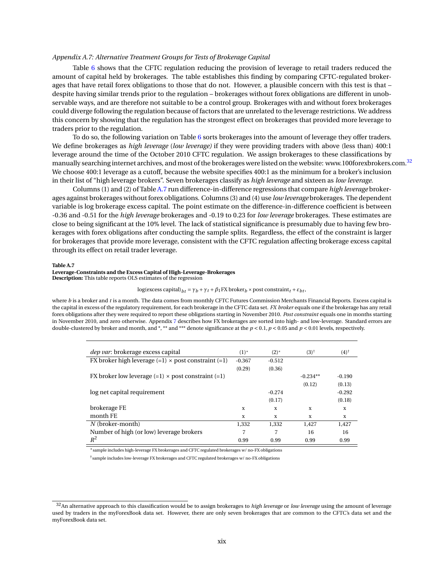#### <span id="page-57-2"></span>*Appendix A.7: Alternative Treatment Groups for Tests of Brokerage Capital*

Table [6](#page-31-0) shows that the CFTC regulation reducing the provision of leverage to retail traders reduced the amount of capital held by brokerages. The table establishes this finding by comparing CFTC-regulated brokerages that have retail forex obligations to those that do not. However, a plausible concern with this test is that – despite having similar trends prior to the regulation – brokerages without forex obligations are different in unobservable ways, and are therefore not suitable to be a control group. Brokerages with and without forex brokerages could diverge following the regulation because of factors that are unrelated to the leverage restrictions. We address this concern by showing that the regulation has the strongest effect on brokerages that provided more leverage to traders prior to the regulation.

To do so, the following variation on Table [6](#page-31-0) sorts brokerages into the amount of leverage they offer traders. We define brokerages as *high leverage* (*low leverage)* if they were providing traders with above (less than) 400:1 leverage around the time of the October 2010 CFTC regulation. We assign brokerages to these classifications by manually searching internet archives, and most of the brokerages were listed on the website: www.100forexbrokers.com.<sup>[32](#page-57-1)</sup> We choose 400:1 leverage as a cutoff, because the website specifies 400:1 as the minimum for a broker's inclusion in their list of "high leverage brokers". Seven brokerages classify as *high leverage* and sixteen as *low leverage.*

Columns (1) and (2) of Table [A.7](#page-57-0) run difference-in-difference regressions that compare *high leverage* brokerages against brokerages without forex obligations. Columns (3) and (4) use *low leverage* brokerages. The dependent variable is log brokerage excess capital. The point estimate on the difference-in-difference coefficient is between -0.36 and -0.51 for the *high leverage* brokerages and -0.19 to 0.23 for *low leverage* brokerages. These estimates are close to being significant at the 10% level. The lack of statistical significance is presumably due to having few brokerages with forex obligations after conducting the sample splits. Regardless, the effect of the constraint is larger for brokerages that provide more leverage, consistent with the CFTC regulation affecting brokerage excess capital through its effect on retail trader leverage.

#### <span id="page-57-0"></span>**Table A.7**

# **Leverage-Constraints and the Excess Capital of High-Leverage-Brokerages**

**Description:** This table reports OLS estimates of the regression

 $log(excess capital)_{bt} = \gamma_b + \gamma_t + \beta_1 FX bracket_b \times post constraint_t + \varepsilon_{bt}$ ,

where *b* is a broker and *t* is a month. The data comes from monthly CFTC Futures Commission Merchants Financial Reports. Excess capital is the capital in excess of the regulatory requirement, for each brokerage in the CFTC data set. *FX broker* equals one if the brokerage has any retail forex obligations after they were required to report these obligations starting in November 2010. *Post constraint* equals one in months starting in November 2010, and zero otherwise. Appendix [7](#page-57-2) describes how FX brokerages are sorted into high- and low-leverage. Standard errors are double-clustered by broker and month, and \*, \*\* and \*\*\* denote significance at the *p* < 0.1,*p* < 0.05 and *p* < 0.01 levels, respectively.

| <i>dep var</i> : brokerage excess capital                    | $(1)^{*}$ | $(2)^{*}$ | $(3)$ <sup>†</sup> | $(4)^{\dagger}$ |
|--------------------------------------------------------------|-----------|-----------|--------------------|-----------------|
| FX broker high leverage $(=1) \times$ post constraint $(=1)$ | $-0.367$  | $-0.512$  |                    |                 |
|                                                              | (0.29)    | (0.36)    |                    |                 |
| FX broker low leverage $(=1) \times$ post constraint $(=1)$  |           |           | $-0.234**$         | $-0.190$        |
|                                                              |           |           | (0.12)             | (0.13)          |
| log net capital requirement                                  |           | $-0.274$  |                    | $-0.292$        |
|                                                              |           | (0.17)    |                    | (0.18)          |
| brokerage FE                                                 | X         | X         | X                  | X               |
| month FE                                                     | X         | X         | X                  | X               |
| $N$ (broker-month)                                           | 1.332     | 1.332     | 1.427              | 1.427           |
| Number of high (or low) leverage brokers                     | 7         | 7         | 16                 | 16              |
| $R^2$                                                        | 0.99      | 0.99      | 0.99               | 0.99            |

<sup>∗</sup>sample includes high-leverage FX brokerages and CFTC regulated brokerages w/ no-FX obligations

† sample includes low-leverage FX brokerages and CFTC regulated brokerages w/ no-FX obligations

<span id="page-57-1"></span><sup>32</sup>An alternative approach to this classification would be to assign brokerages to *high leverage* or *low leverage* using the amount of leverage used by traders in the myForexBook data set. However, there are only seven brokerages that are common to the CFTC's data set and the myForexBook data set.